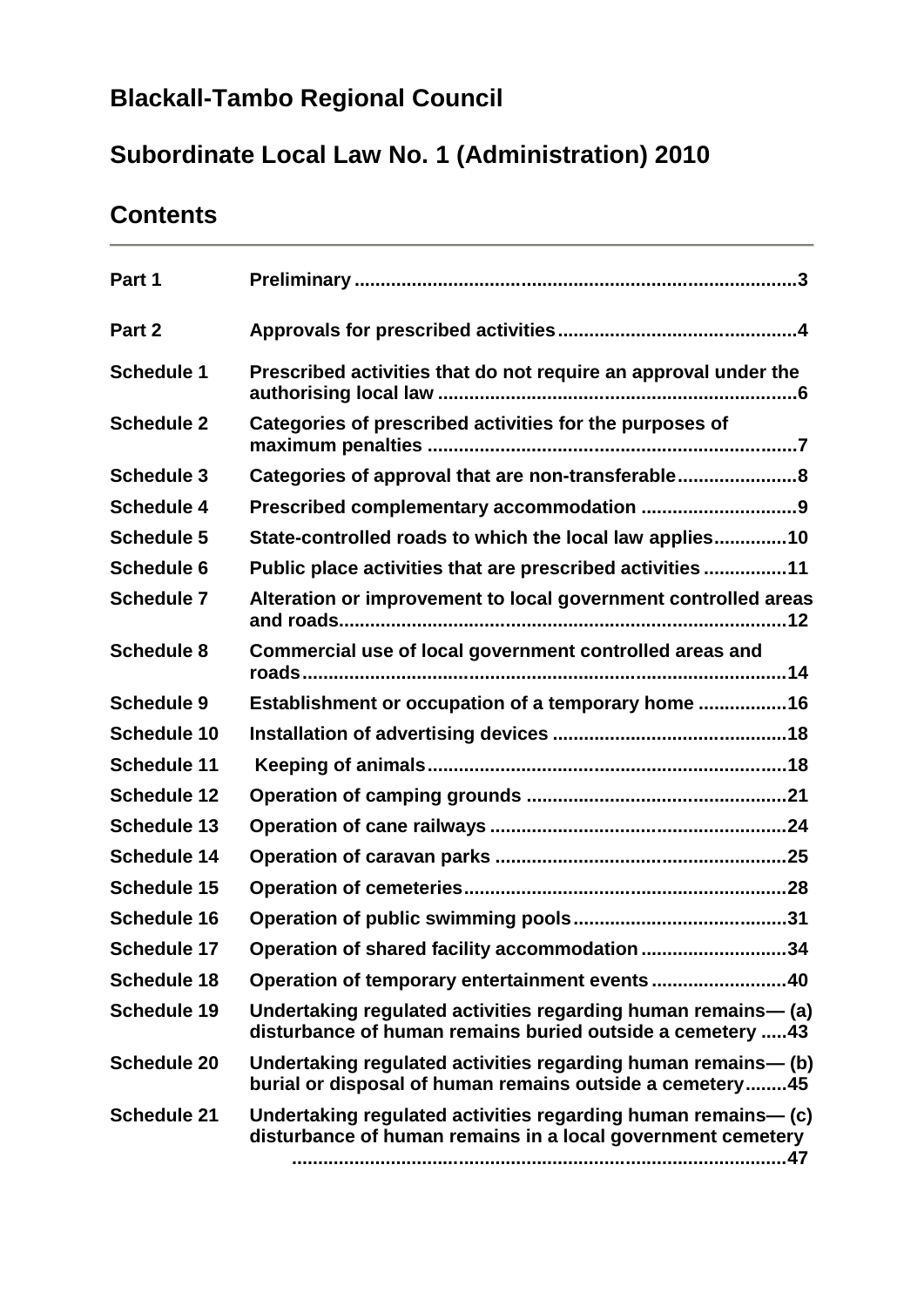# **Blackall-Tambo Regional Council**

# **Subordinate Local Law No. 1 (Administration) 2010**

# **Contents**

| Part 1             |                                                                                                                              |
|--------------------|------------------------------------------------------------------------------------------------------------------------------|
| Part 2             |                                                                                                                              |
| <b>Schedule 1</b>  | Prescribed activities that do not require an approval under the                                                              |
| <b>Schedule 2</b>  | Categories of prescribed activities for the purposes of                                                                      |
| <b>Schedule 3</b>  | Categories of approval that are non-transferable8                                                                            |
| <b>Schedule 4</b>  |                                                                                                                              |
| <b>Schedule 5</b>  | State-controlled roads to which the local law applies10                                                                      |
| <b>Schedule 6</b>  | Public place activities that are prescribed activities 11                                                                    |
| <b>Schedule 7</b>  | Alteration or improvement to local government controlled areas                                                               |
| <b>Schedule 8</b>  | Commercial use of local government controlled areas and                                                                      |
| <b>Schedule 9</b>  | Establishment or occupation of a temporary home 16                                                                           |
| <b>Schedule 10</b> |                                                                                                                              |
| <b>Schedule 11</b> |                                                                                                                              |
| <b>Schedule 12</b> |                                                                                                                              |
| <b>Schedule 13</b> |                                                                                                                              |
| <b>Schedule 14</b> |                                                                                                                              |
| <b>Schedule 15</b> |                                                                                                                              |
| <b>Schedule 16</b> |                                                                                                                              |
| <b>Schedule 17</b> | Operation of shared facility accommodation 34                                                                                |
| <b>Schedule 18</b> | Operation of temporary entertainment events 40                                                                               |
| <b>Schedule 19</b> | Undertaking regulated activities regarding human remains- (a)<br>disturbance of human remains buried outside a cemetery 43   |
| <b>Schedule 20</b> | Undertaking regulated activities regarding human remains— (b)<br>burial or disposal of human remains outside a cemetery45    |
| <b>Schedule 21</b> | Undertaking regulated activities regarding human remains- (c)<br>disturbance of human remains in a local government cemetery |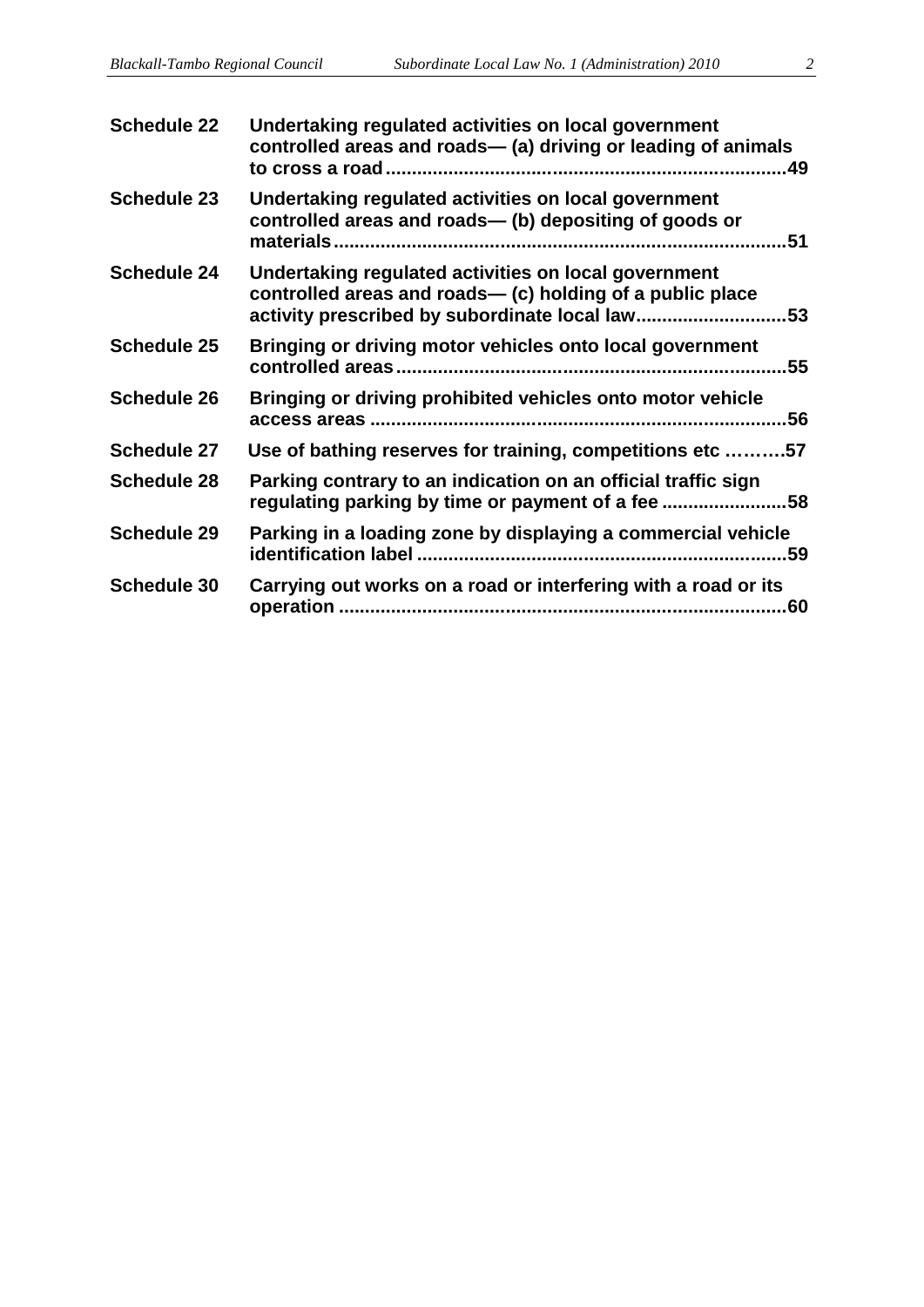| <b>Schedule 22</b> | Undertaking regulated activities on local government<br>controlled areas and roads- (a) driving or leading of animals                                               |  |
|--------------------|---------------------------------------------------------------------------------------------------------------------------------------------------------------------|--|
| <b>Schedule 23</b> | Undertaking regulated activities on local government<br>controlled areas and roads— (b) depositing of goods or<br>materials                                         |  |
| <b>Schedule 24</b> | Undertaking regulated activities on local government<br>controlled areas and roads— (c) holding of a public place<br>activity prescribed by subordinate local law53 |  |
| <b>Schedule 25</b> | Bringing or driving motor vehicles onto local government                                                                                                            |  |
| <b>Schedule 26</b> | Bringing or driving prohibited vehicles onto motor vehicle                                                                                                          |  |
| <b>Schedule 27</b> | Use of bathing reserves for training, competitions etc 57                                                                                                           |  |
| <b>Schedule 28</b> | Parking contrary to an indication on an official traffic sign<br>regulating parking by time or payment of a fee 58                                                  |  |
| <b>Schedule 29</b> | Parking in a loading zone by displaying a commercial vehicle                                                                                                        |  |
| <b>Schedule 30</b> | Carrying out works on a road or interfering with a road or its<br>.60                                                                                               |  |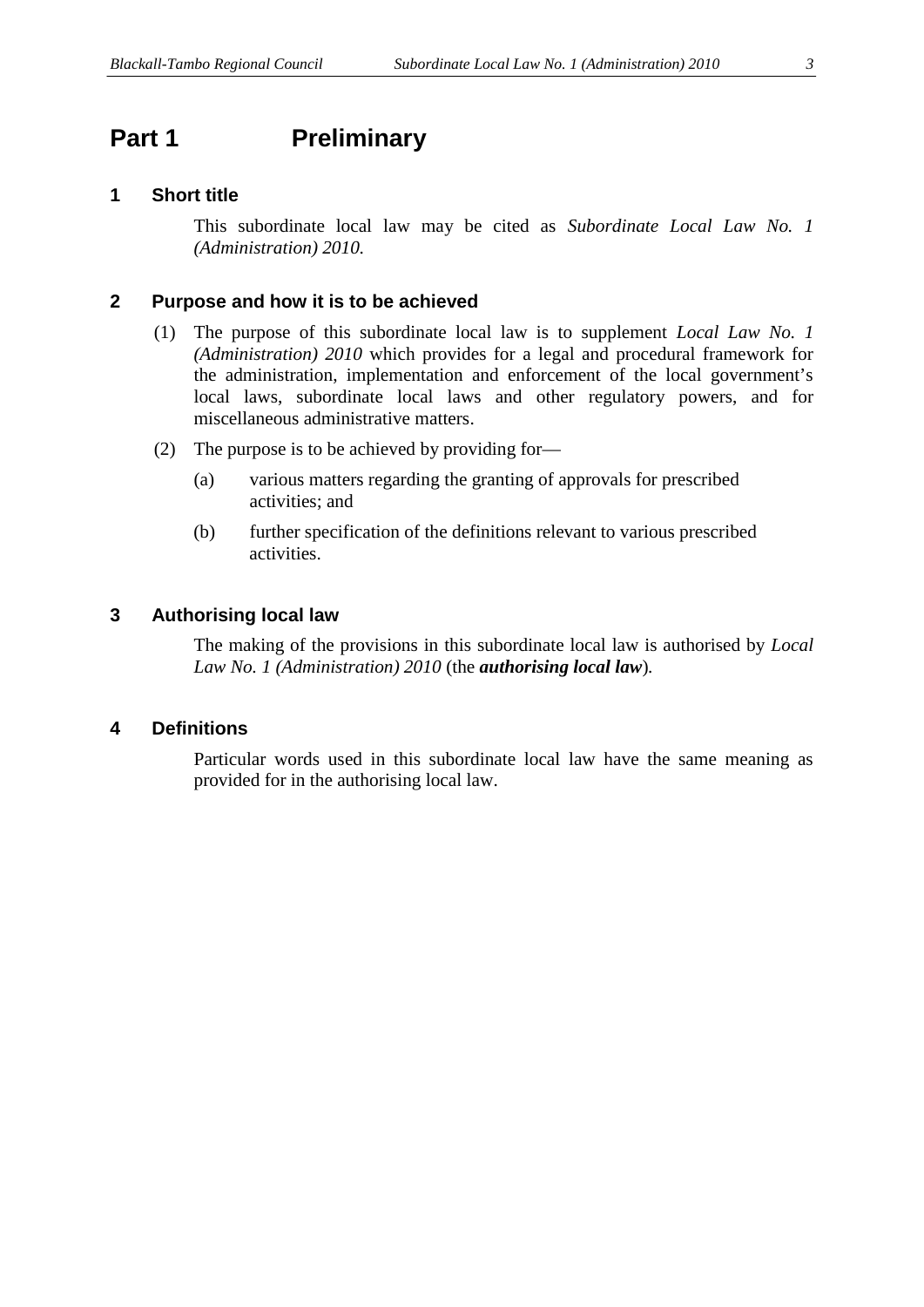# **Part 1 Preliminary**

#### **1 Short title**

This subordinate local law may be cited as *Subordinate Local Law No. 1 (Administration) 2010.*

#### **2 Purpose and how it is to be achieved**

- (1) The purpose of this subordinate local law is to supplement *Local Law No. 1 (Administration) 2010* which provides for a legal and procedural framework for the administration, implementation and enforcement of the local government's local laws, subordinate local laws and other regulatory powers, and for miscellaneous administrative matters.
- (2) The purpose is to be achieved by providing for—
	- (a) various matters regarding the granting of approvals for prescribed activities; and
	- (b) further specification of the definitions relevant to various prescribed activities.

#### **3 Authorising local law**

The making of the provisions in this subordinate local law is authorised by *Local Law No. 1 (Administration) 2010* (the *authorising local law*)*.*

#### **4 Definitions**

Particular words used in this subordinate local law have the same meaning as provided for in the authorising local law.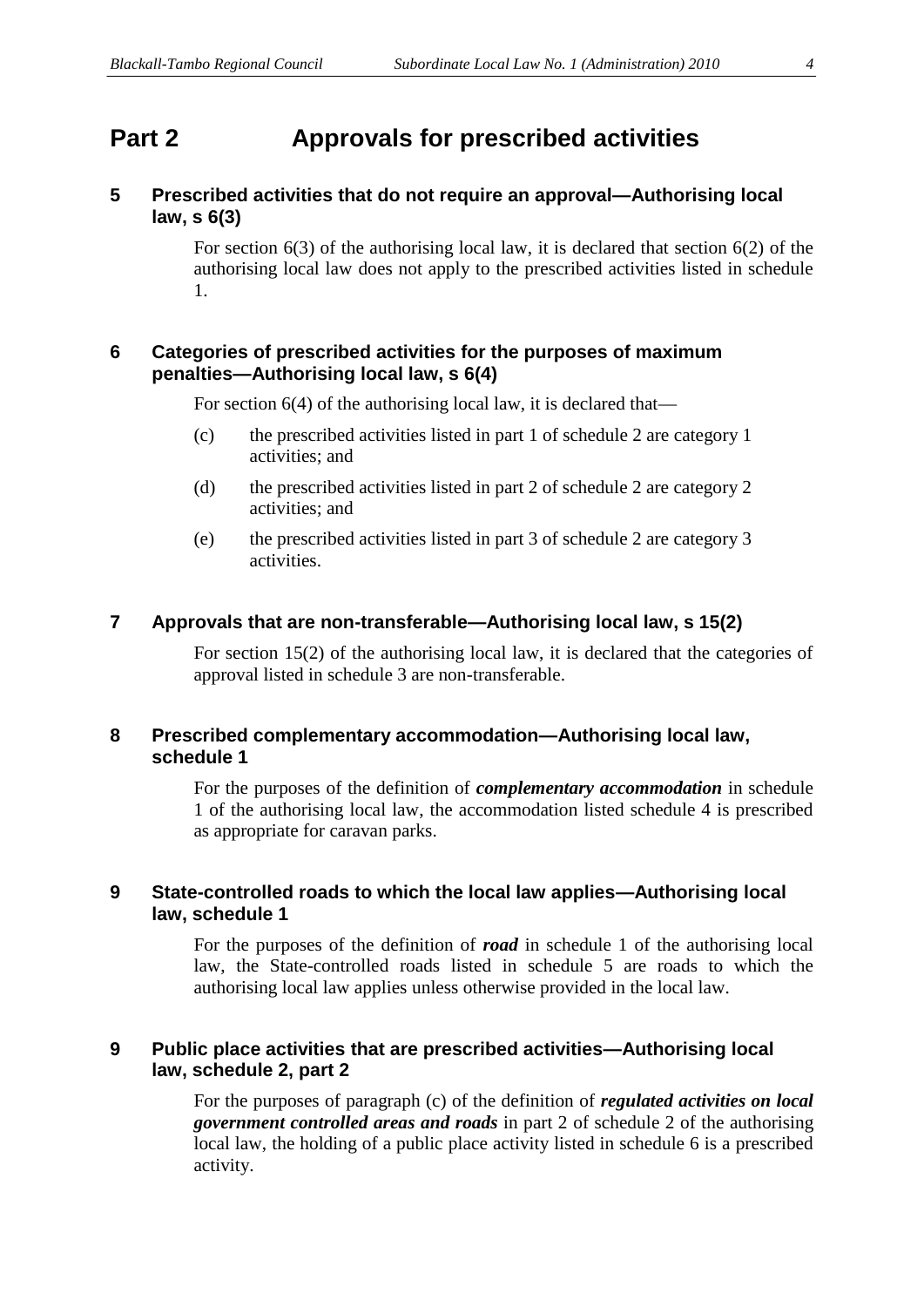# **Part 2 Approvals for prescribed activities**

### **5 Prescribed activities that do not require an approval—Authorising local law, s 6(3)**

For section 6(3) of the authorising local law, it is declared that section 6(2) of the authorising local law does not apply to the prescribed activities listed in schedule 1.

### **6 Categories of prescribed activities for the purposes of maximum penalties—Authorising local law, s 6(4)**

For section 6(4) of the authorising local law, it is declared that—

- (c) the prescribed activities listed in part 1 of schedule 2 are category 1 activities; and
- (d) the prescribed activities listed in part 2 of schedule 2 are category 2 activities; and
- (e) the prescribed activities listed in part 3 of schedule 2 are category 3 activities.

#### **7 Approvals that are non-transferable—Authorising local law, s 15(2)**

For section 15(2) of the authorising local law, it is declared that the categories of approval listed in schedule 3 are non-transferable.

#### **8 Prescribed complementary accommodation—Authorising local law, schedule 1**

For the purposes of the definition of *complementary accommodation* in schedule 1 of the authorising local law, the accommodation listed schedule 4 is prescribed as appropriate for caravan parks.

### **9 State-controlled roads to which the local law applies—Authorising local law, schedule 1**

For the purposes of the definition of **road** in schedule 1 of the authorising local law, the State-controlled roads listed in schedule 5 are roads to which the authorising local law applies unless otherwise provided in the local law.

#### **9 Public place activities that are prescribed activities—Authorising local law, schedule 2, part 2**

For the purposes of paragraph (c) of the definition of *regulated activities on local government controlled areas and roads* in part 2 of schedule 2 of the authorising local law, the holding of a public place activity listed in schedule 6 is a prescribed activity.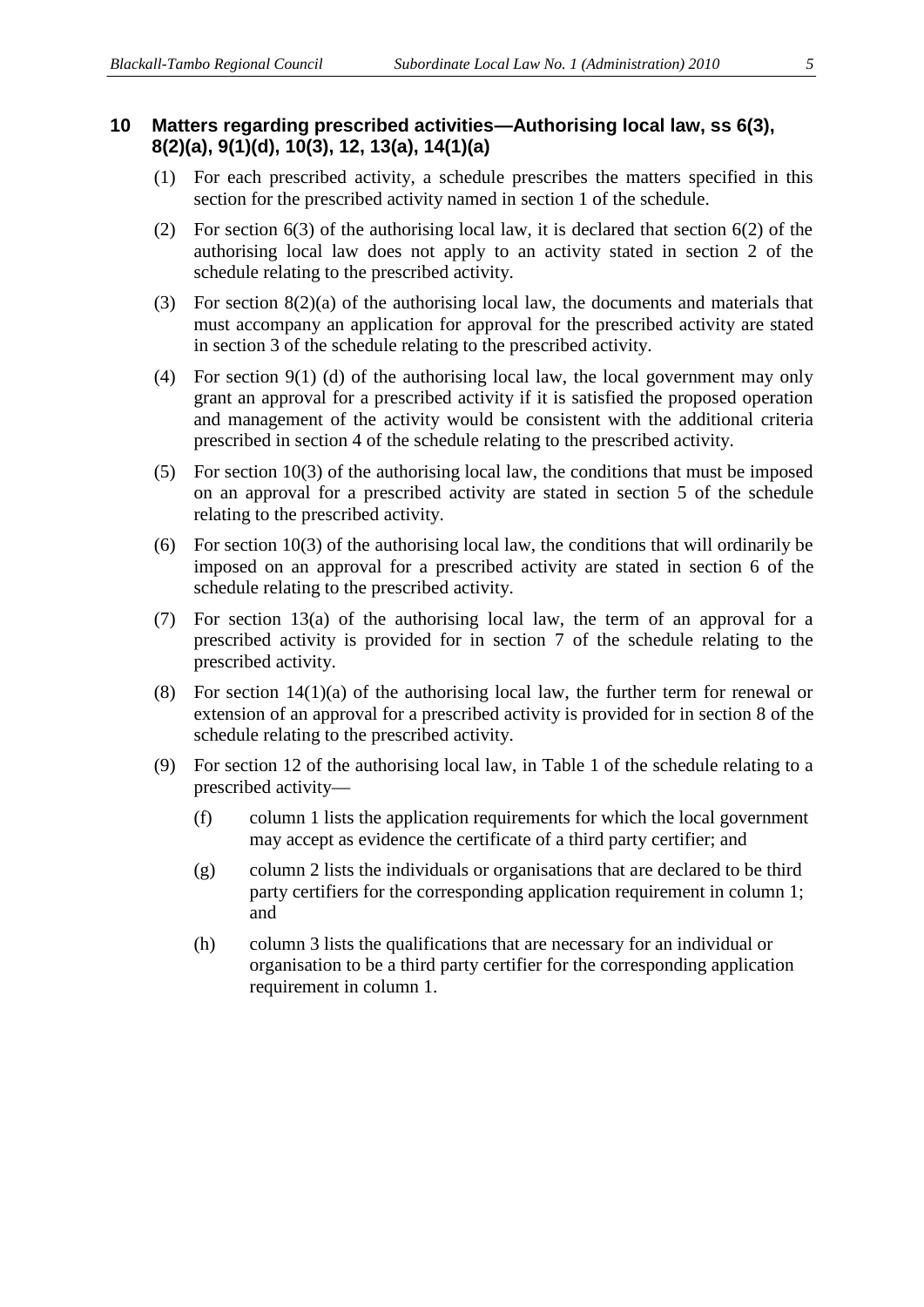#### **10 Matters regarding prescribed activities—Authorising local law, ss 6(3), 8(2)(a), 9(1)(d), 10(3), 12, 13(a), 14(1)(a)**

- (1) For each prescribed activity, a schedule prescribes the matters specified in this section for the prescribed activity named in section 1 of the schedule.
- (2) For section 6(3) of the authorising local law, it is declared that section 6(2) of the authorising local law does not apply to an activity stated in section 2 of the schedule relating to the prescribed activity.
- (3) For section 8(2)(a) of the authorising local law, the documents and materials that must accompany an application for approval for the prescribed activity are stated in section 3 of the schedule relating to the prescribed activity.
- (4) For section 9(1) (d) of the authorising local law, the local government may only grant an approval for a prescribed activity if it is satisfied the proposed operation and management of the activity would be consistent with the additional criteria prescribed in section 4 of the schedule relating to the prescribed activity.
- (5) For section 10(3) of the authorising local law, the conditions that must be imposed on an approval for a prescribed activity are stated in section 5 of the schedule relating to the prescribed activity.
- (6) For section 10(3) of the authorising local law, the conditions that will ordinarily be imposed on an approval for a prescribed activity are stated in section 6 of the schedule relating to the prescribed activity.
- (7) For section 13(a) of the authorising local law, the term of an approval for a prescribed activity is provided for in section 7 of the schedule relating to the prescribed activity.
- (8) For section 14(1)(a) of the authorising local law, the further term for renewal or extension of an approval for a prescribed activity is provided for in section 8 of the schedule relating to the prescribed activity.
- (9) For section 12 of the authorising local law, in Table 1 of the schedule relating to a prescribed activity—
	- (f) column 1 lists the application requirements for which the local government may accept as evidence the certificate of a third party certifier; and
	- (g) column 2 lists the individuals or organisations that are declared to be third party certifiers for the corresponding application requirement in column 1; and
	- (h) column 3 lists the qualifications that are necessary for an individual or organisation to be a third party certifier for the corresponding application requirement in column 1.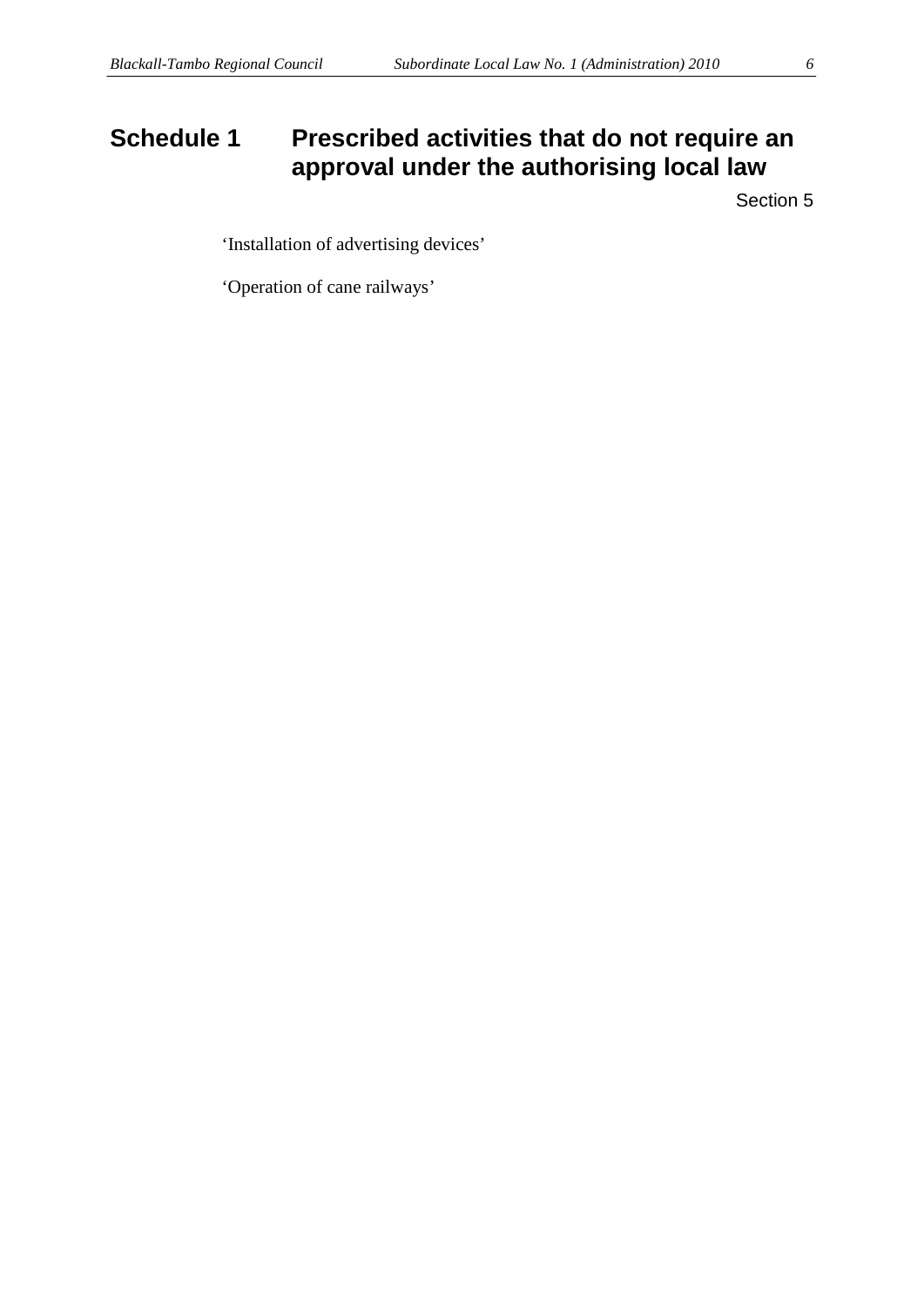# **Schedule 1 Prescribed activities that do not require an approval under the authorising local law**

Section 5

'Installation of advertising devices'

'Operation of cane railways'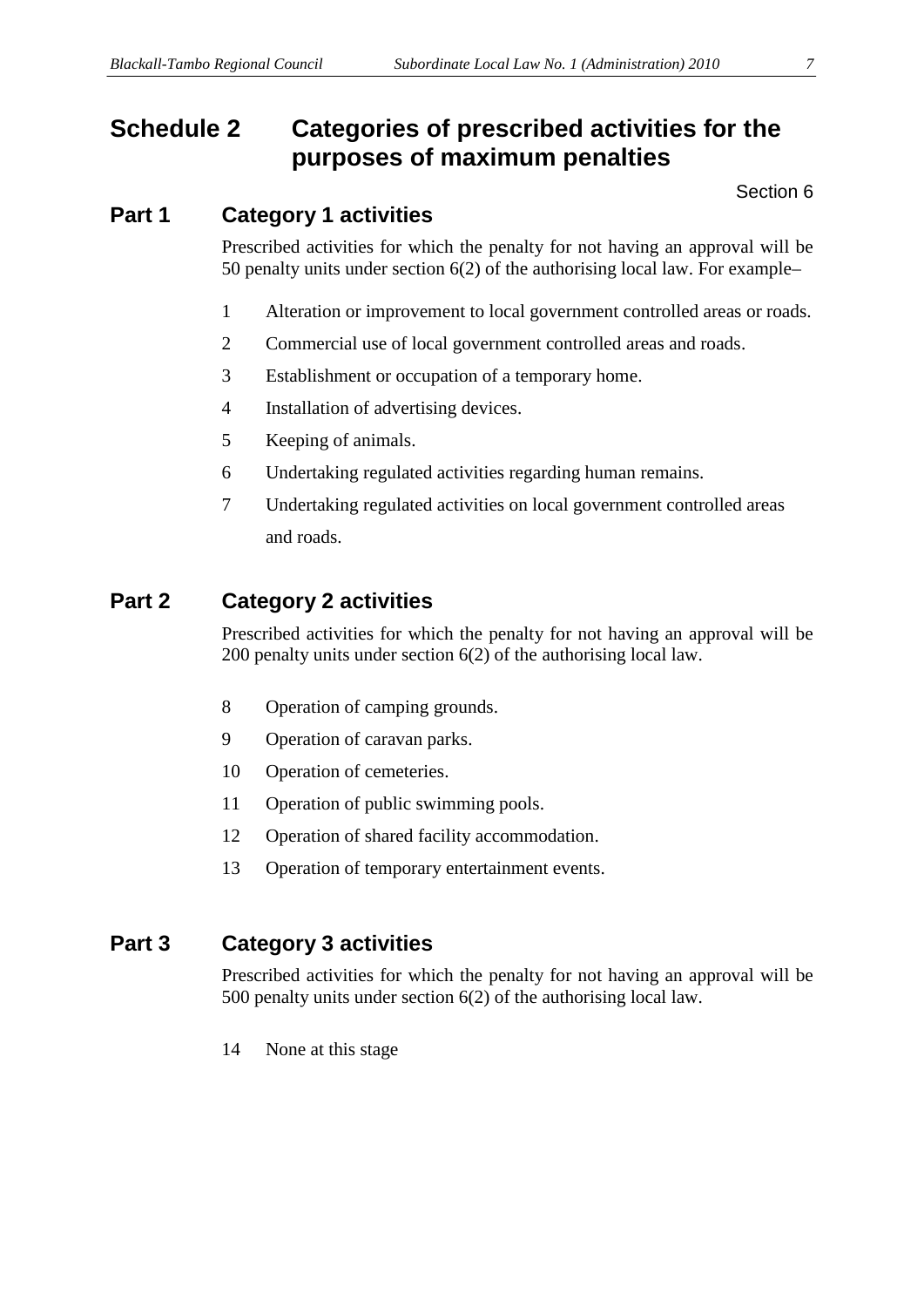# **Schedule 2 Categories of prescribed activities for the purposes of maximum penalties**

Section 6

# **Part 1 Category 1 activities**

Prescribed activities for which the penalty for not having an approval will be 50 penalty units under section 6(2) of the authorising local law. For example–

- 1 Alteration or improvement to local government controlled areas or roads.
- 2 Commercial use of local government controlled areas and roads.
- 3 Establishment or occupation of a temporary home.
- 4 Installation of advertising devices.
- 5 Keeping of animals.
- 6 Undertaking regulated activities regarding human remains.
- 7 Undertaking regulated activities on local government controlled areas and roads.

# **Part 2 Category 2 activities**

Prescribed activities for which the penalty for not having an approval will be 200 penalty units under section 6(2) of the authorising local law.

- 8 Operation of camping grounds.
- 9 Operation of caravan parks.
- 10 Operation of cemeteries.
- 11 Operation of public swimming pools.
- 12 Operation of shared facility accommodation.
- 13 Operation of temporary entertainment events.

# **Part 3 Category 3 activities**

Prescribed activities for which the penalty for not having an approval will be 500 penalty units under section 6(2) of the authorising local law.

14 None at this stage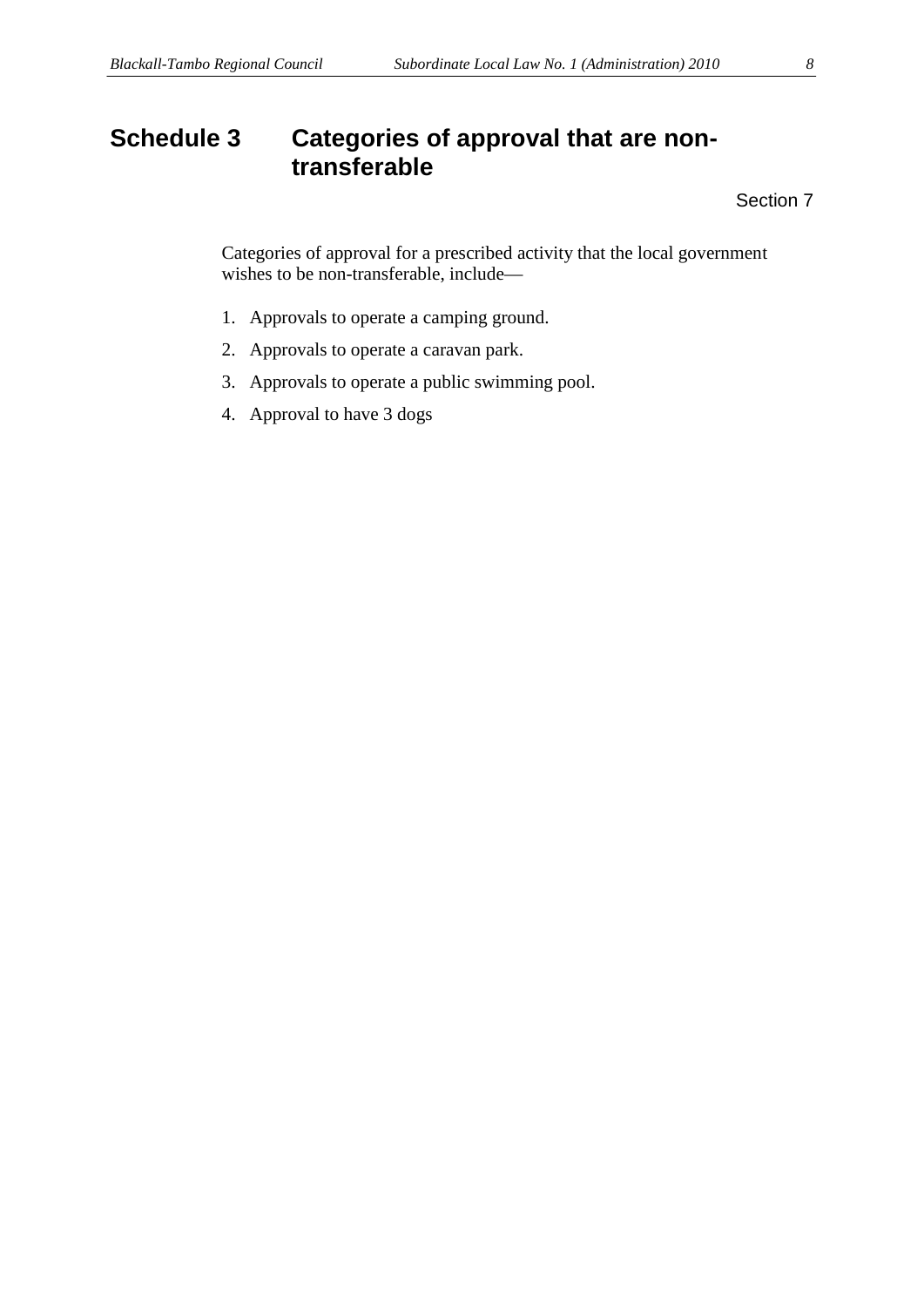# **Schedule 3 Categories of approval that are nontransferable**

Section 7

Categories of approval for a prescribed activity that the local government wishes to be non-transferable, include—

- 1. Approvals to operate a camping ground.
- 2. Approvals to operate a caravan park.
- 3. Approvals to operate a public swimming pool.
- 4. Approval to have 3 dogs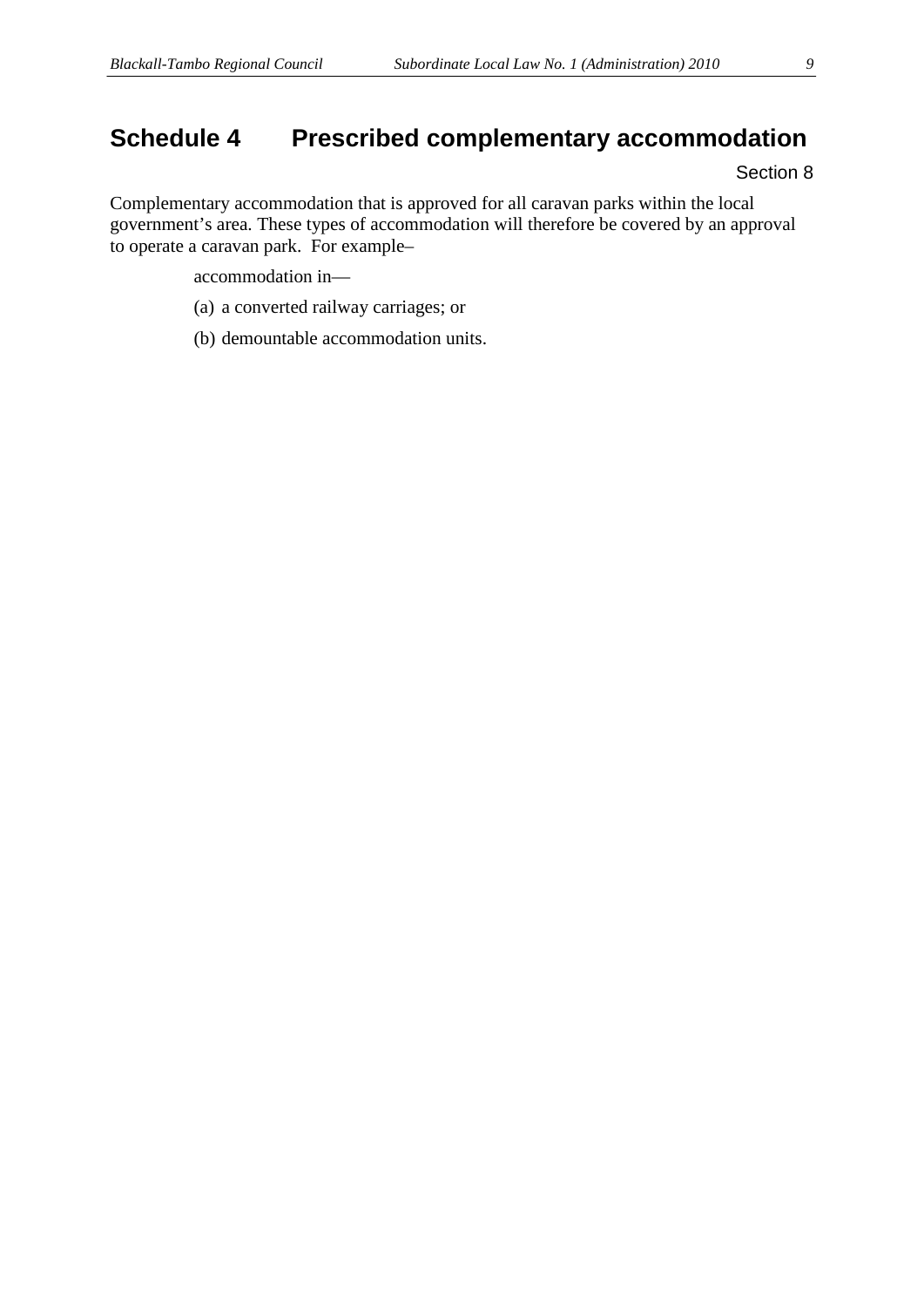# **Schedule 4 Prescribed complementary accommodation**

Section 8

Complementary accommodation that is approved for all caravan parks within the local government's area. These types of accommodation will therefore be covered by an approval to operate a caravan park. For example–

accommodation in—

- (a) a converted railway carriages; or
- (b) demountable accommodation units.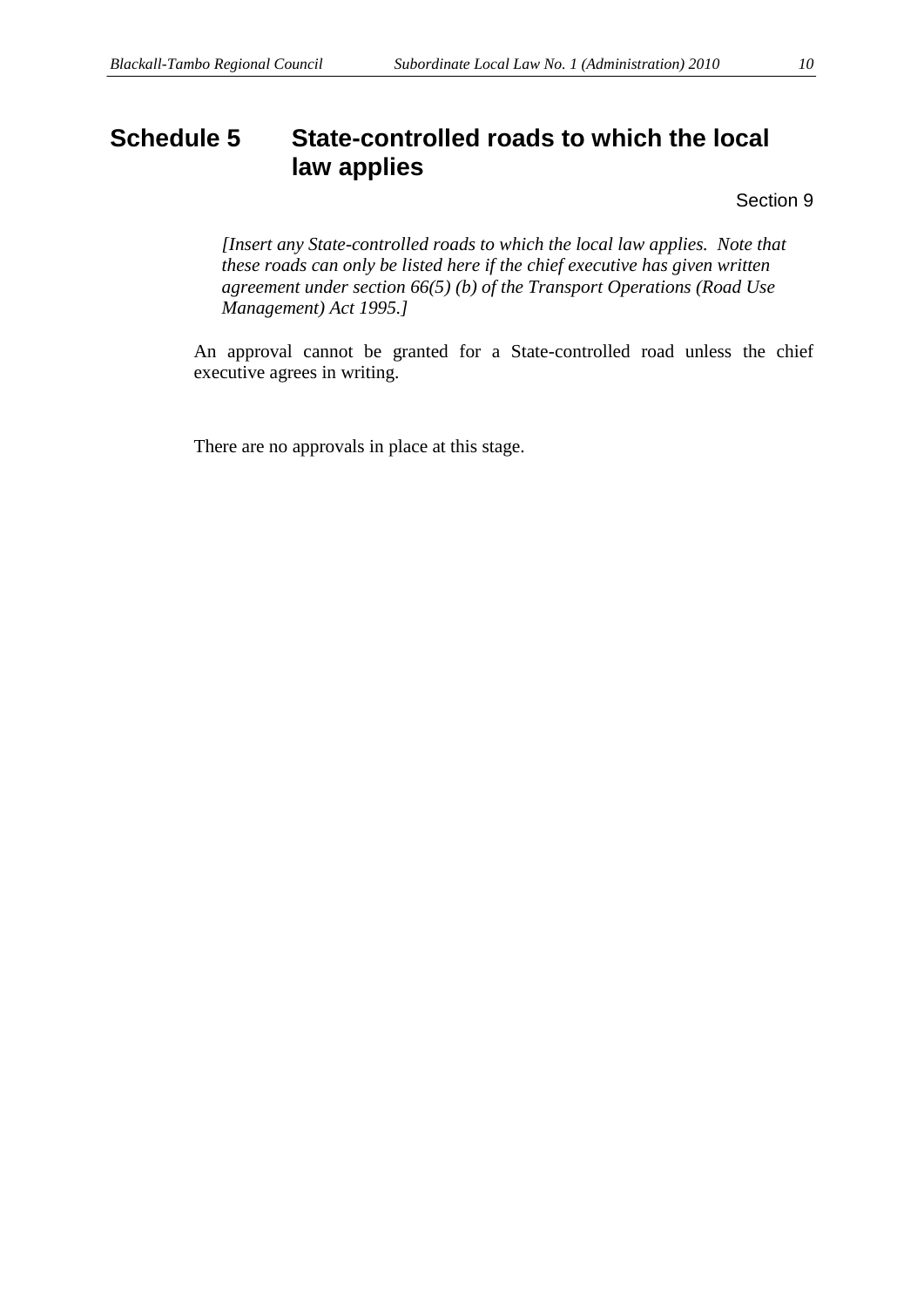# **Schedule 5 State-controlled roads to which the local law applies**

Section 9

*[Insert any State-controlled roads to which the local law applies. Note that these roads can only be listed here if the chief executive has given written agreement under section 66(5) (b) of the Transport Operations (Road Use Management) Act 1995.]*

An approval cannot be granted for a State-controlled road unless the chief executive agrees in writing.

There are no approvals in place at this stage.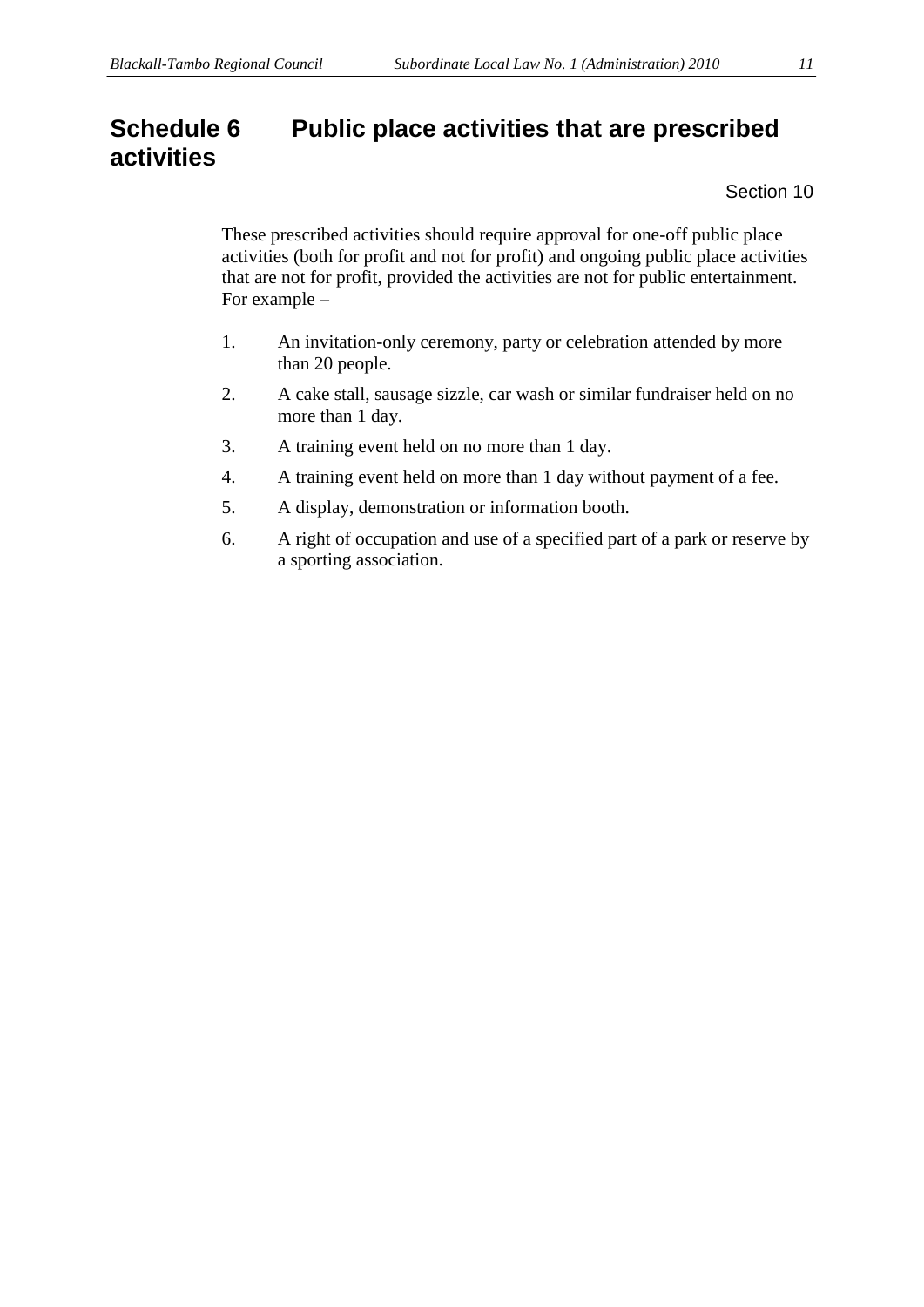# **Schedule 6 Public place activities that are prescribed activities**

Section 10

These prescribed activities should require approval for one-off public place activities (both for profit and not for profit) and ongoing public place activities that are not for profit, provided the activities are not for public entertainment. For example –

- 1. An invitation-only ceremony, party or celebration attended by more than 20 people.
- 2. A cake stall, sausage sizzle, car wash or similar fundraiser held on no more than 1 day.
- 3. A training event held on no more than 1 day.
- 4. A training event held on more than 1 day without payment of a fee.
- 5. A display, demonstration or information booth.
- 6. A right of occupation and use of a specified part of a park or reserve by a sporting association.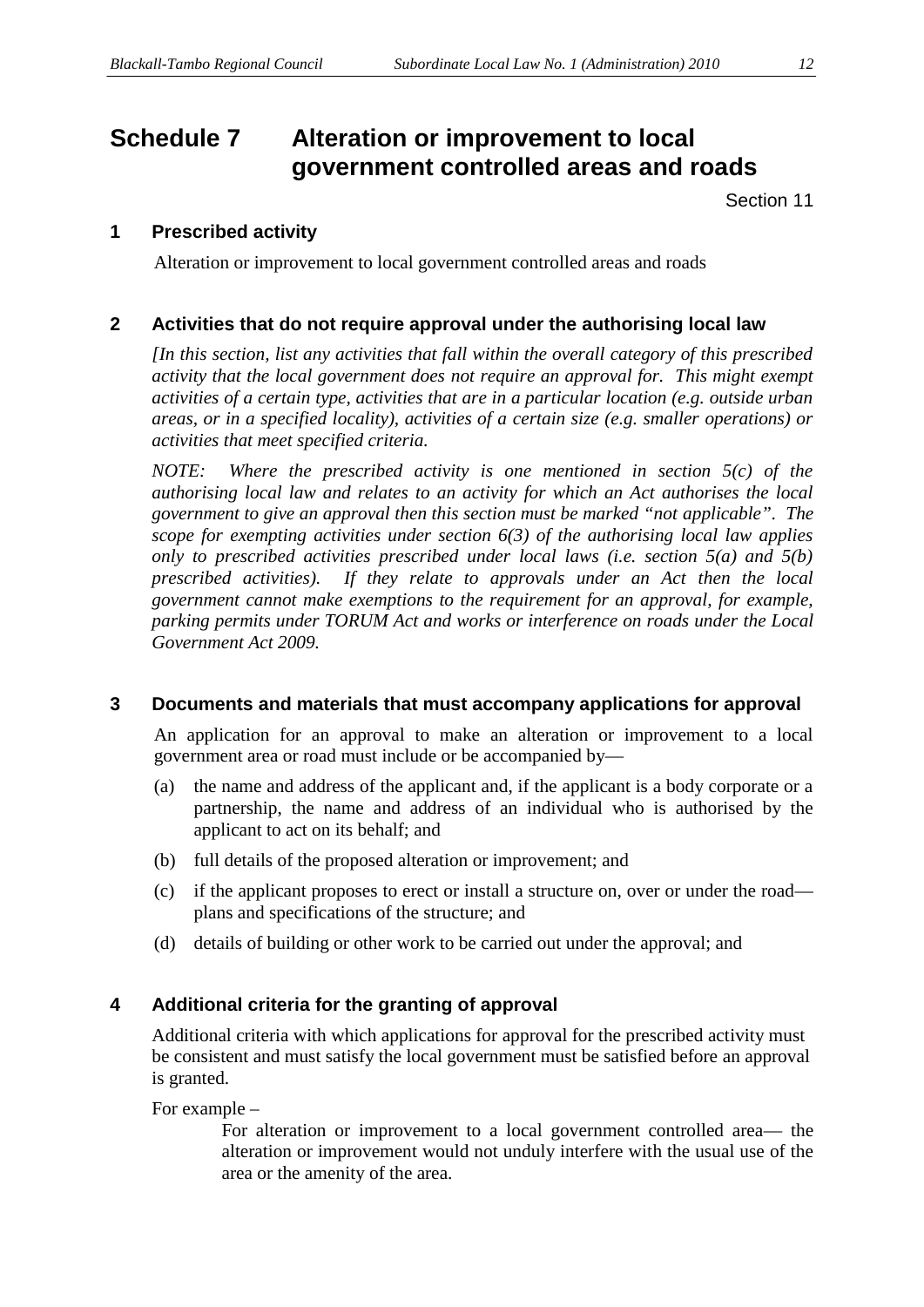# **Schedule 7 Alteration or improvement to local government controlled areas and roads**

Section 11

#### **1 Prescribed activity**

Alteration or improvement to local government controlled areas and roads

#### **2 Activities that do not require approval under the authorising local law**

*[In this section, list any activities that fall within the overall category of this prescribed activity that the local government does not require an approval for. This might exempt activities of a certain type, activities that are in a particular location (e.g. outside urban areas, or in a specified locality), activities of a certain size (e.g. smaller operations) or activities that meet specified criteria.*

*NOTE: Where the prescribed activity is one mentioned in section 5(c) of the authorising local law and relates to an activity for which an Act authorises the local government to give an approval then this section must be marked "not applicable". The scope for exempting activities under section 6(3) of the authorising local law applies only to prescribed activities prescribed under local laws (i.e. section 5(a) and 5(b) prescribed activities). If they relate to approvals under an Act then the local government cannot make exemptions to the requirement for an approval, for example, parking permits under TORUM Act and works or interference on roads under the Local Government Act 2009.*

#### **3 Documents and materials that must accompany applications for approval**

An application for an approval to make an alteration or improvement to a local government area or road must include or be accompanied by—

- (a) the name and address of the applicant and, if the applicant is a body corporate or a partnership, the name and address of an individual who is authorised by the applicant to act on its behalf; and
- (b) full details of the proposed alteration or improvement; and
- (c) if the applicant proposes to erect or install a structure on, over or under the road plans and specifications of the structure; and
- (d) details of building or other work to be carried out under the approval; and

### **4 Additional criteria for the granting of approval**

Additional criteria with which applications for approval for the prescribed activity must be consistent and must satisfy the local government must be satisfied before an approval is granted.

For example –

For alteration or improvement to a local government controlled area— the alteration or improvement would not unduly interfere with the usual use of the area or the amenity of the area.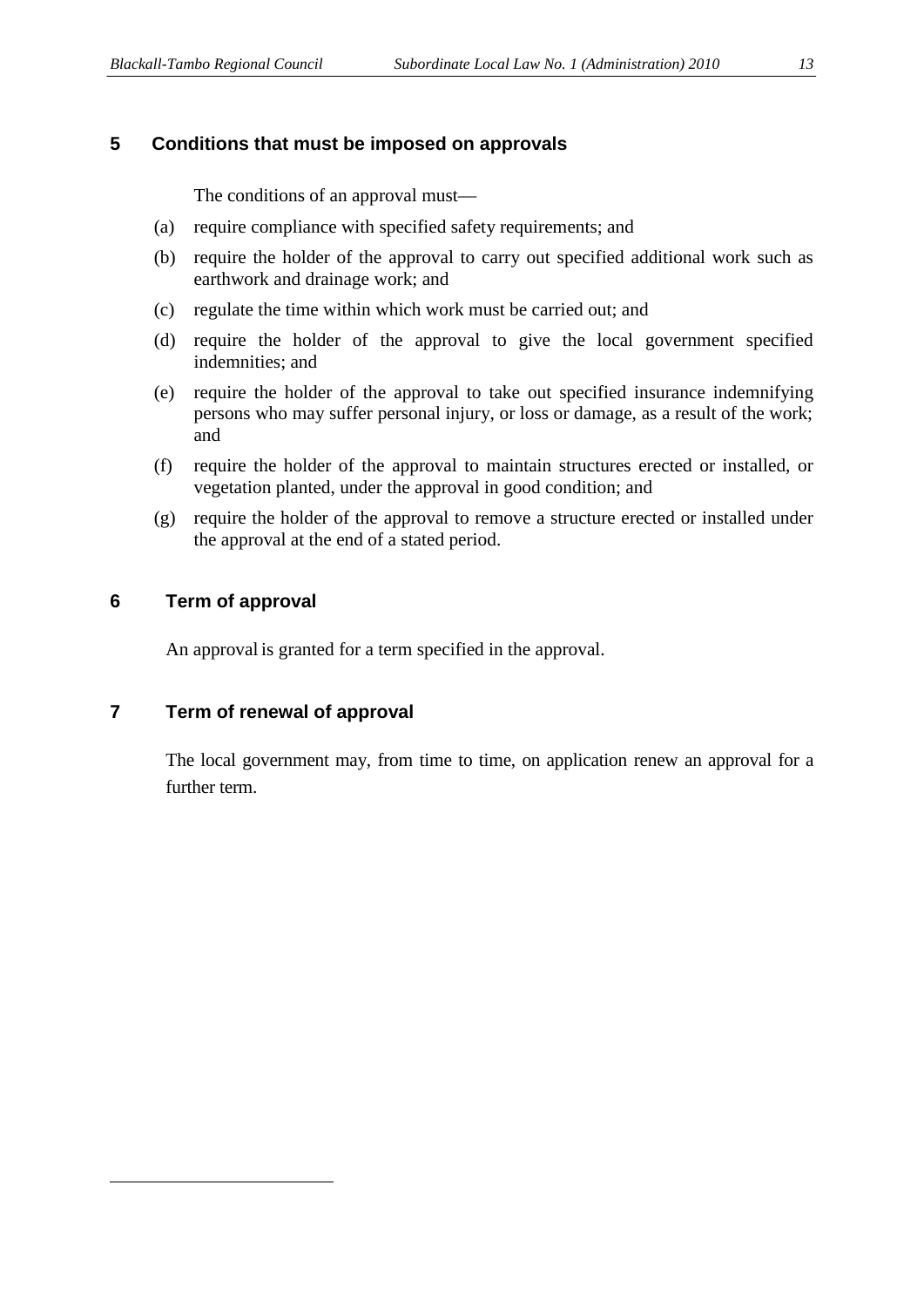### **5 Conditions that must be imposed on approvals**

The conditions of an approval must—

- (a) require compliance with specified safety requirements; and
- (b) require the holder of the approval to carry out specified additional work such as earthwork and drainage work; and
- (c) regulate the time within which work must be carried out; and
- (d) require the holder of the approval to give the local government specified indemnities; and
- (e) require the holder of the approval to take out specified insurance indemnifying persons who may suffer personal injury, or loss or damage, as a result of the work; and
- (f) require the holder of the approval to maintain structures erected or installed, or vegetation planted, under the approval in good condition; and
- (g) require the holder of the approval to remove a structure erected or installed under the approval at the end of a stated period.

### **6 Term of approval**

An approval is granted for a term specified in the approval.

### **7 Term of renewal of approval**

The local government may, from time to time, on application renew an approval for a further term.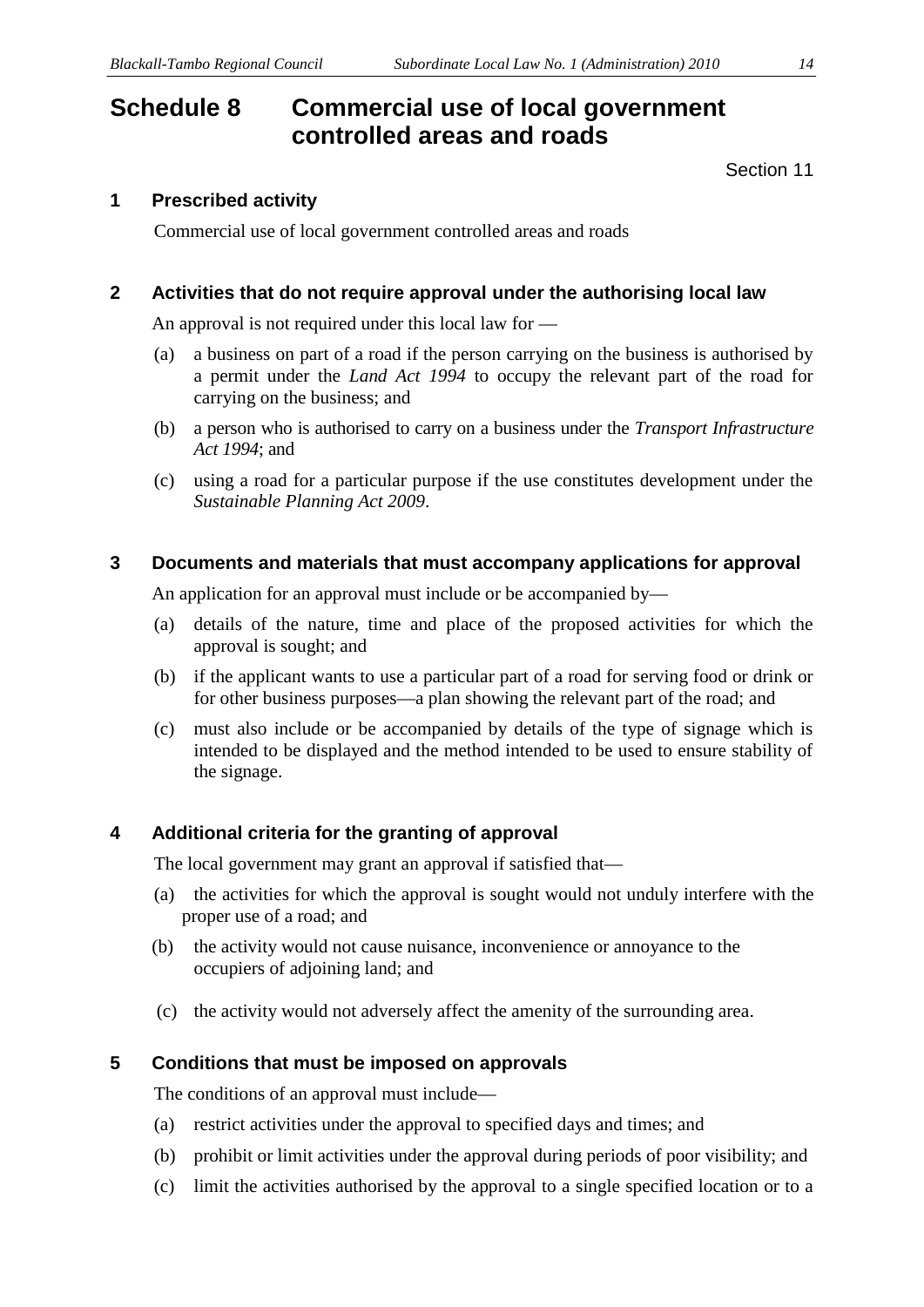# **Schedule 8 Commercial use of local government controlled areas and roads**

Section 11

#### **1 Prescribed activity**

Commercial use of local government controlled areas and roads

#### **2 Activities that do not require approval under the authorising local law**

An approval is not required under this local law for —

- (a) a business on part of a road if the person carrying on the business is authorised by a permit under the *Land Act 1994* to occupy the relevant part of the road for carrying on the business; and
- (b) a person who is authorised to carry on a business under the *Transport Infrastructure Act 1994*; and
- (c) using a road for a particular purpose if the use constitutes development under the *Sustainable Planning Act 2009*.

#### **3 Documents and materials that must accompany applications for approval**

An application for an approval must include or be accompanied by—

- (a) details of the nature, time and place of the proposed activities for which the approval is sought; and
- (b) if the applicant wants to use a particular part of a road for serving food or drink or for other business purposes—a plan showing the relevant part of the road; and
- (c) must also include or be accompanied by details of the type of signage which is intended to be displayed and the method intended to be used to ensure stability of the signage.

### **4 Additional criteria for the granting of approval**

The local government may grant an approval if satisfied that—

- (a) the activities for which the approval is sought would not unduly interfere with the proper use of a road; and
- (b) the activity would not cause nuisance, inconvenience or annoyance to the occupiers of adjoining land; and
- (c) the activity would not adversely affect the amenity of the surrounding area.

#### **5 Conditions that must be imposed on approvals**

The conditions of an approval must include—

- (a) restrict activities under the approval to specified days and times; and
- (b) prohibit or limit activities under the approval during periods of poor visibility; and
- (c) limit the activities authorised by the approval to a single specified location or to a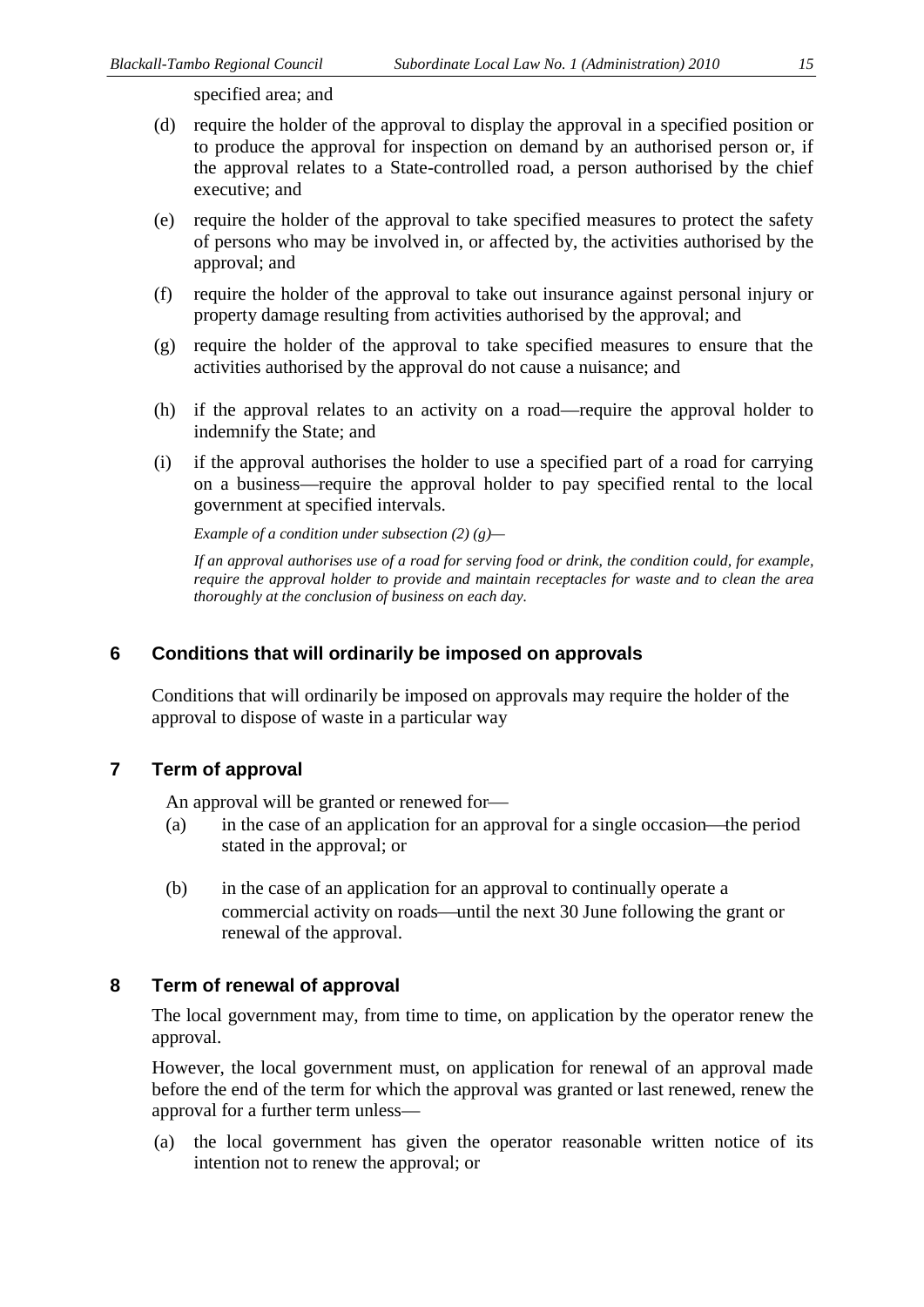specified area; and

- (d) require the holder of the approval to display the approval in a specified position or to produce the approval for inspection on demand by an authorised person or, if the approval relates to a State-controlled road, a person authorised by the chief executive; and
- (e) require the holder of the approval to take specified measures to protect the safety of persons who may be involved in, or affected by, the activities authorised by the approval; and
- (f) require the holder of the approval to take out insurance against personal injury or property damage resulting from activities authorised by the approval; and
- (g) require the holder of the approval to take specified measures to ensure that the activities authorised by the approval do not cause a nuisance; and
- (h) if the approval relates to an activity on a road—require the approval holder to indemnify the State; and
- (i) if the approval authorises the holder to use a specified part of a road for carrying on a business—require the approval holder to pay specified rental to the local government at specified intervals.

*Example of a condition under subsection (2) (g)—*

*If an approval authorises use of a road for serving food or drink, the condition could, for example, require the approval holder to provide and maintain receptacles for waste and to clean the area thoroughly at the conclusion of business on each day.*

#### **6 Conditions that will ordinarily be imposed on approvals**

Conditions that will ordinarily be imposed on approvals may require the holder of the approval to dispose of waste in a particular way

#### **7 Term of approval**

An approval will be granted or renewed for

- (a) in the case of an application for an approval for a single occasion—the period stated in the approval; or
- (b) in the case of an application for an approval to continually operate a commercial activity on roads—until the next 30 June following the grant or renewal of the approval.

#### **8 Term of renewal of approval**

The local government may, from time to time, on application by the operator renew the approval.

However, the local government must, on application for renewal of an approval made before the end of the term for which the approval was granted or last renewed, renew the approval for a further term unless—

(a) the local government has given the operator reasonable written notice of its intention not to renew the approval; or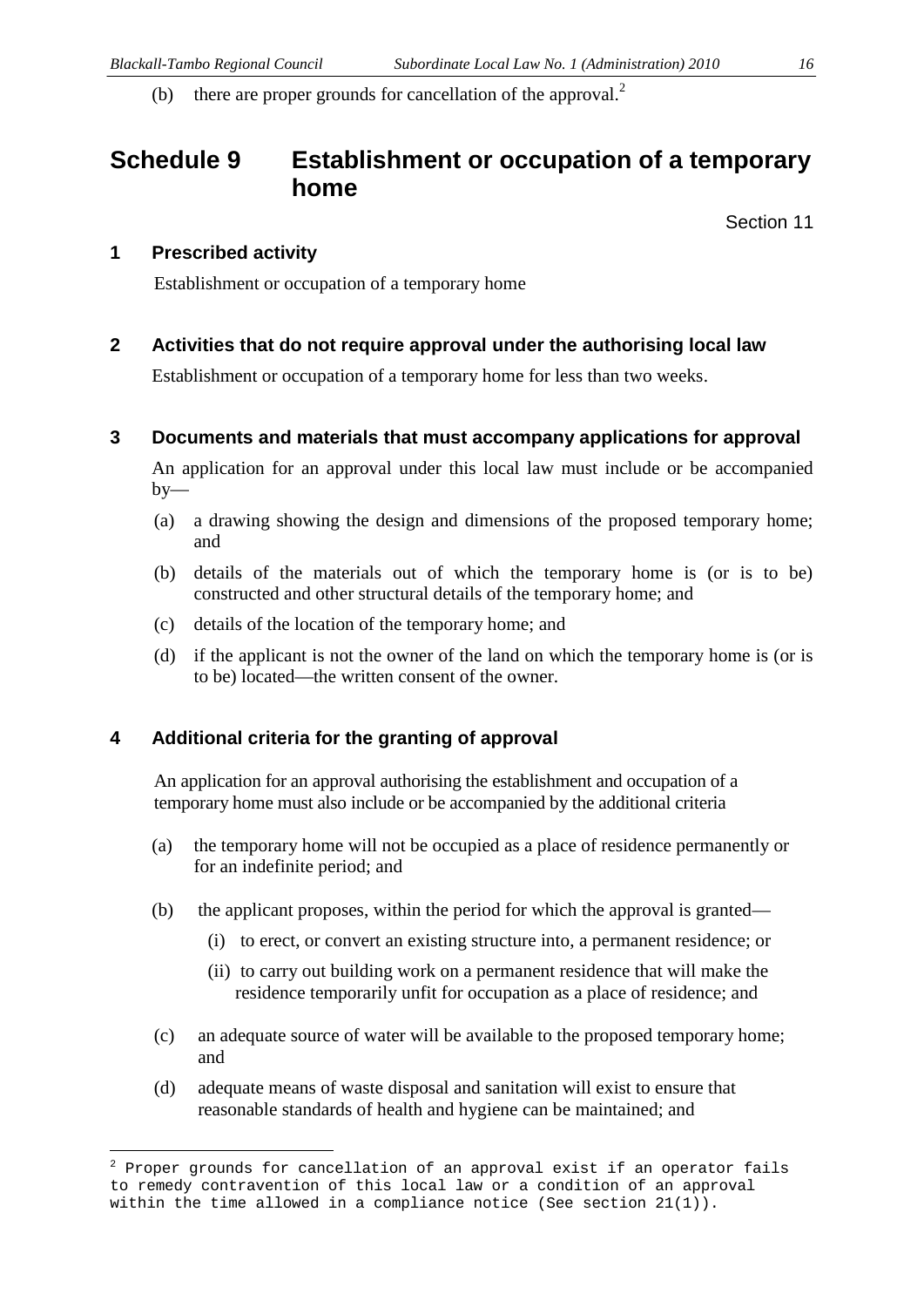(b) there are proper grounds for cancellation of the approval.<sup>2</sup>

# **Schedule 9 Establishment or occupation of a temporary home**

Section 11

### **1 Prescribed activity**

Establishment or occupation of a temporary home

# **2 Activities that do not require approval under the authorising local law**

Establishment or occupation of a temporary home for less than two weeks.

### **3 Documents and materials that must accompany applications for approval**

An application for an approval under this local law must include or be accompanied  $by-$ 

- (a) a drawing showing the design and dimensions of the proposed temporary home; and
- (b) details of the materials out of which the temporary home is (or is to be) constructed and other structural details of the temporary home; and
- (c) details of the location of the temporary home; and
- (d) if the applicant is not the owner of the land on which the temporary home is (or is to be) located—the written consent of the owner.

# **4 Additional criteria for the granting of approval**

An application for an approval authorising the establishment and occupation of a temporary home must also include or be accompanied by the additional criteria

- (a) the temporary home will not be occupied as a place of residence permanently or for an indefinite period; and
- (b) the applicant proposes, within the period for which the approval is granted—
	- (i) to erect, or convert an existing structure into, a permanent residence; or
	- (ii) to carry out building work on a permanent residence that will make the residence temporarily unfit for occupation as a place of residence; and
- (c) an adequate source of water will be available to the proposed temporary home; and
- (d) adequate means of waste disposal and sanitation will exist to ensure that reasonable standards of health and hygiene can be maintained; and

 $2$  Proper grounds for cancellation of an approval exist if an operator fails to remedy contravention of this local law or a condition of an approval within the time allowed in a compliance notice (See section  $21(1)$ ).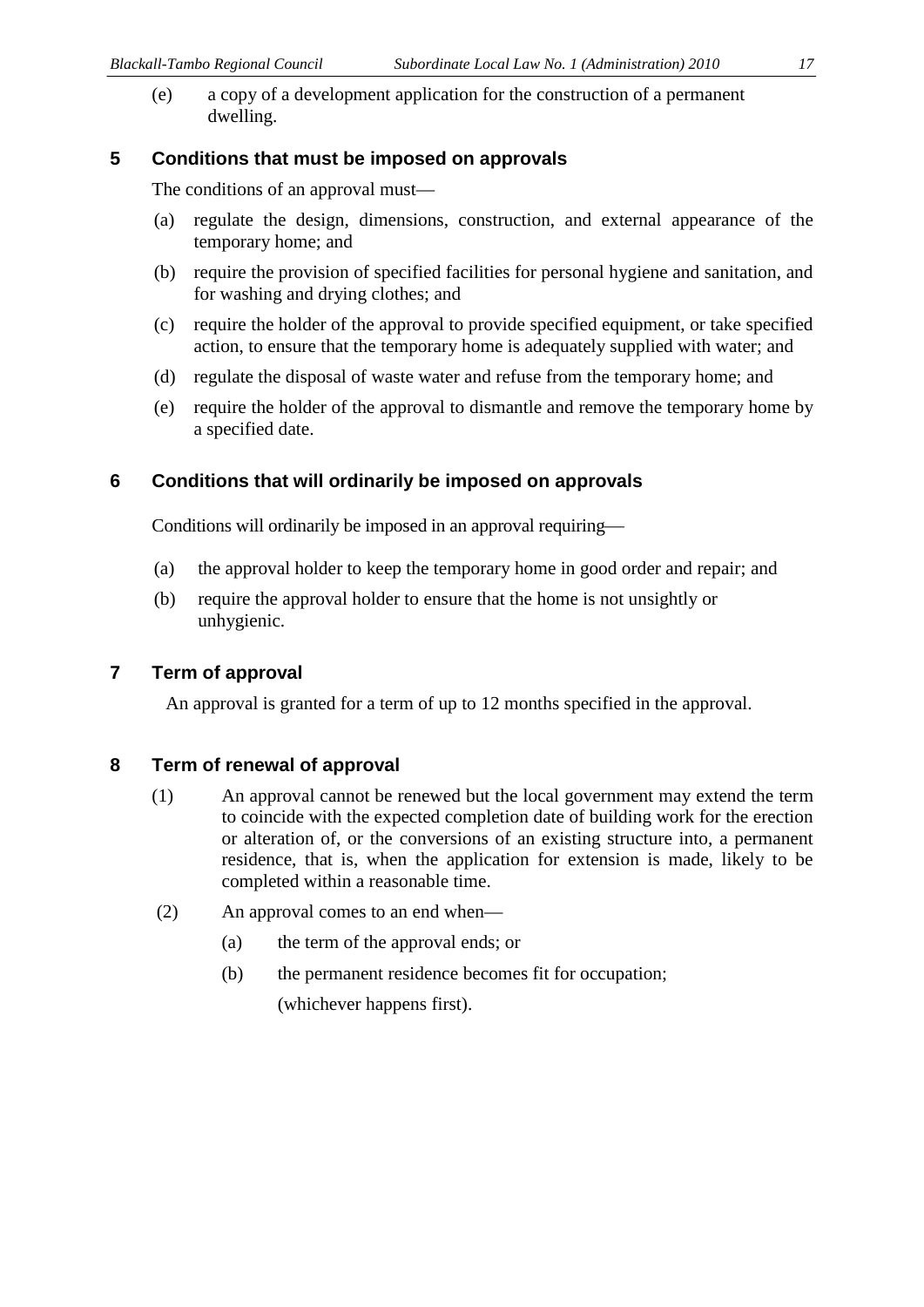(e) a copy of a development application for the construction of a permanent dwelling.

### **5 Conditions that must be imposed on approvals**

The conditions of an approval must—

- (a) regulate the design, dimensions, construction, and external appearance of the temporary home; and
- (b) require the provision of specified facilities for personal hygiene and sanitation, and for washing and drying clothes; and
- (c) require the holder of the approval to provide specified equipment, or take specified action, to ensure that the temporary home is adequately supplied with water; and
- (d) regulate the disposal of waste water and refuse from the temporary home; and
- (e) require the holder of the approval to dismantle and remove the temporary home by a specified date.

### **6 Conditions that will ordinarily be imposed on approvals**

Conditions will ordinarily be imposed in an approval requiring

- (a) the approval holder to keep the temporary home in good order and repair; and
- (b) require the approval holder to ensure that the home is not unsightly or unhygienic.

# **7 Term of approval**

An approval is granted for a term of up to 12 months specified in the approval.

### **8 Term of renewal of approval**

- (1) An approval cannot be renewed but the local government may extend the term to coincide with the expected completion date of building work for the erection or alteration of, or the conversions of an existing structure into, a permanent residence, that is, when the application for extension is made, likely to be completed within a reasonable time.
- (2) An approval comes to an end when—
	- (a) the term of the approval ends; or
	- (b) the permanent residence becomes fit for occupation; (whichever happens first).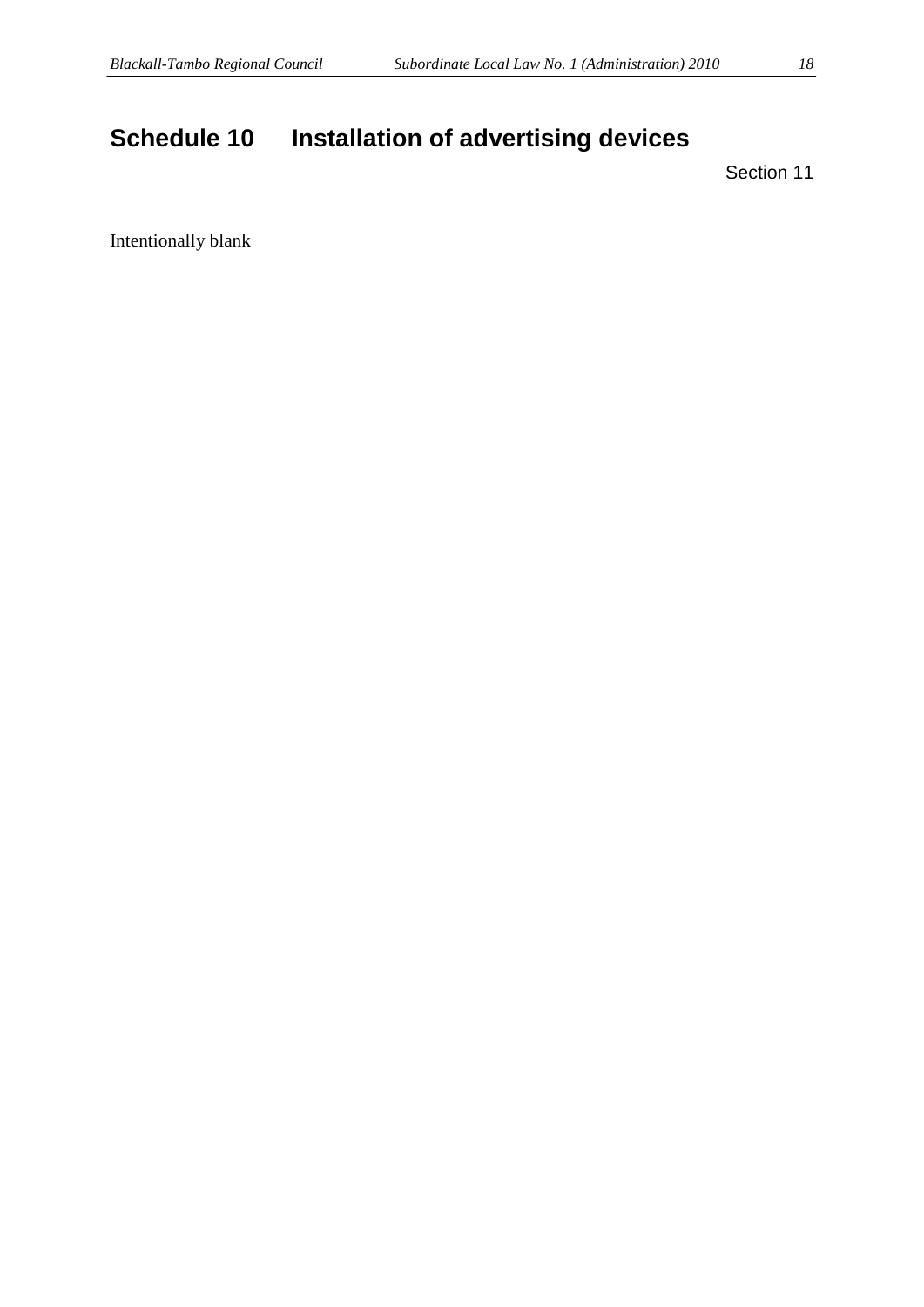# **Schedule 10 Installation of advertising devices**

Section 11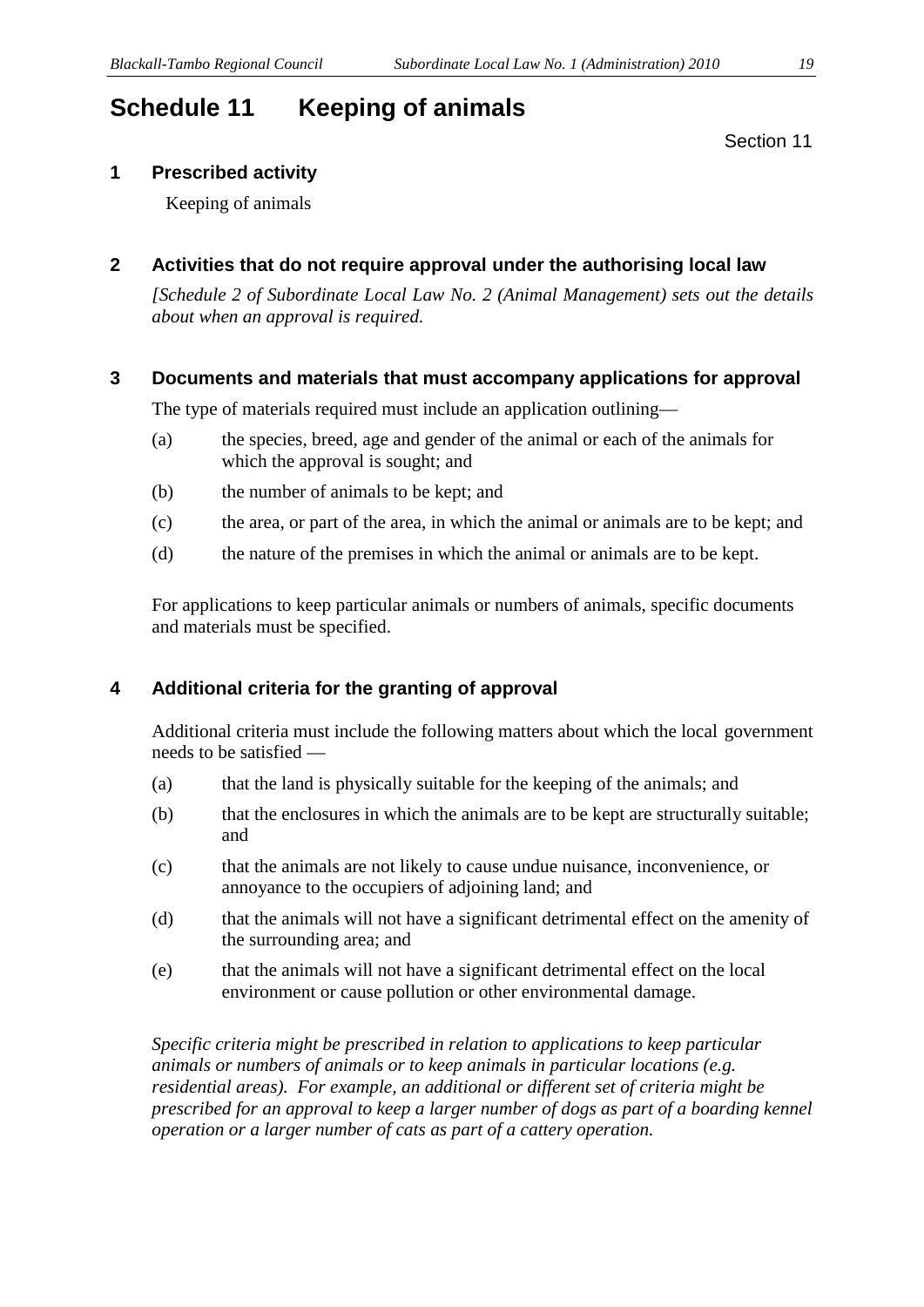# **Schedule 11 Keeping of animals**

#### Section 11

#### **1 Prescribed activity**

Keeping of animals

#### **2 Activities that do not require approval under the authorising local law**

*[Schedule 2 of Subordinate Local Law No. 2 (Animal Management) sets out the details about when an approval is required.*

#### **3 Documents and materials that must accompany applications for approval**

The type of materials required must include an application outlining—

- (a) the species, breed, age and gender of the animal or each of the animals for which the approval is sought; and
- (b) the number of animals to be kept; and
- (c) the area, or part of the area, in which the animal or animals are to be kept; and
- (d) the nature of the premises in which the animal or animals are to be kept.

For applications to keep particular animals or numbers of animals, specific documents and materials must be specified.

### **4 Additional criteria for the granting of approval**

Additional criteria must include the following matters about which the local government needs to be satisfied —

- (a) that the land is physically suitable for the keeping of the animals; and
- (b) that the enclosures in which the animals are to be kept are structurally suitable; and
- (c) that the animals are not likely to cause undue nuisance, inconvenience, or annoyance to the occupiers of adjoining land; and
- (d) that the animals will not have a significant detrimental effect on the amenity of the surrounding area; and
- (e) that the animals will not have a significant detrimental effect on the local environment or cause pollution or other environmental damage.

*Specific criteria might be prescribed in relation to applications to keep particular animals or numbers of animals or to keep animals in particular locations (e.g. residential areas). For example, an additional or different set of criteria might be prescribed for an approval to keep a larger number of dogs as part of a boarding kennel operation or a larger number of cats as part of a cattery operation.*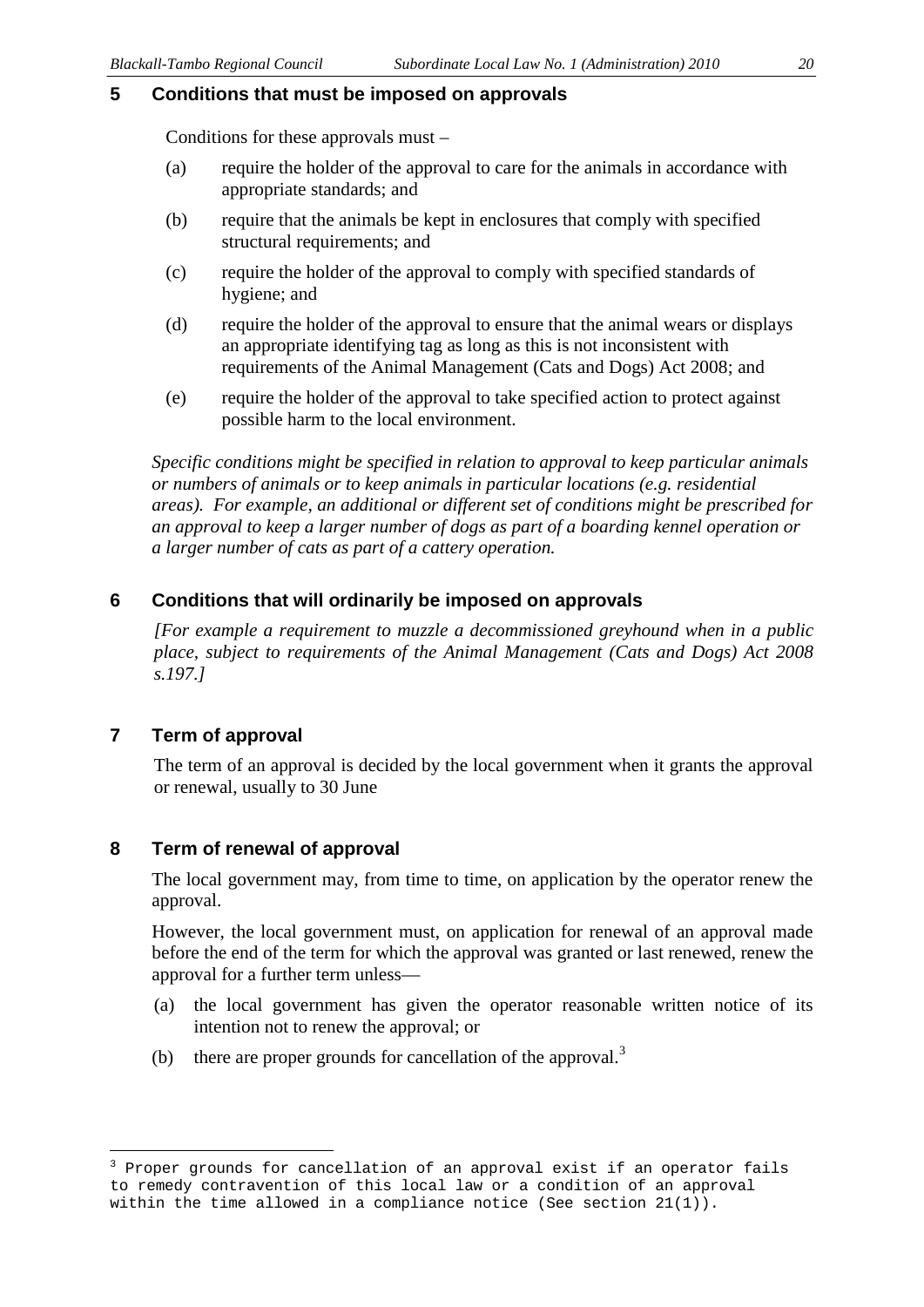### **5 Conditions that must be imposed on approvals**

Conditions for these approvals must –

- (a) require the holder of the approval to care for the animals in accordance with appropriate standards; and
- (b) require that the animals be kept in enclosures that comply with specified structural requirements; and
- (c) require the holder of the approval to comply with specified standards of hygiene; and
- (d) require the holder of the approval to ensure that the animal wears or displays an appropriate identifying tag as long as this is not inconsistent with requirements of the Animal Management (Cats and Dogs) Act 2008; and
- (e) require the holder of the approval to take specified action to protect against possible harm to the local environment.

*Specific conditions might be specified in relation to approval to keep particular animals or numbers of animals or to keep animals in particular locations (e.g. residential areas). For example, an additional or different set of conditions might be prescribed for an approval to keep a larger number of dogs as part of a boarding kennel operation or a larger number of cats as part of a cattery operation.*

### **6 Conditions that will ordinarily be imposed on approvals**

*[For example a requirement to muzzle a decommissioned greyhound when in a public place, subject to requirements of the Animal Management (Cats and Dogs) Act 2008 s.197.]*

# **7 Term of approval**

The term of an approval is decided by the local government when it grants the approval or renewal, usually to 30 June

### **8 Term of renewal of approval**

The local government may, from time to time, on application by the operator renew the approval.

However, the local government must, on application for renewal of an approval made before the end of the term for which the approval was granted or last renewed, renew the approval for a further term unless—

- (a) the local government has given the operator reasonable written notice of its intention not to renew the approval; or
- (b) there are proper grounds for cancellation of the approval.<sup>3</sup>

<sup>&</sup>lt;sup>3</sup> Proper grounds for cancellation of an approval exist if an operator fails to remedy contravention of this local law or a condition of an approval within the time allowed in a compliance notice (See section 21(1)).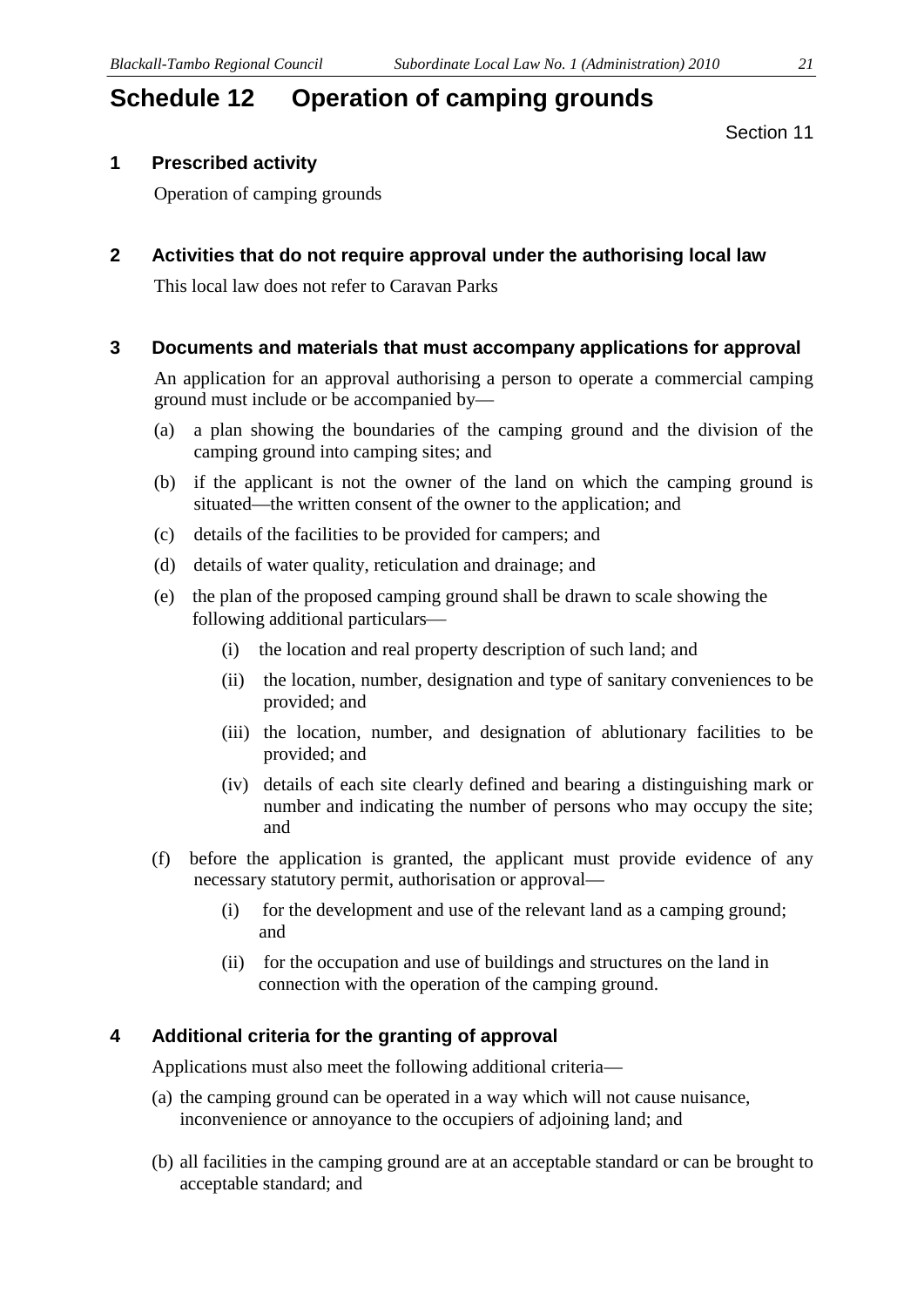# **Schedule 12 Operation of camping grounds**

### Section 11

### **1 Prescribed activity**

Operation of camping grounds

### **2 Activities that do not require approval under the authorising local law**

This local law does not refer to Caravan Parks

### **3 Documents and materials that must accompany applications for approval**

An application for an approval authorising a person to operate a commercial camping ground must include or be accompanied by—

- (a) a plan showing the boundaries of the camping ground and the division of the camping ground into camping sites; and
- (b) if the applicant is not the owner of the land on which the camping ground is situated—the written consent of the owner to the application; and
- (c) details of the facilities to be provided for campers; and
- (d) details of water quality, reticulation and drainage; and
- (e) the plan of the proposed camping ground shall be drawn to scale showing the following additional particulars
	- (i) the location and real property description of such land; and
	- (ii) the location, number, designation and type of sanitary conveniences to be provided; and
	- (iii) the location, number, and designation of ablutionary facilities to be provided; and
	- (iv) details of each site clearly defined and bearing a distinguishing mark or number and indicating the number of persons who may occupy the site; and
- (f) before the application is granted, the applicant must provide evidence of any necessary statutory permit, authorisation or approval—
	- (i) for the development and use of the relevant land as a camping ground; and
	- (ii) for the occupation and use of buildings and structures on the land in connection with the operation of the camping ground.

# **4 Additional criteria for the granting of approval**

Applications must also meet the following additional criteria—

- (a) the camping ground can be operated in a way which will not cause nuisance, inconvenience or annoyance to the occupiers of adjoining land; and
- (b) all facilities in the camping ground are at an acceptable standard or can be brought to acceptable standard; and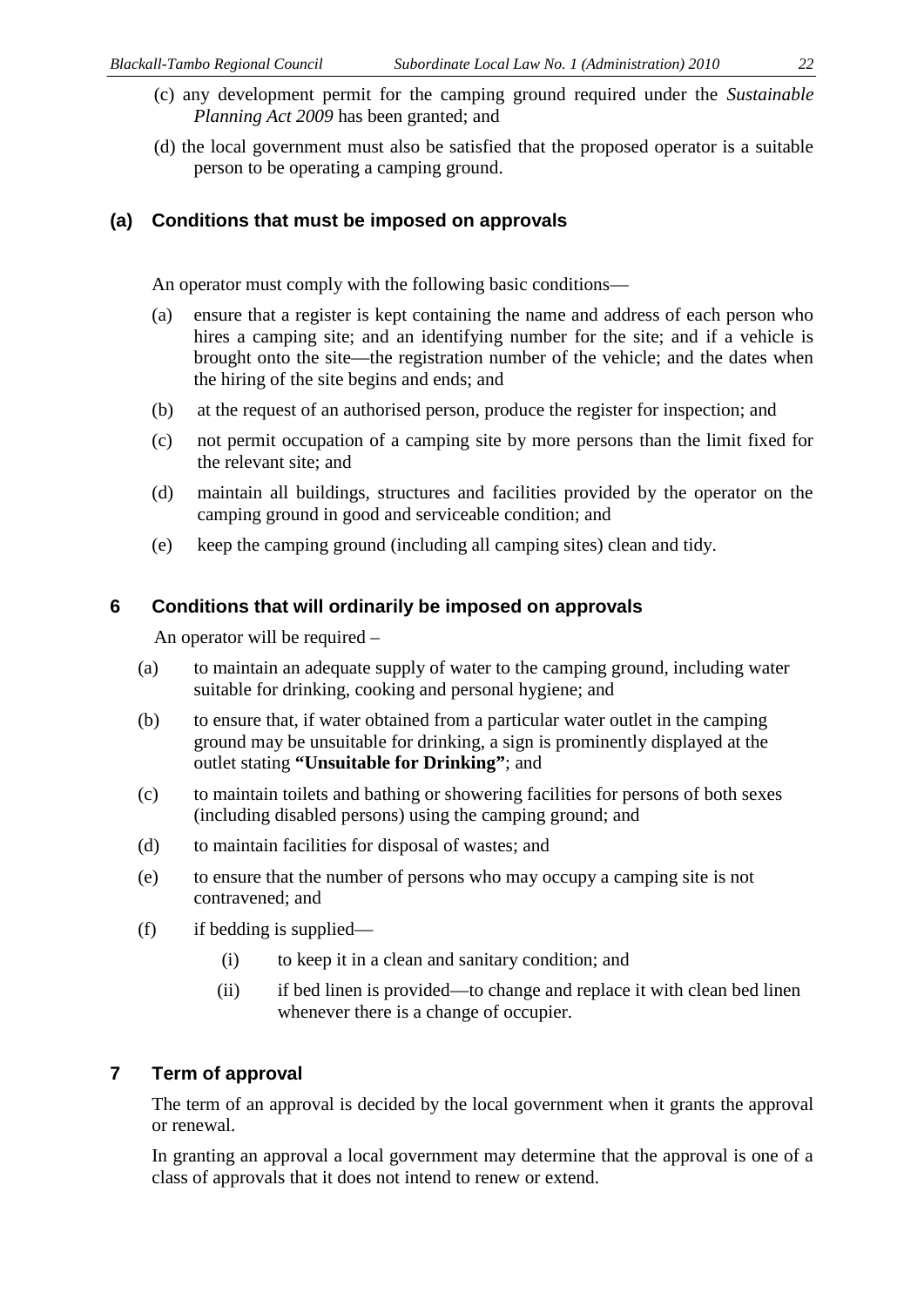- (c) any development permit for the camping ground required under the *Sustainable Planning Act 2009* has been granted; and
- (d) the local government must also be satisfied that the proposed operator is a suitable person to be operating a camping ground.

### **(a) Conditions that must be imposed on approvals**

An operator must comply with the following basic conditions—

- (a) ensure that a register is kept containing the name and address of each person who hires a camping site; and an identifying number for the site; and if a vehicle is brought onto the site—the registration number of the vehicle; and the dates when the hiring of the site begins and ends; and
- (b) at the request of an authorised person, produce the register for inspection; and
- (c) not permit occupation of a camping site by more persons than the limit fixed for the relevant site; and
- (d) maintain all buildings, structures and facilities provided by the operator on the camping ground in good and serviceable condition; and
- (e) keep the camping ground (including all camping sites) clean and tidy.

#### **6 Conditions that will ordinarily be imposed on approvals**

An operator will be required –

- (a) to maintain an adequate supply of water to the camping ground, including water suitable for drinking, cooking and personal hygiene; and
- (b) to ensure that, if water obtained from a particular water outlet in the camping ground may be unsuitable for drinking, a sign is prominently displayed at the outlet stating **"Unsuitable for Drinking"**; and
- (c) to maintain toilets and bathing or showering facilities for persons of both sexes (including disabled persons) using the camping ground; and
- (d) to maintain facilities for disposal of wastes; and
- (e) to ensure that the number of persons who may occupy a camping site is not contravened; and
- (f) if bedding is supplied—
	- (i) to keep it in a clean and sanitary condition; and
	- (ii) if bed linen is provided—to change and replace it with clean bed linen whenever there is a change of occupier.

### **7 Term of approval**

The term of an approval is decided by the local government when it grants the approval or renewal.

In granting an approval a local government may determine that the approval is one of a class of approvals that it does not intend to renew or extend.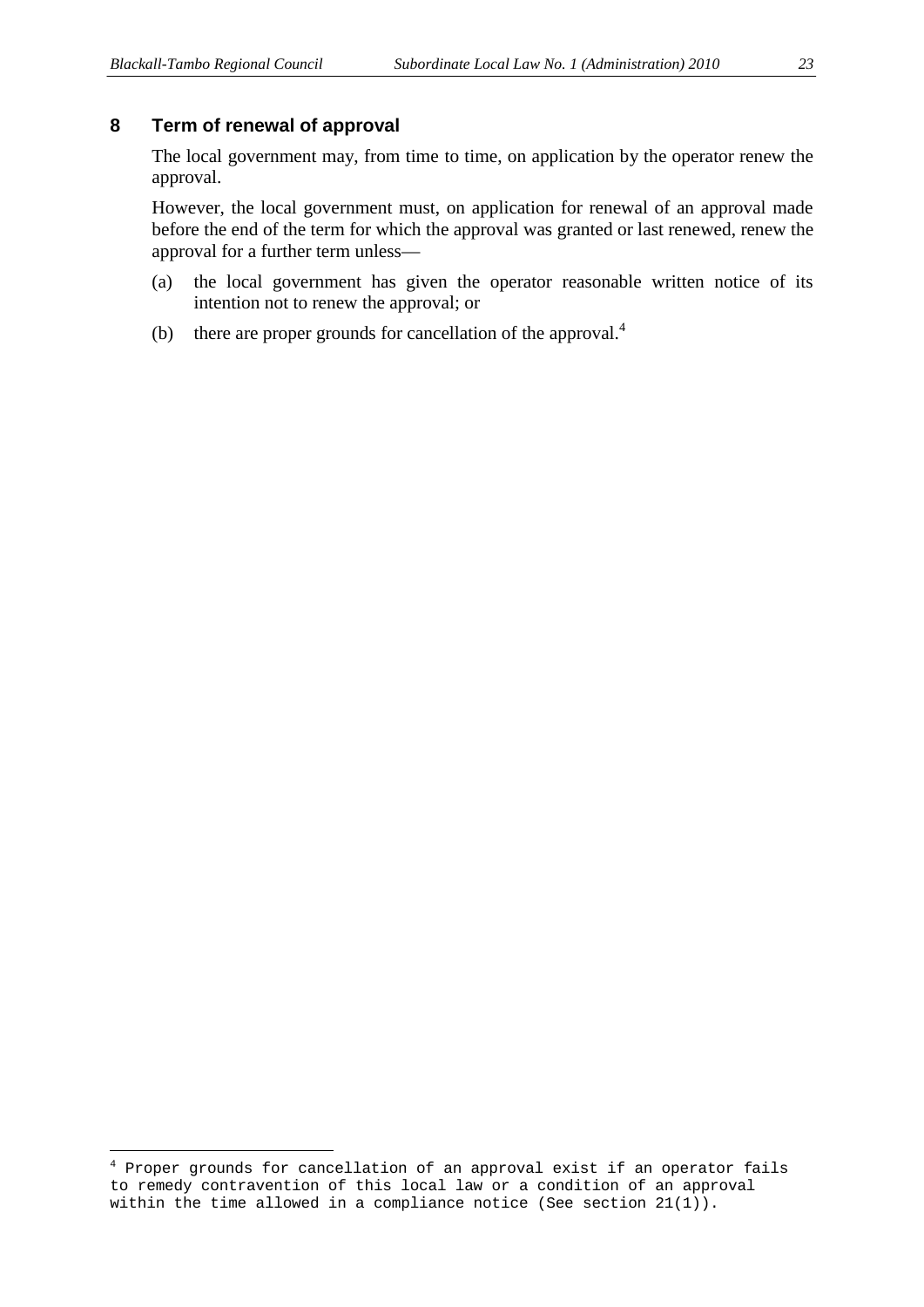#### **8 Term of renewal of approval**

The local government may, from time to time, on application by the operator renew the approval.

However, the local government must, on application for renewal of an approval made before the end of the term for which the approval was granted or last renewed, renew the approval for a further term unless—

- (a) the local government has given the operator reasonable written notice of its intention not to renew the approval; or
- (b) there are proper grounds for cancellation of the approval. $<sup>4</sup>$ </sup>

<sup>4</sup> Proper grounds for cancellation of an approval exist if an operator fails to remedy contravention of this local law or a condition of an approval within the time allowed in a compliance notice (See section 21(1)).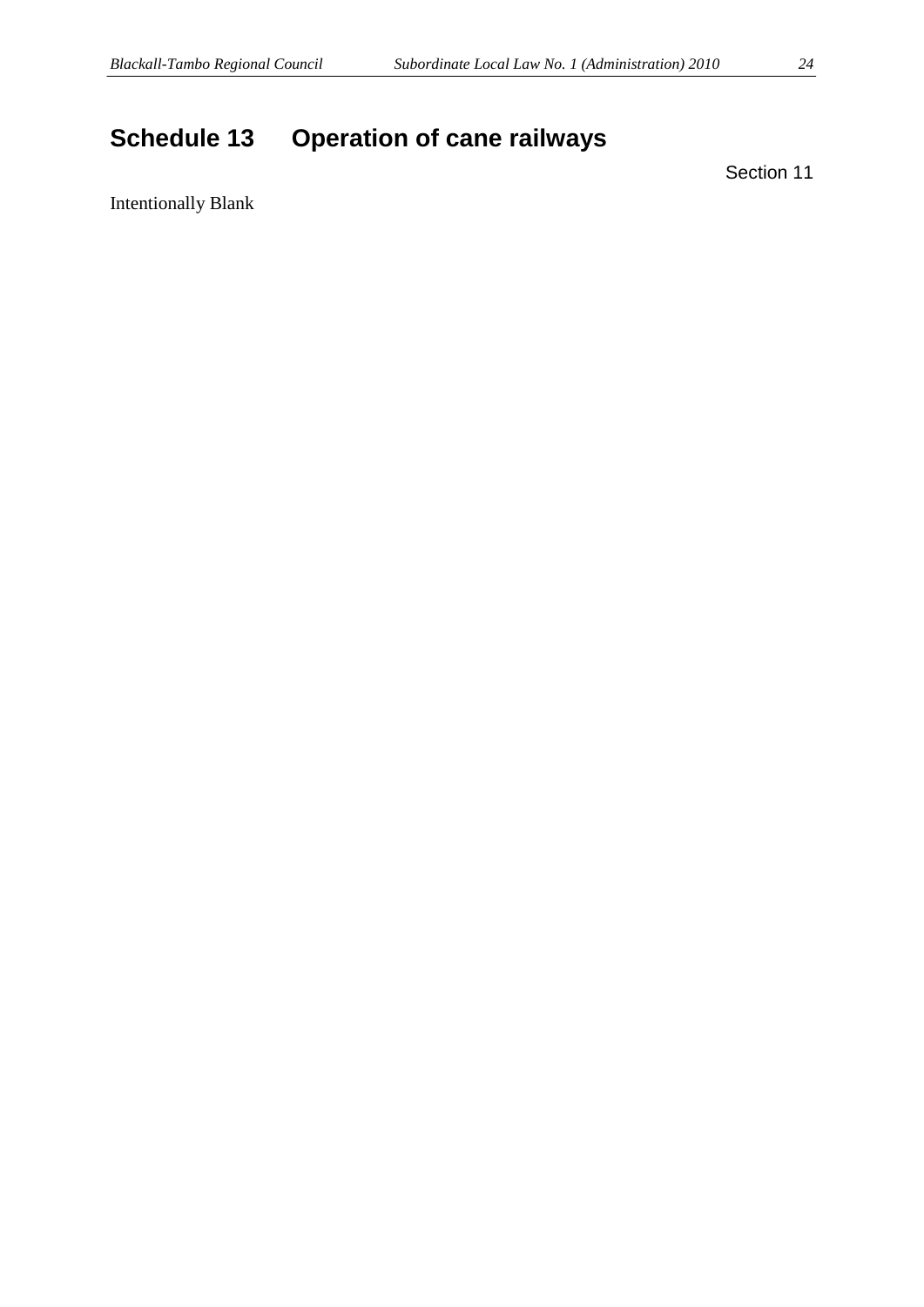# **Schedule 13 Operation of cane railways**

Section 11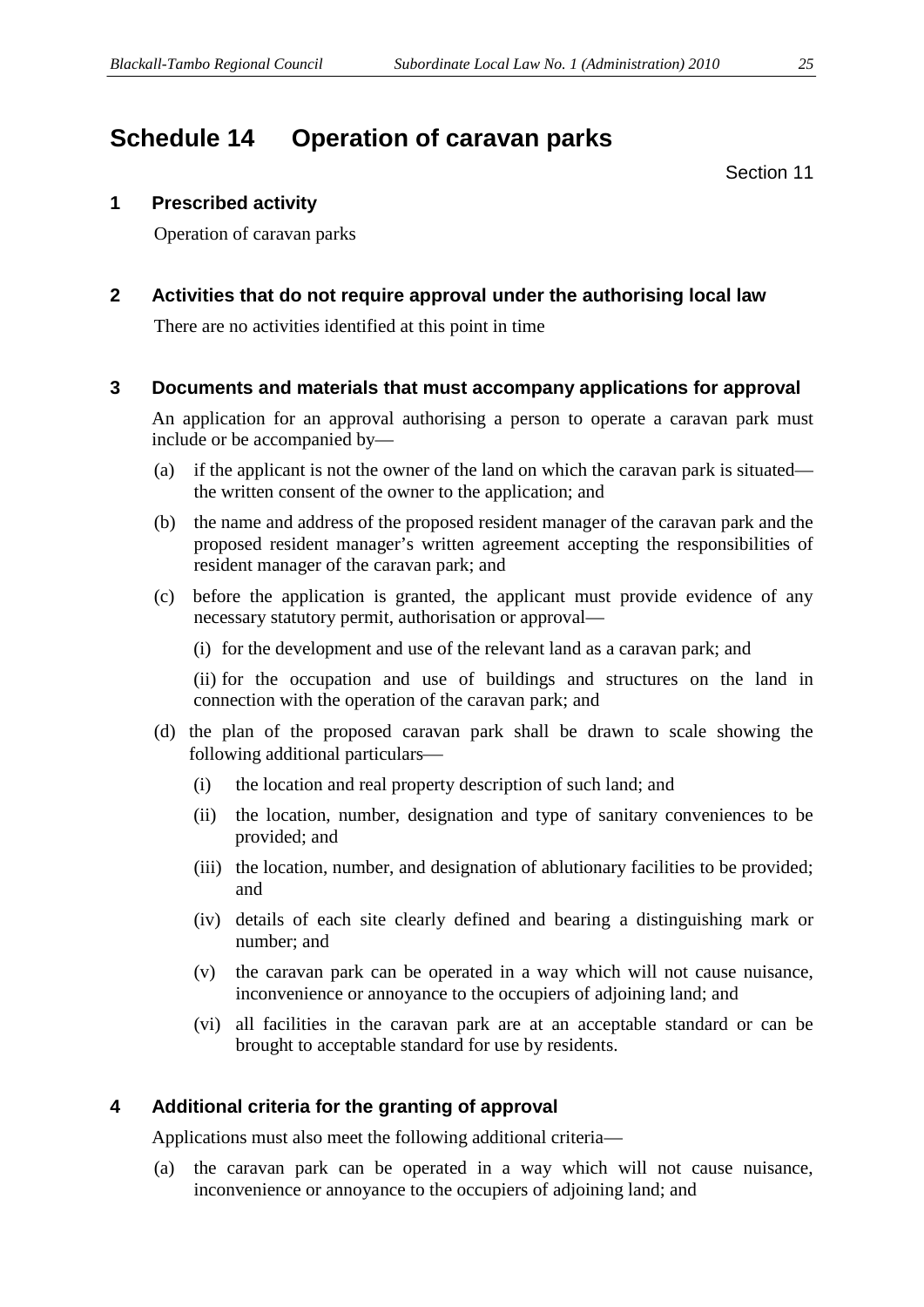# **Schedule 14 Operation of caravan parks**

Section 11

#### **1 Prescribed activity**

Operation of caravan parks

#### **2 Activities that do not require approval under the authorising local law**

There are no activities identified at this point in time

#### **3 Documents and materials that must accompany applications for approval**

An application for an approval authorising a person to operate a caravan park must include or be accompanied by—

- (a) if the applicant is not the owner of the land on which the caravan park is situated the written consent of the owner to the application; and
- (b) the name and address of the proposed resident manager of the caravan park and the proposed resident manager's written agreement accepting the responsibilities of resident manager of the caravan park; and
- (c) before the application is granted, the applicant must provide evidence of any necessary statutory permit, authorisation or approval—
	- (i) for the development and use of the relevant land as a caravan park; and

(ii) for the occupation and use of buildings and structures on the land in connection with the operation of the caravan park; and

- (d) the plan of the proposed caravan park shall be drawn to scale showing the following additional particulars
	- (i) the location and real property description of such land; and
	- (ii) the location, number, designation and type of sanitary conveniences to be provided; and
	- (iii) the location, number, and designation of ablutionary facilities to be provided; and
	- (iv) details of each site clearly defined and bearing a distinguishing mark or number; and
	- (v) the caravan park can be operated in a way which will not cause nuisance, inconvenience or annoyance to the occupiers of adjoining land; and
	- (vi) all facilities in the caravan park are at an acceptable standard or can be brought to acceptable standard for use by residents.

### **4 Additional criteria for the granting of approval**

Applications must also meet the following additional criteria—

(a) the caravan park can be operated in a way which will not cause nuisance, inconvenience or annoyance to the occupiers of adjoining land; and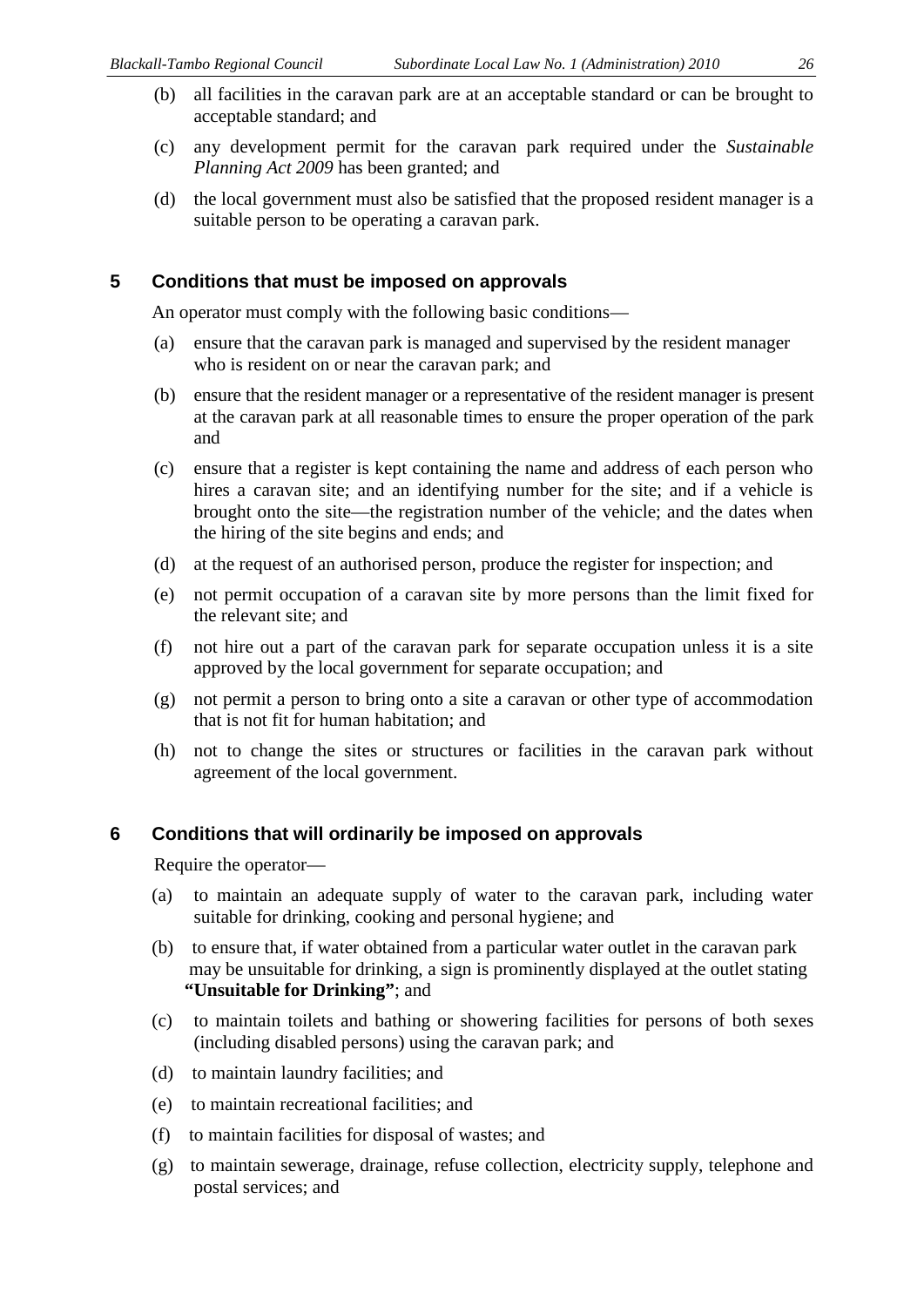- (b) all facilities in the caravan park are at an acceptable standard or can be brought to acceptable standard; and
- (c) any development permit for the caravan park required under the *Sustainable Planning Act 2009* has been granted; and
- (d) the local government must also be satisfied that the proposed resident manager is a suitable person to be operating a caravan park.

### **5 Conditions that must be imposed on approvals**

An operator must comply with the following basic conditions—

- (a) ensure that the caravan park is managed and supervised by the resident manager who is resident on or near the caravan park; and
- (b) ensure that the resident manager or a representative of the resident manager is present at the caravan park at all reasonable times to ensure the proper operation of the park and
- (c) ensure that a register is kept containing the name and address of each person who hires a caravan site; and an identifying number for the site; and if a vehicle is brought onto the site—the registration number of the vehicle; and the dates when the hiring of the site begins and ends; and
- (d) at the request of an authorised person, produce the register for inspection; and
- (e) not permit occupation of a caravan site by more persons than the limit fixed for the relevant site; and
- (f) not hire out a part of the caravan park for separate occupation unless it is a site approved by the local government for separate occupation; and
- (g) not permit a person to bring onto a site a caravan or other type of accommodation that is not fit for human habitation; and
- (h) not to change the sites or structures or facilities in the caravan park without agreement of the local government.

### **6 Conditions that will ordinarily be imposed on approvals**

Require the operator—

- (a) to maintain an adequate supply of water to the caravan park, including water suitable for drinking, cooking and personal hygiene; and
- (b) to ensure that, if water obtained from a particular water outlet in the caravan park may be unsuitable for drinking, a sign is prominently displayed at the outlet stating **"Unsuitable for Drinking"**; and
- (c) to maintain toilets and bathing or showering facilities for persons of both sexes (including disabled persons) using the caravan park; and
- (d) to maintain laundry facilities; and
- (e) to maintain recreational facilities; and
- (f) to maintain facilities for disposal of wastes; and
- (g) to maintain sewerage, drainage, refuse collection, electricity supply, telephone and postal services; and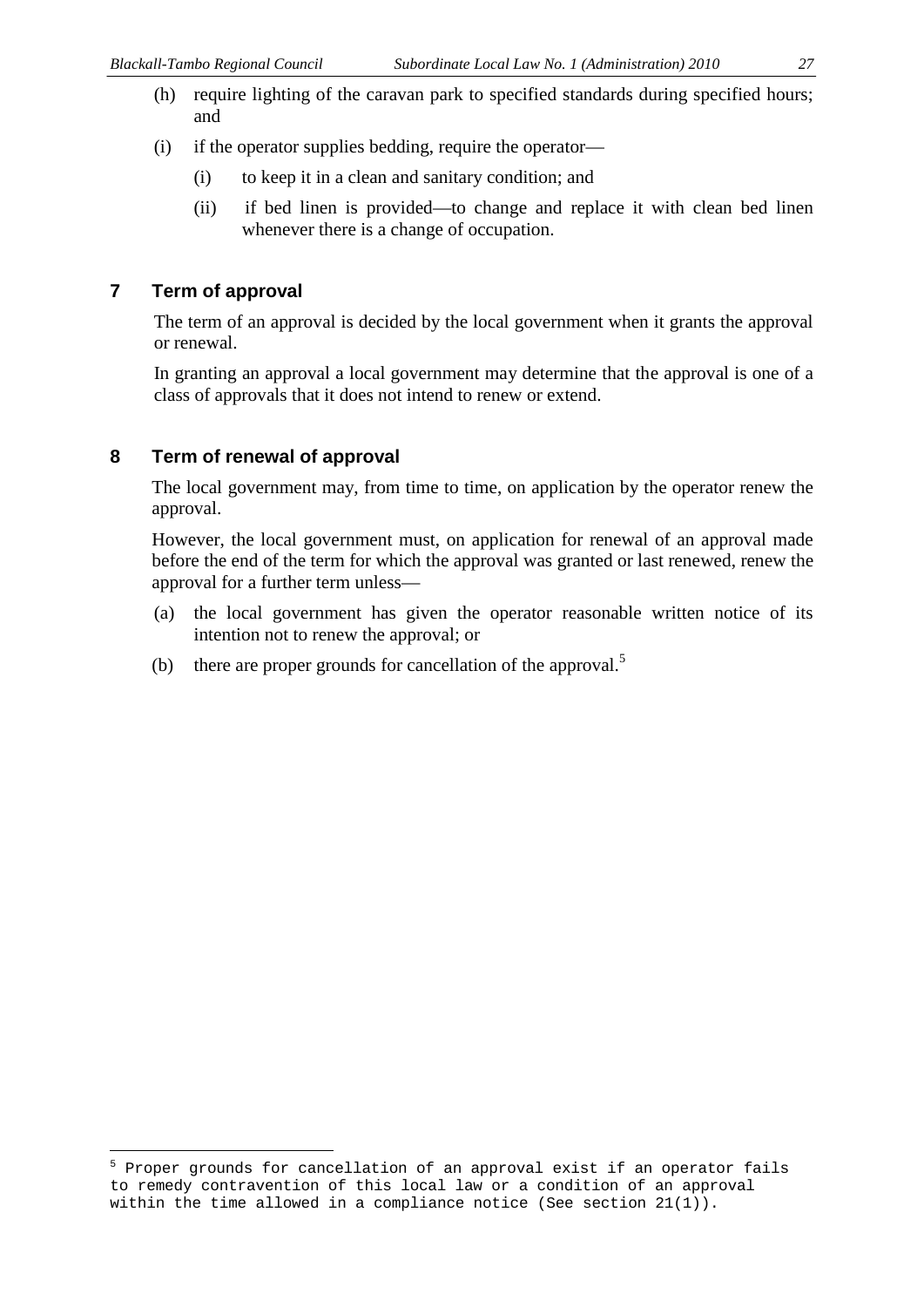- (h) require lighting of the caravan park to specified standards during specified hours; and
- (i) if the operator supplies bedding, require the operator—
	- (i) to keep it in a clean and sanitary condition; and
	- (ii) if bed linen is provided—to change and replace it with clean bed linen whenever there is a change of occupation.

### **7 Term of approval**

The term of an approval is decided by the local government when it grants the approval or renewal.

In granting an approval a local government may determine that the approval is one of a class of approvals that it does not intend to renew or extend.

### **8 Term of renewal of approval**

The local government may, from time to time, on application by the operator renew the approval.

However, the local government must, on application for renewal of an approval made before the end of the term for which the approval was granted or last renewed, renew the approval for a further term unless—

- (a) the local government has given the operator reasonable written notice of its intention not to renew the approval; or
- (b) there are proper grounds for cancellation of the approval.<sup>5</sup>

<sup>&</sup>lt;sup>5</sup> Proper grounds for cancellation of an approval exist if an operator fails to remedy contravention of this local law or a condition of an approval within the time allowed in a compliance notice (See section 21(1)).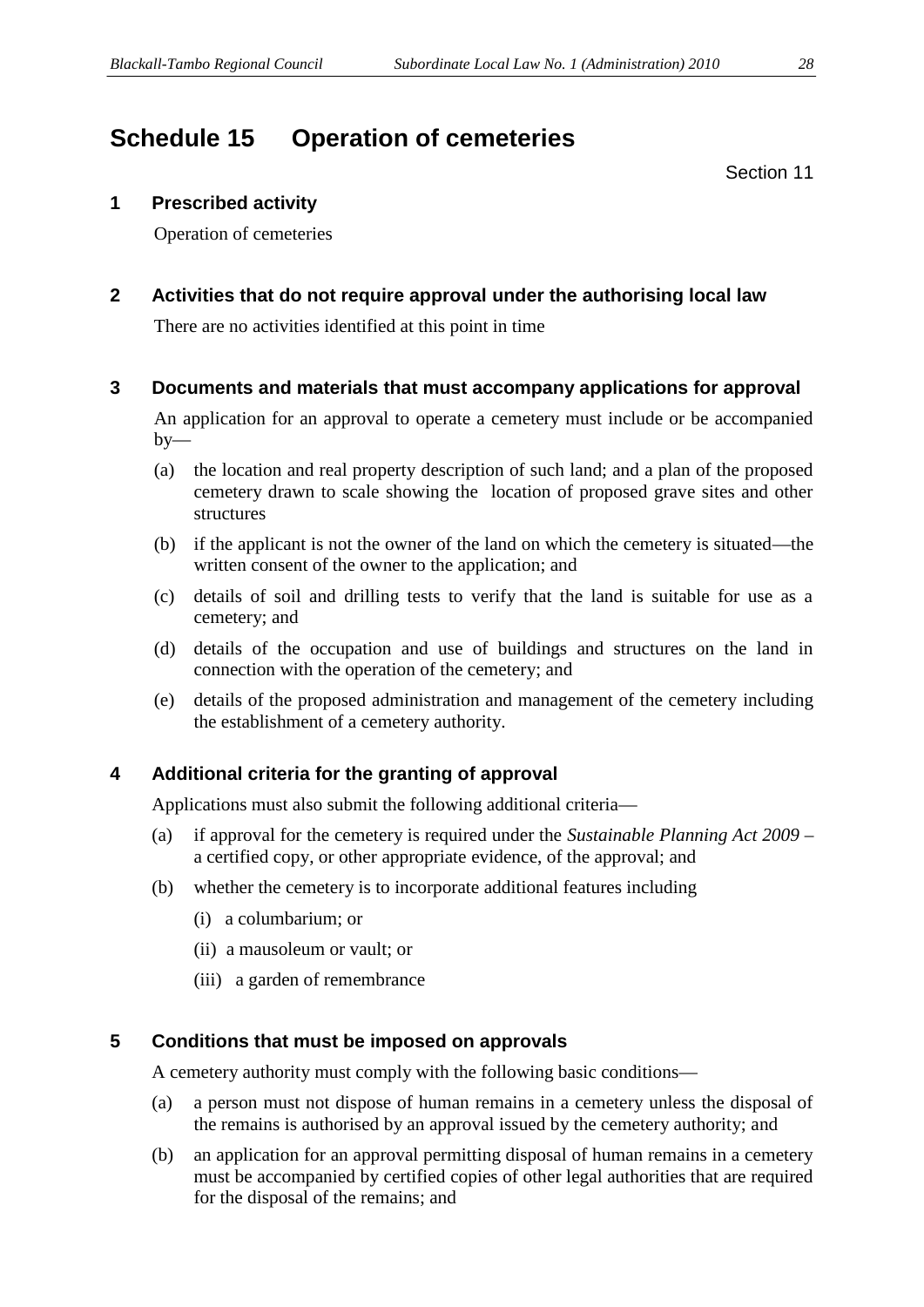# **Schedule 15 Operation of cemeteries**

Section 11

### **1 Prescribed activity**

Operation of cemeteries

### **2 Activities that do not require approval under the authorising local law**

There are no activities identified at this point in time

### **3 Documents and materials that must accompany applications for approval**

An application for an approval to operate a cemetery must include or be accompanied by—

- (a) the location and real property description of such land; and a plan of the proposed cemetery drawn to scale showing the location of proposed grave sites and other structures
- (b) if the applicant is not the owner of the land on which the cemetery is situated—the written consent of the owner to the application; and
- (c) details of soil and drilling tests to verify that the land is suitable for use as a cemetery; and
- (d) details of the occupation and use of buildings and structures on the land in connection with the operation of the cemetery; and
- (e) details of the proposed administration and management of the cemetery including the establishment of a cemetery authority.

# **4 Additional criteria for the granting of approval**

Applications must also submit the following additional criteria—

- (a) if approval for the cemetery is required under the *Sustainable Planning Act 2009* a certified copy, or other appropriate evidence, of the approval; and
- (b) whether the cemetery is to incorporate additional features including
	- (i) a columbarium; or
	- (ii) a mausoleum or vault; or
	- (iii) a garden of remembrance

### **5 Conditions that must be imposed on approvals**

A cemetery authority must comply with the following basic conditions—

- (a) a person must not dispose of human remains in a cemetery unless the disposal of the remains is authorised by an approval issued by the cemetery authority; and
- (b) an application for an approval permitting disposal of human remains in a cemetery must be accompanied by certified copies of other legal authorities that are required for the disposal of the remains; and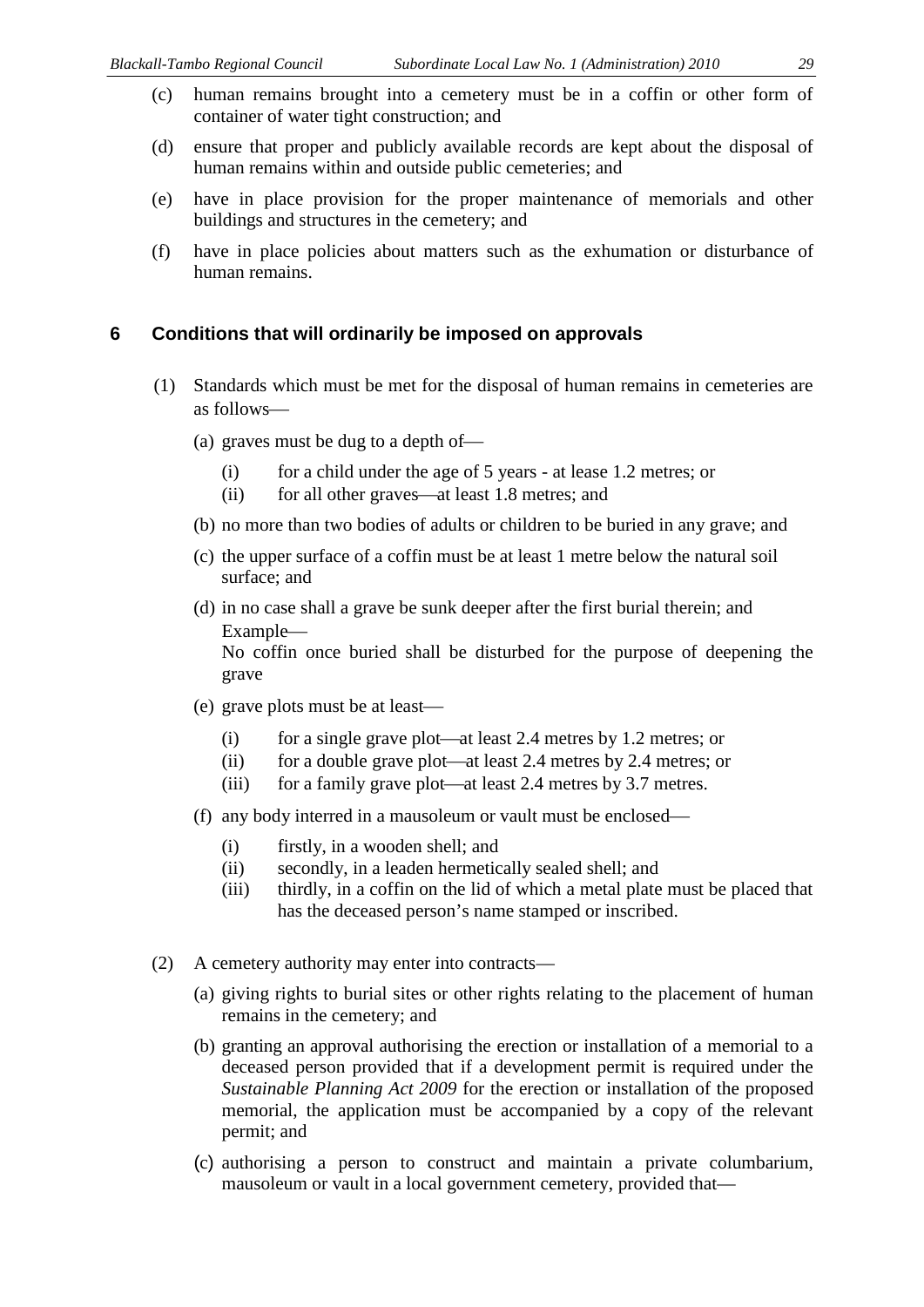- (c) human remains brought into a cemetery must be in a coffin or other form of container of water tight construction; and
- (d) ensure that proper and publicly available records are kept about the disposal of human remains within and outside public cemeteries; and
- (e) have in place provision for the proper maintenance of memorials and other buildings and structures in the cemetery; and
- (f) have in place policies about matters such as the exhumation or disturbance of human remains.

#### **6 Conditions that will ordinarily be imposed on approvals**

- (1) Standards which must be met for the disposal of human remains in cemeteries are as follows
	- (a) graves must be dug to a depth of
		- (i) for a child under the age of 5 years at lease 1.2 metres; or
		- $(ii)$  for all other graves—at least 1.8 metres; and
	- (b) no more than two bodies of adults or children to be buried in any grave; and
	- (c) the upper surface of a coffin must be at least 1 metre below the natural soil surface; and
	- (d) in no case shall a grave be sunk deeper after the first burial therein; and Example

No coffin once buried shall be disturbed for the purpose of deepening the grave

- (e) grave plots must be at least
	- (i) for a single grave plot—at least 2.4 metres by 1.2 metres; or
	- (ii) for a double grave plot—at least 2.4 metres by 2.4 metres; or
	- (iii) for a family grave plot—at least  $2.4$  metres by  $3.7$  metres.
- (f) any body interred in a mausoleum or vault must be enclosed
	- (i) firstly, in a wooden shell; and
	- (ii) secondly, in a leaden hermetically sealed shell; and
	- (iii) thirdly, in a coffin on the lid of which a metal plate must be placed that has the deceased person's name stamped or inscribed.
- (2) A cemetery authority may enter into contracts—
	- (a) giving rights to burial sites or other rights relating to the placement of human remains in the cemetery; and
	- (b) granting an approval authorising the erection or installation of a memorial to a deceased person provided that if a development permit is required under the *Sustainable Planning Act 2009* for the erection or installation of the proposed memorial, the application must be accompanied by a copy of the relevant permit; and
	- (c) authorising a person to construct and maintain a private columbarium, mausoleum or vault in a local government cemetery, provided that—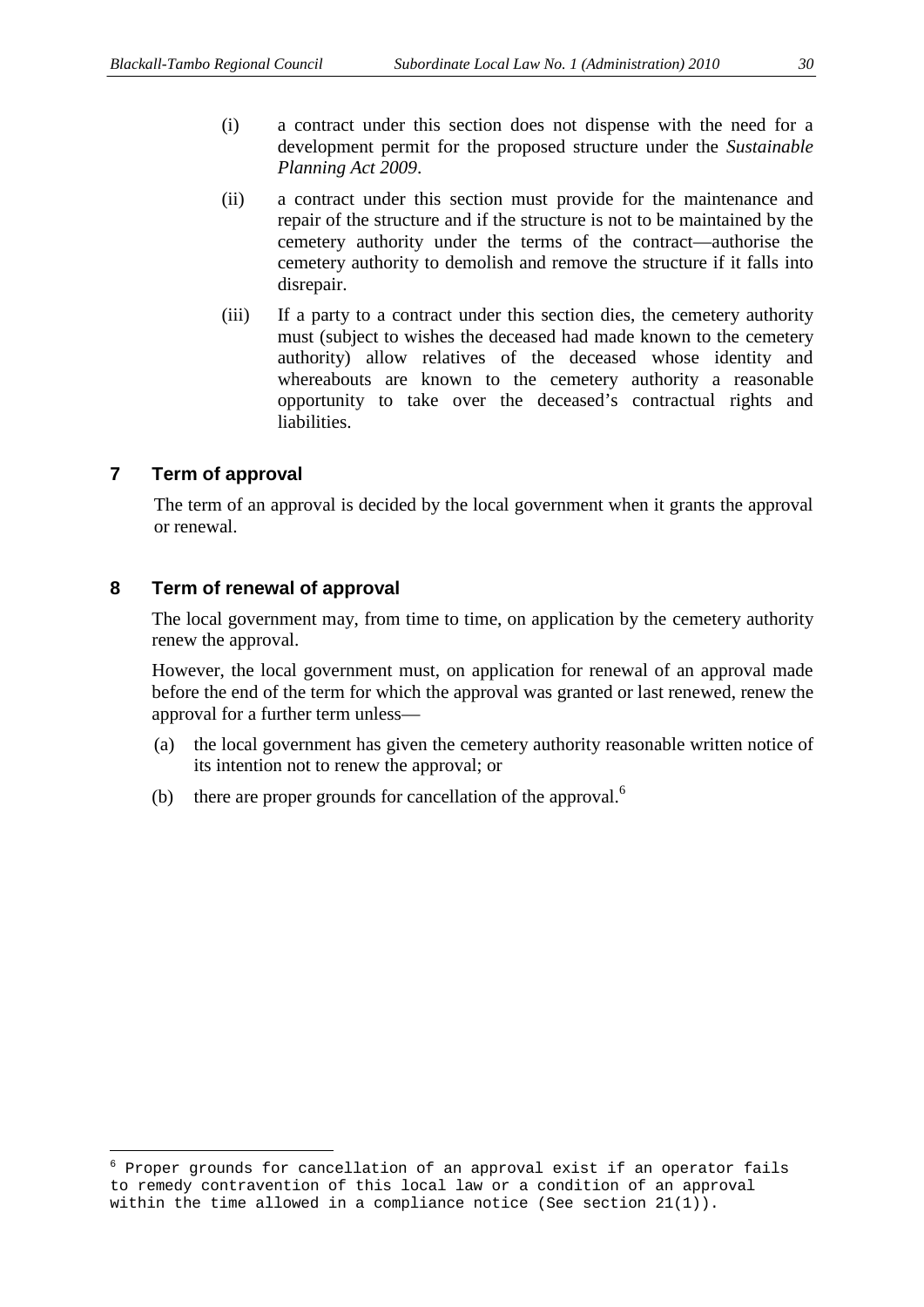- (i) a contract under this section does not dispense with the need for a development permit for the proposed structure under the *Sustainable Planning Act 2009*.
- (ii) a contract under this section must provide for the maintenance and repair of the structure and if the structure is not to be maintained by the cemetery authority under the terms of the contract—authorise the cemetery authority to demolish and remove the structure if it falls into disrepair.
- (iii) If a party to a contract under this section dies, the cemetery authority must (subject to wishes the deceased had made known to the cemetery authority) allow relatives of the deceased whose identity and whereabouts are known to the cemetery authority a reasonable opportunity to take over the deceased's contractual rights and liabilities.

### **7 Term of approval**

The term of an approval is decided by the local government when it grants the approval or renewal.

### **8 Term of renewal of approval**

The local government may, from time to time, on application by the cemetery authority renew the approval.

However, the local government must, on application for renewal of an approval made before the end of the term for which the approval was granted or last renewed, renew the approval for a further term unless—

- (a) the local government has given the cemetery authority reasonable written notice of its intention not to renew the approval; or
- (b) there are proper grounds for cancellation of the approval.<sup>6</sup>

 $6$  Proper grounds for cancellation of an approval exist if an operator fails to remedy contravention of this local law or a condition of an approval within the time allowed in a compliance notice (See section  $21(1)$ ).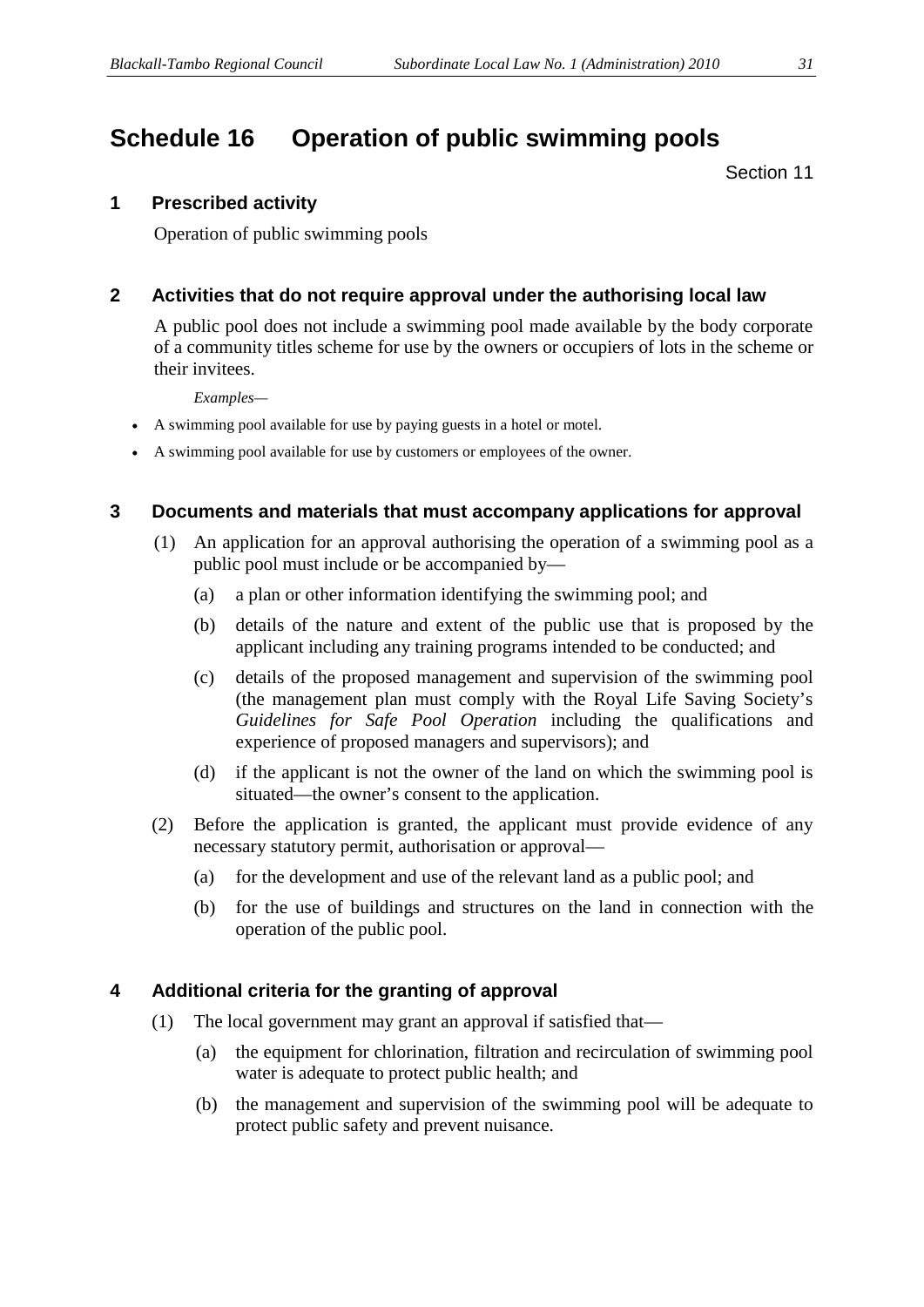# **Schedule 16 Operation of public swimming pools**

Section 11

### **1 Prescribed activity**

Operation of public swimming pools

#### **2 Activities that do not require approval under the authorising local law**

A public pool does not include a swimming pool made available by the body corporate of a community titles scheme for use by the owners or occupiers of lots in the scheme or their invitees.

*Examples—*

- A swimming pool available for use by paying guests in a hotel or motel.
- A swimming pool available for use by customers or employees of the owner.

#### **3 Documents and materials that must accompany applications for approval**

- (1) An application for an approval authorising the operation of a swimming pool as a public pool must include or be accompanied by—
	- (a) a plan or other information identifying the swimming pool; and
	- (b) details of the nature and extent of the public use that is proposed by the applicant including any training programs intended to be conducted; and
	- (c) details of the proposed management and supervision of the swimming pool (the management plan must comply with the Royal Life Saving Society's *Guidelines for Safe Pool Operation* including the qualifications and experience of proposed managers and supervisors); and
	- (d) if the applicant is not the owner of the land on which the swimming pool is situated—the owner's consent to the application.
- (2) Before the application is granted, the applicant must provide evidence of any necessary statutory permit, authorisation or approval—
	- (a) for the development and use of the relevant land as a public pool; and
	- (b) for the use of buildings and structures on the land in connection with the operation of the public pool.

#### **4 Additional criteria for the granting of approval**

- (1) The local government may grant an approval if satisfied that—
	- (a) the equipment for chlorination, filtration and recirculation of swimming pool water is adequate to protect public health; and
	- (b) the management and supervision of the swimming pool will be adequate to protect public safety and prevent nuisance.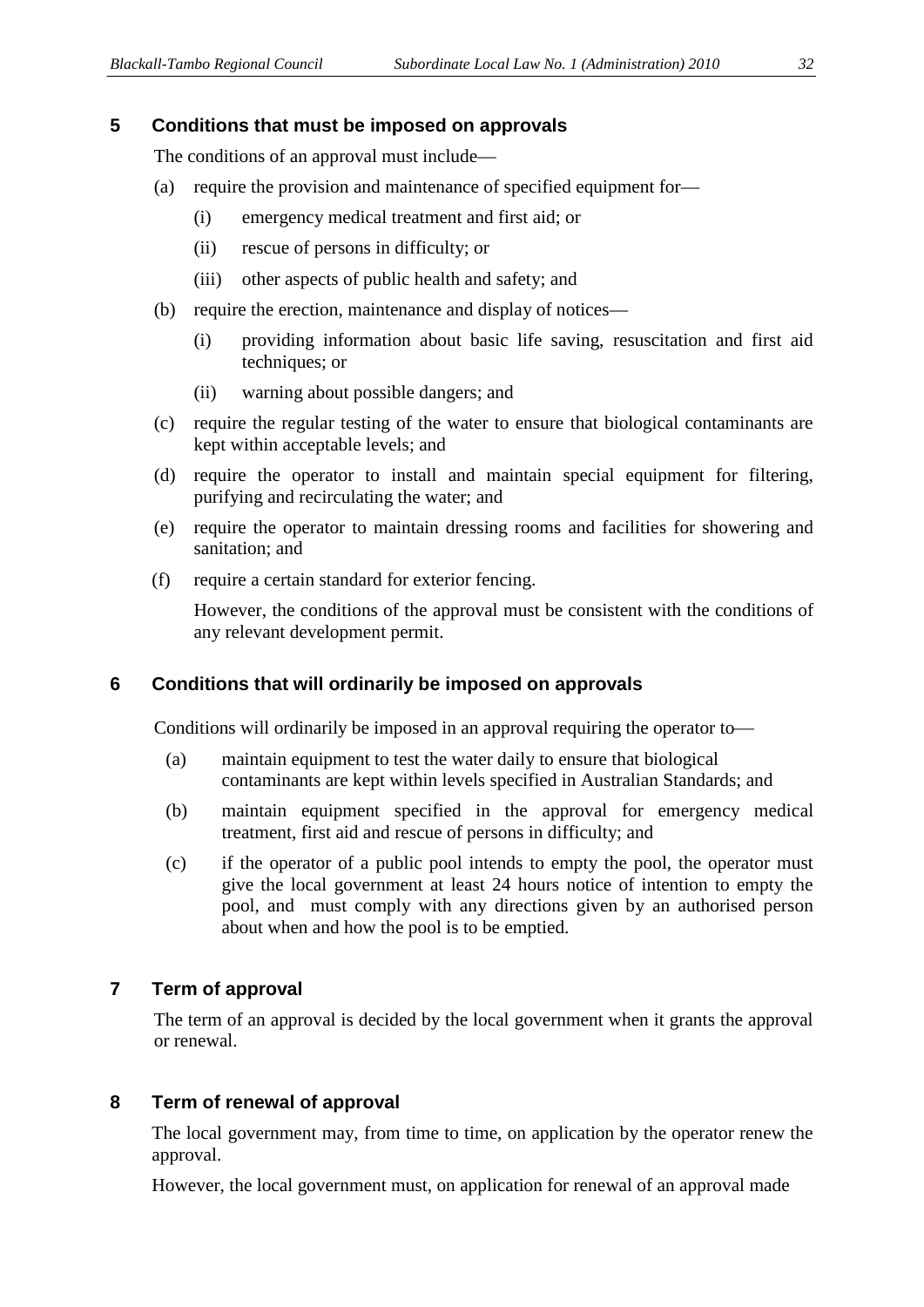#### **5 Conditions that must be imposed on approvals**

The conditions of an approval must include—

- (a) require the provision and maintenance of specified equipment for—
	- (i) emergency medical treatment and first aid; or
	- (ii) rescue of persons in difficulty; or
	- (iii) other aspects of public health and safety; and
- (b) require the erection, maintenance and display of notices—
	- (i) providing information about basic life saving, resuscitation and first aid techniques; or
	- (ii) warning about possible dangers; and
- (c) require the regular testing of the water to ensure that biological contaminants are kept within acceptable levels; and
- (d) require the operator to install and maintain special equipment for filtering, purifying and recirculating the water; and
- (e) require the operator to maintain dressing rooms and facilities for showering and sanitation; and
- (f) require a certain standard for exterior fencing.

However, the conditions of the approval must be consistent with the conditions of any relevant development permit.

#### **6 Conditions that will ordinarily be imposed on approvals**

Conditions will ordinarily be imposed in an approval requiring the operator to

- (a) maintain equipment to test the water daily to ensure that biological contaminants are kept within levels specified in Australian Standards; and
- (b) maintain equipment specified in the approval for emergency medical treatment, first aid and rescue of persons in difficulty; and
- (c) if the operator of a public pool intends to empty the pool, the operator must give the local government at least 24 hours notice of intention to empty the pool, and must comply with any directions given by an authorised person about when and how the pool is to be emptied.

### **7 Term of approval**

The term of an approval is decided by the local government when it grants the approval or renewal.

#### **8 Term of renewal of approval**

The local government may, from time to time, on application by the operator renew the approval.

However, the local government must, on application for renewal of an approval made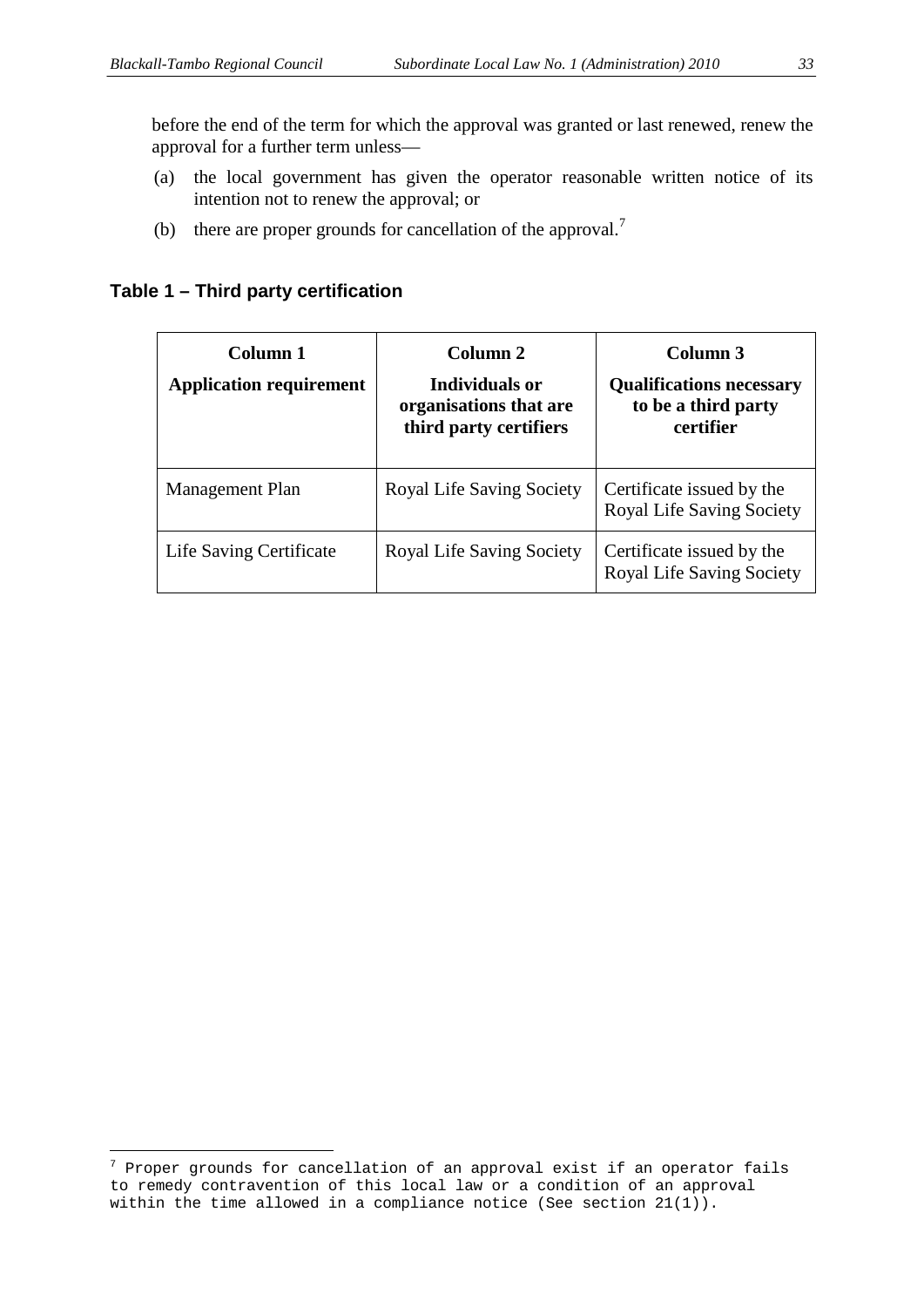before the end of the term for which the approval was granted or last renewed, renew the approval for a further term unless—

- (a) the local government has given the operator reasonable written notice of its intention not to renew the approval; or
- (b) there are proper grounds for cancellation of the approval.<sup>7</sup>

### **Table 1 – Third party certification**

| Column 1<br><b>Application requirement</b> | Column 2<br>Individuals or<br>organisations that are<br>third party certifiers | Column 3<br><b>Qualifications necessary</b><br>to be a third party<br>certifier |
|--------------------------------------------|--------------------------------------------------------------------------------|---------------------------------------------------------------------------------|
| <b>Management Plan</b>                     | <b>Royal Life Saving Society</b>                                               | Certificate issued by the<br><b>Royal Life Saving Society</b>                   |
| Life Saving Certificate                    | Royal Life Saving Society                                                      | Certificate issued by the<br><b>Royal Life Saving Society</b>                   |

 $7$  Proper grounds for cancellation of an approval exist if an operator fails to remedy contravention of this local law or a condition of an approval within the time allowed in a compliance notice (See section 21(1)).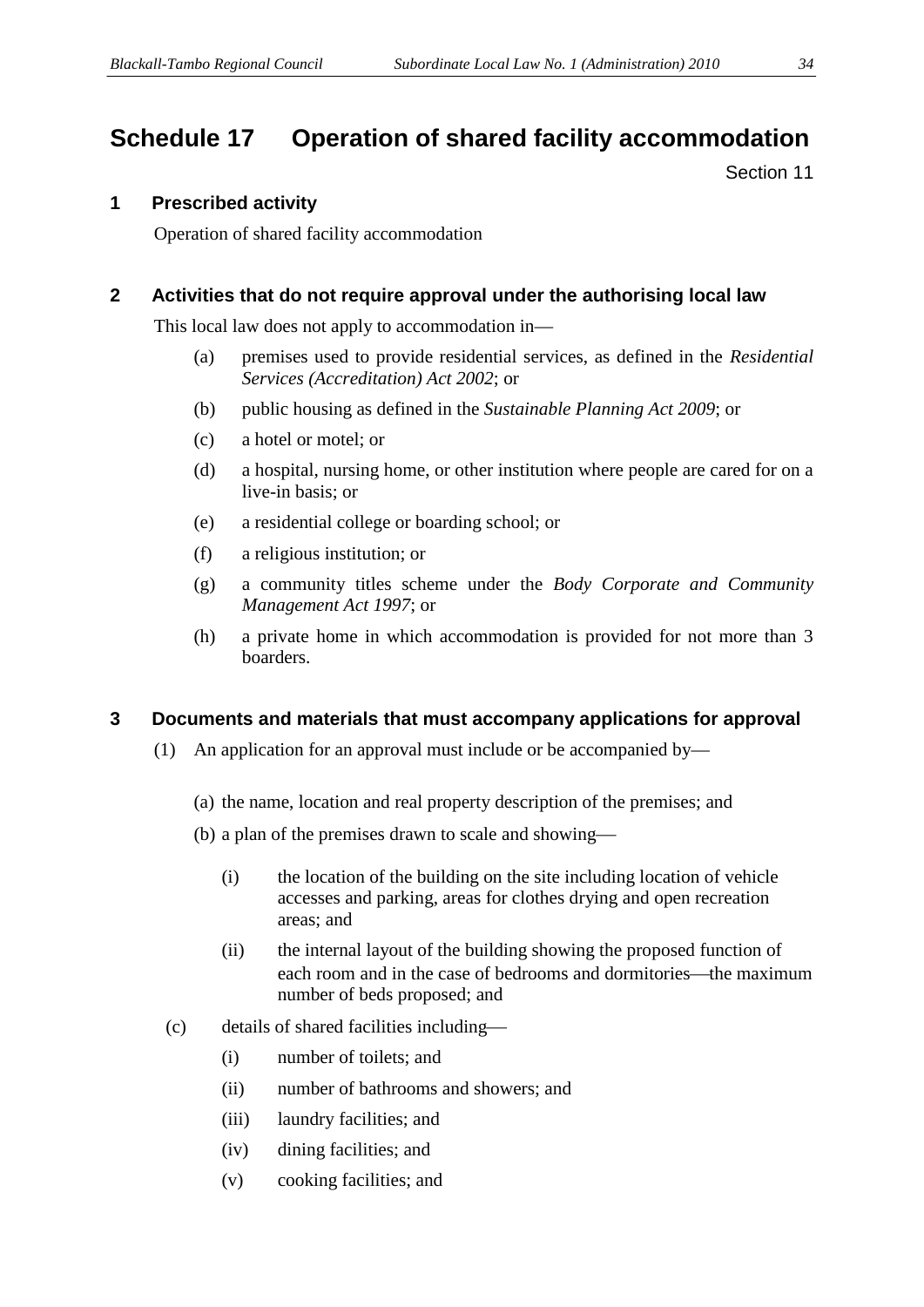# **Schedule 17 Operation of shared facility accommodation**

Section 11

#### **1 Prescribed activity**

Operation of shared facility accommodation

#### **2 Activities that do not require approval under the authorising local law**

This local law does not apply to accommodation in—

- (a) premises used to provide residential services, as defined in the *Residential Services (Accreditation) Act 2002*; or
- (b) public housing as defined in the *Sustainable Planning Act 2009*; or
- (c) a hotel or motel; or
- (d) a hospital, nursing home, or other institution where people are cared for on a live-in basis; or
- (e) a residential college or boarding school; or
- (f) a religious institution; or
- (g) a community titles scheme under the *Body Corporate and Community Management Act 1997*; or
- (h) a private home in which accommodation is provided for not more than 3 boarders.

#### **3 Documents and materials that must accompany applications for approval**

- (1) An application for an approval must include or be accompanied by—
	- (a) the name, location and real property description of the premises; and
	- (b) a plan of the premises drawn to scale and showing
		- (i) the location of the building on the site including location of vehicle accesses and parking, areas for clothes drying and open recreation areas; and
		- (ii) the internal layout of the building showing the proposed function of each room and in the case of bedrooms and dormitories—the maximum number of beds proposed; and
	- (c) details of shared facilities including
		- (i) number of toilets; and
		- (ii) number of bathrooms and showers; and
		- (iii) laundry facilities; and
		- (iv) dining facilities; and
		- (v) cooking facilities; and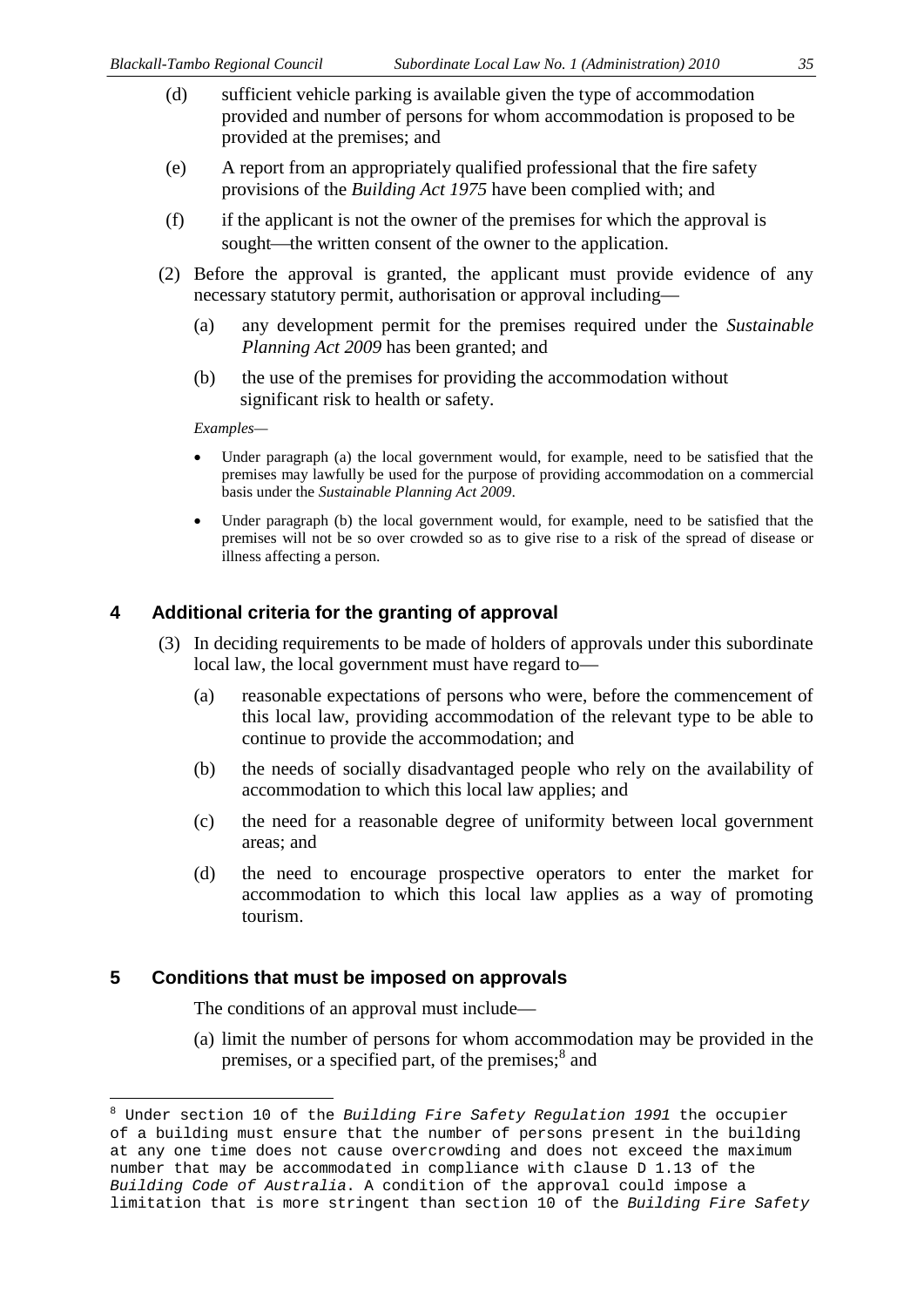- (d) sufficient vehicle parking is available given the type of accommodation provided and number of persons for whom accommodation is proposed to be provided at the premises; and
- (e) A report from an appropriately qualified professional that the fire safety provisions of the *Building Act 1975* have been complied with; and
- (f) if the applicant is not the owner of the premises for which the approval is sought—the written consent of the owner to the application.
- (2) Before the approval is granted, the applicant must provide evidence of any necessary statutory permit, authorisation or approval including—
	- (a) any development permit for the premises required under the *Sustainable Planning Act 2009* has been granted; and
	- (b) the use of the premises for providing the accommodation without significant risk to health or safety.

*Examples—*

- Under paragraph (a) the local government would, for example, need to be satisfied that the premises may lawfully be used for the purpose of providing accommodation on a commercial basis under the *Sustainable Planning Act 2009*.
- Under paragraph (b) the local government would, for example, need to be satisfied that the premises will not be so over crowded so as to give rise to a risk of the spread of disease or illness affecting a person.

### **4 Additional criteria for the granting of approval**

- (3) In deciding requirements to be made of holders of approvals under this subordinate local law, the local government must have regard to—
	- (a) reasonable expectations of persons who were, before the commencement of this local law, providing accommodation of the relevant type to be able to continue to provide the accommodation; and
	- (b) the needs of socially disadvantaged people who rely on the availability of accommodation to which this local law applies; and
	- (c) the need for a reasonable degree of uniformity between local government areas; and
	- (d) the need to encourage prospective operators to enter the market for accommodation to which this local law applies as a way of promoting tourism.

### **5 Conditions that must be imposed on approvals**

The conditions of an approval must include—

(a) limit the number of persons for whom accommodation may be provided in the premises, or a specified part, of the premises;<sup>8</sup> and

<sup>&</sup>lt;sup>8</sup> Under section 10 of the Building Fire Safety Regulation 1991 the occupier of a building must ensure that the number of persons present in the building at any one time does not cause overcrowding and does not exceed the maximum number that may be accommodated in compliance with clause D 1.13 of the Building Code of Australia. A condition of the approval could impose a limitation that is more stringent than section 10 of the Building Fire Safety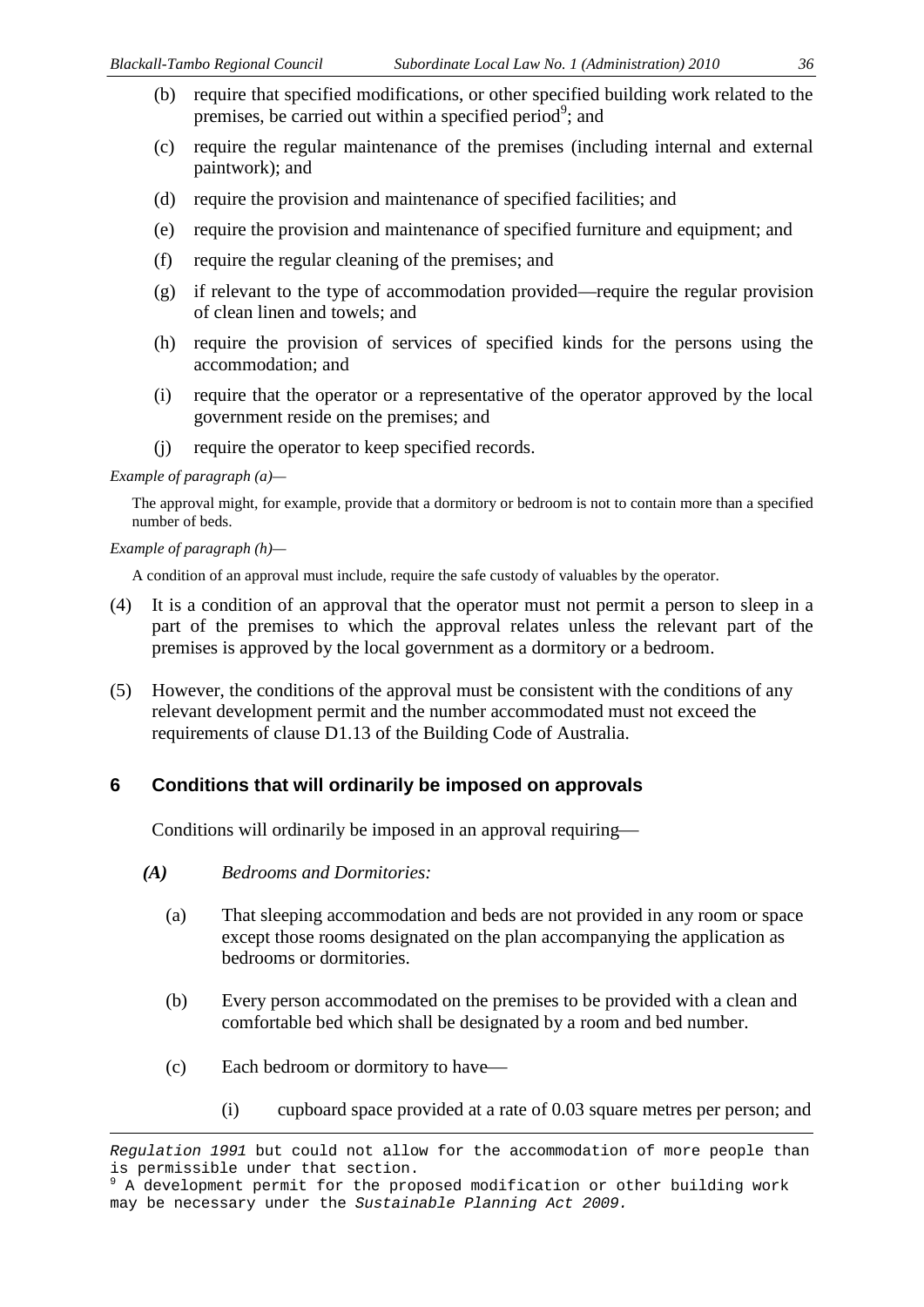- (b) require that specified modifications, or other specified building work related to the premises, be carried out within a specified period<sup>9</sup>; and
- (c) require the regular maintenance of the premises (including internal and external paintwork); and
- (d) require the provision and maintenance of specified facilities; and
- (e) require the provision and maintenance of specified furniture and equipment; and
- (f) require the regular cleaning of the premises; and
- (g) if relevant to the type of accommodation provided—require the regular provision of clean linen and towels; and
- (h) require the provision of services of specified kinds for the persons using the accommodation; and
- (i) require that the operator or a representative of the operator approved by the local government reside on the premises; and
- (j) require the operator to keep specified records.

#### *Example of paragraph (a)—*

The approval might, for example, provide that a dormitory or bedroom is not to contain more than a specified number of beds.

#### *Example of paragraph (h)—*

A condition of an approval must include, require the safe custody of valuables by the operator.

- (4) It is a condition of an approval that the operator must not permit a person to sleep in a part of the premises to which the approval relates unless the relevant part of the premises is approved by the local government as a dormitory or a bedroom.
- (5) However, the conditions of the approval must be consistent with the conditions of any relevant development permit and the number accommodated must not exceed the requirements of clause D1.13 of the Building Code of Australia.

### **6 Conditions that will ordinarily be imposed on approvals**

Conditions will ordinarily be imposed in an approval requiring

- *(A) Bedrooms and Dormitories:*
	- (a) That sleeping accommodation and beds are not provided in any room or space except those rooms designated on the plan accompanying the application as bedrooms or dormitories.
	- (b) Every person accommodated on the premises to be provided with a clean and comfortable bed which shall be designated by a room and bed number.
	- (c) Each bedroom or dormitory to have
		- (i) cupboard space provided at a rate of 0.03 square metres per person; and

Regulation 1991 but could not allow for the accommodation of more people than is permissible under that section.

<sup>&</sup>lt;sup>9</sup> A development permit for the proposed modification or other building work may be necessary under the Sustainable Planning Act 2009.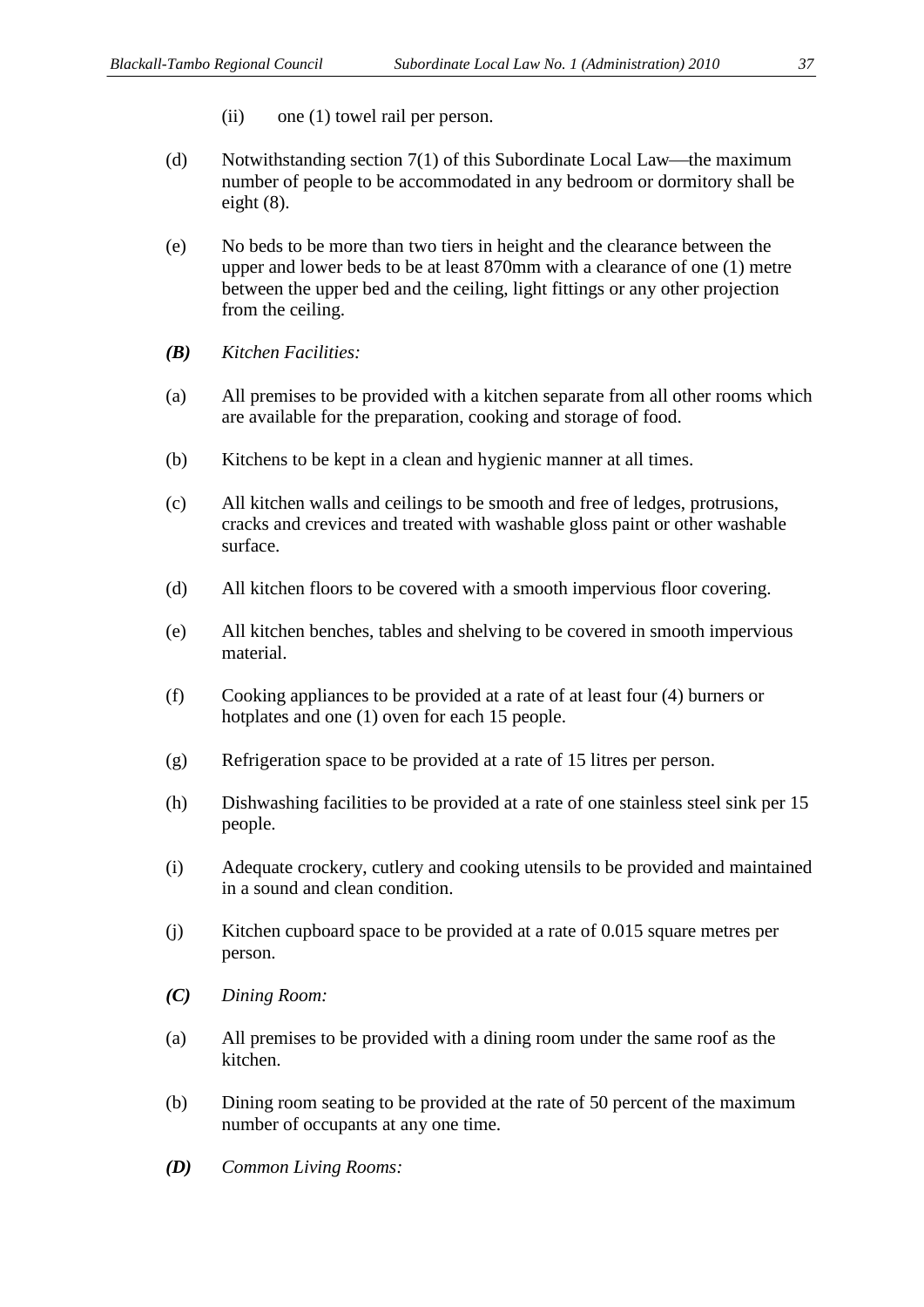- (ii) one (1) towel rail per person.
- (d) Notwithstanding section  $7(1)$  of this Subordinate Local Law—the maximum number of people to be accommodated in any bedroom or dormitory shall be eight (8).
- (e) No beds to be more than two tiers in height and the clearance between the upper and lower beds to be at least 870mm with a clearance of one (1) metre between the upper bed and the ceiling, light fittings or any other projection from the ceiling.
- *(B) Kitchen Facilities:*
- (a) All premises to be provided with a kitchen separate from all other rooms which are available for the preparation, cooking and storage of food.
- (b) Kitchens to be kept in a clean and hygienic manner at all times.
- (c) All kitchen walls and ceilings to be smooth and free of ledges, protrusions, cracks and crevices and treated with washable gloss paint or other washable surface.
- (d) All kitchen floors to be covered with a smooth impervious floor covering.
- (e) All kitchen benches, tables and shelving to be covered in smooth impervious material.
- (f) Cooking appliances to be provided at a rate of at least four (4) burners or hotplates and one (1) oven for each 15 people.
- (g) Refrigeration space to be provided at a rate of 15 litres per person.
- (h) Dishwashing facilities to be provided at a rate of one stainless steel sink per 15 people.
- (i) Adequate crockery, cutlery and cooking utensils to be provided and maintained in a sound and clean condition.
- (j) Kitchen cupboard space to be provided at a rate of 0.015 square metres per person.
- *(C) Dining Room:*
- (a) All premises to be provided with a dining room under the same roof as the kitchen.
- (b) Dining room seating to be provided at the rate of 50 percent of the maximum number of occupants at any one time.
- *(D) Common Living Rooms:*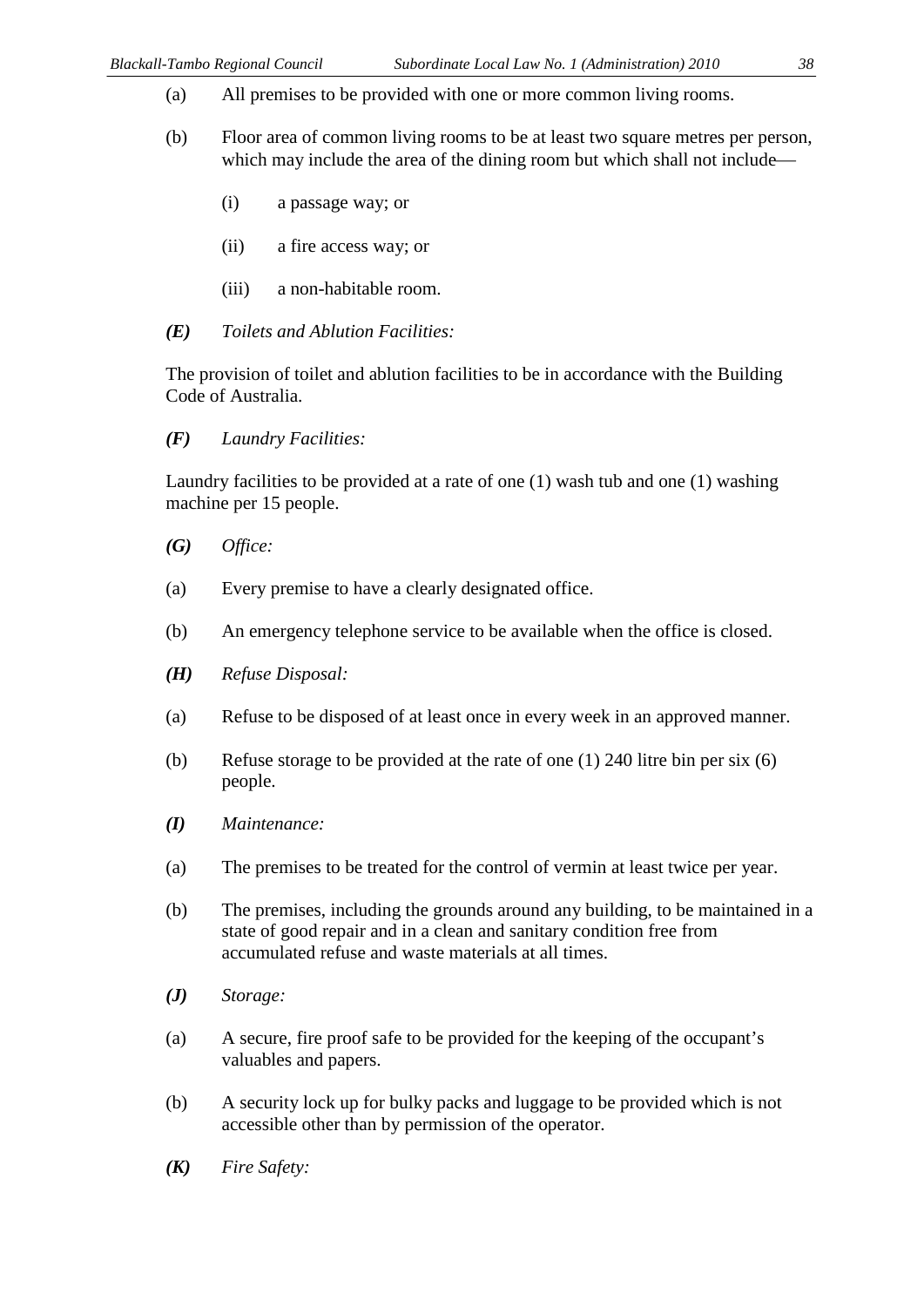- (a) All premises to be provided with one or more common living rooms.
- (b) Floor area of common living rooms to be at least two square metres per person, which may include the area of the dining room but which shall not include—
	- (i) a passage way; or
	- (ii) a fire access way; or
	- (iii) a non-habitable room.
- *(E) Toilets and Ablution Facilities:*

The provision of toilet and ablution facilities to be in accordance with the Building Code of Australia.

*(F) Laundry Facilities:*

Laundry facilities to be provided at a rate of one (1) wash tub and one (1) washing machine per 15 people.

- *(G) Office:*
- (a) Every premise to have a clearly designated office.
- (b) An emergency telephone service to be available when the office is closed.
- *(H) Refuse Disposal:*
- (a) Refuse to be disposed of at least once in every week in an approved manner.
- (b) Refuse storage to be provided at the rate of one (1) 240 litre bin per six (6) people.
- *(I) Maintenance:*
- (a) The premises to be treated for the control of vermin at least twice per year.
- (b) The premises, including the grounds around any building, to be maintained in a state of good repair and in a clean and sanitary condition free from accumulated refuse and waste materials at all times.
- *(J) Storage:*
- (a) A secure, fire proof safe to be provided for the keeping of the occupant's valuables and papers.
- (b) A security lock up for bulky packs and luggage to be provided which is not accessible other than by permission of the operator.
- *(K) Fire Safety:*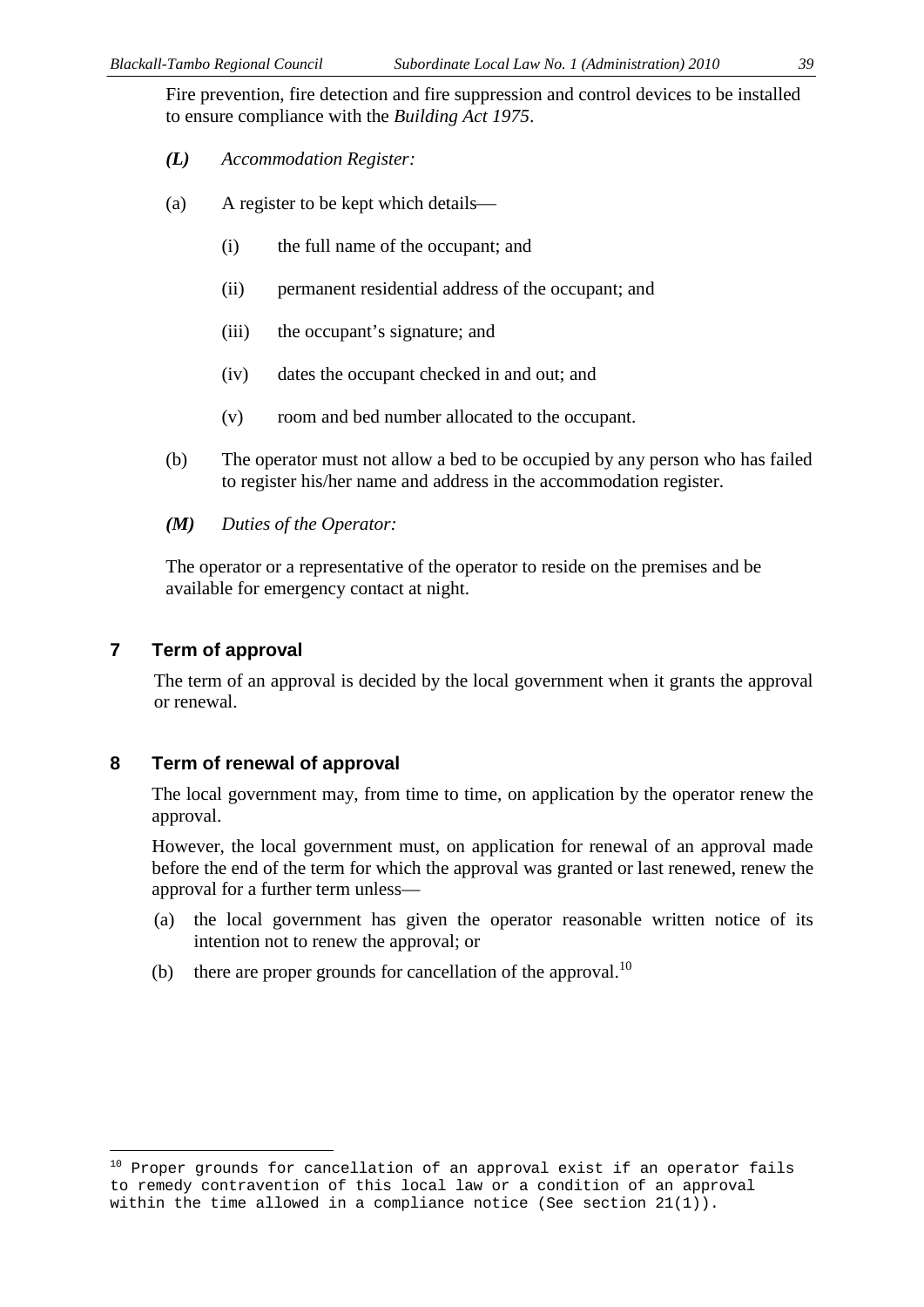Fire prevention, fire detection and fire suppression and control devices to be installed to ensure compliance with the *Building Act 1975*.

- *(L) Accommodation Register:*
- (a) A register to be kept which details
	- (i) the full name of the occupant; and
	- (ii) permanent residential address of the occupant; and
	- (iii) the occupant's signature; and
	- (iv) dates the occupant checked in and out; and
	- (v) room and bed number allocated to the occupant.
- (b) The operator must not allow a bed to be occupied by any person who has failed to register his/her name and address in the accommodation register.
- *(M) Duties of the Operator:*

The operator or a representative of the operator to reside on the premises and be available for emergency contact at night.

#### **7 Term of approval**

The term of an approval is decided by the local government when it grants the approval or renewal.

#### **8 Term of renewal of approval**

The local government may, from time to time, on application by the operator renew the approval.

However, the local government must, on application for renewal of an approval made before the end of the term for which the approval was granted or last renewed, renew the approval for a further term unless—

- (a) the local government has given the operator reasonable written notice of its intention not to renew the approval; or
- (b) there are proper grounds for cancellation of the approval.<sup>10</sup>

 $10$  Proper grounds for cancellation of an approval exist if an operator fails to remedy contravention of this local law or a condition of an approval within the time allowed in a compliance notice (See section  $21(1)$ ).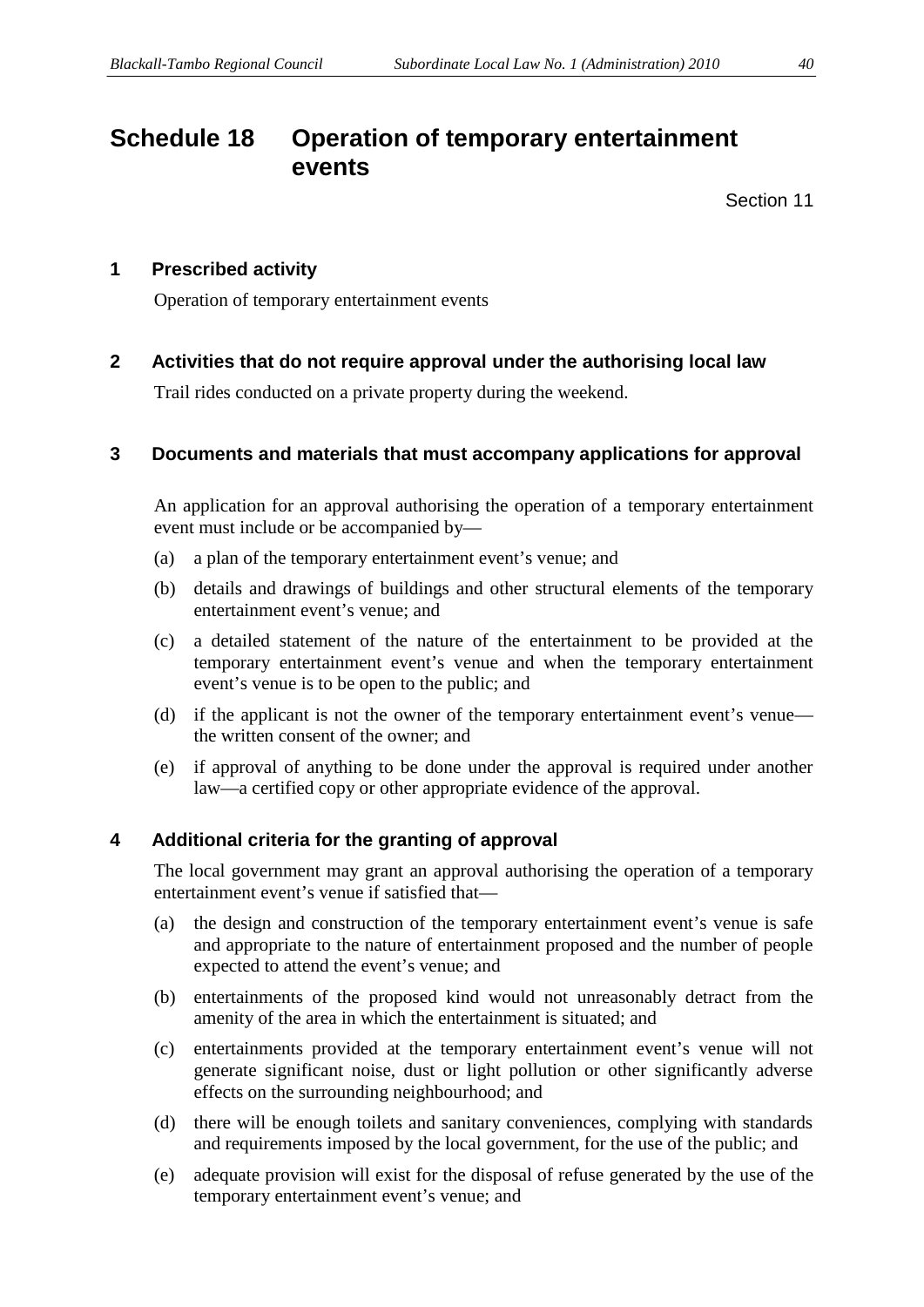# **Schedule 18 Operation of temporary entertainment events**

Section 11

### **1 Prescribed activity**

Operation of temporary entertainment events

### **2 Activities that do not require approval under the authorising local law**

Trail rides conducted on a private property during the weekend.

### **3 Documents and materials that must accompany applications for approval**

An application for an approval authorising the operation of a temporary entertainment event must include or be accompanied by—

- (a) a plan of the temporary entertainment event's venue; and
- (b) details and drawings of buildings and other structural elements of the temporary entertainment event's venue; and
- (c) a detailed statement of the nature of the entertainment to be provided at the temporary entertainment event's venue and when the temporary entertainment event's venue is to be open to the public; and
- (d) if the applicant is not the owner of the temporary entertainment event's venue the written consent of the owner; and
- (e) if approval of anything to be done under the approval is required under another law—a certified copy or other appropriate evidence of the approval.

### **4 Additional criteria for the granting of approval**

The local government may grant an approval authorising the operation of a temporary entertainment event's venue if satisfied that—

- (a) the design and construction of the temporary entertainment event's venue is safe and appropriate to the nature of entertainment proposed and the number of people expected to attend the event's venue; and
- (b) entertainments of the proposed kind would not unreasonably detract from the amenity of the area in which the entertainment is situated; and
- (c) entertainments provided at the temporary entertainment event's venue will not generate significant noise, dust or light pollution or other significantly adverse effects on the surrounding neighbourhood; and
- (d) there will be enough toilets and sanitary conveniences, complying with standards and requirements imposed by the local government, for the use of the public; and
- (e) adequate provision will exist for the disposal of refuse generated by the use of the temporary entertainment event's venue; and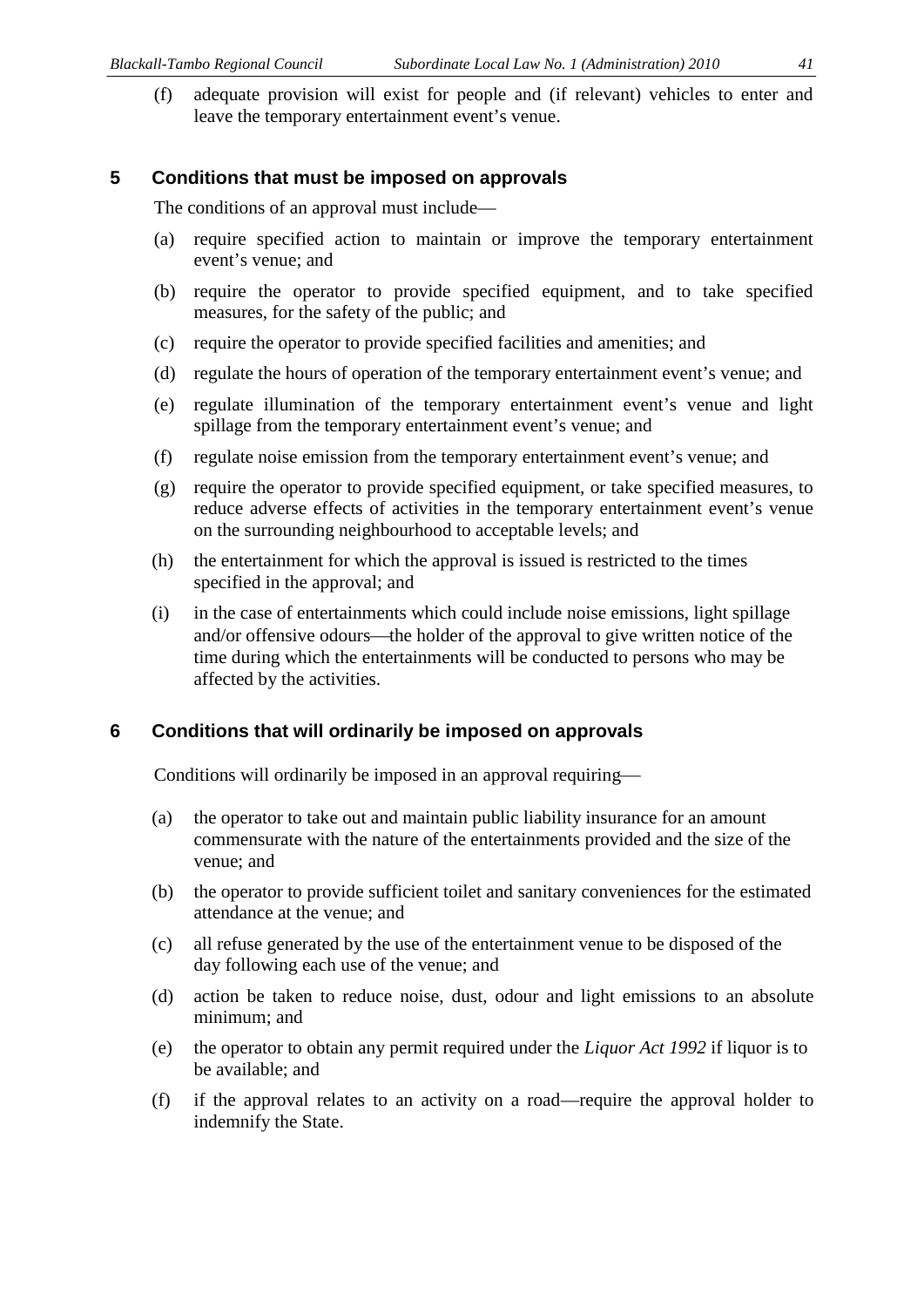(f) adequate provision will exist for people and (if relevant) vehicles to enter and leave the temporary entertainment event's venue.

#### **5 Conditions that must be imposed on approvals**

The conditions of an approval must include—

- (a) require specified action to maintain or improve the temporary entertainment event's venue; and
- (b) require the operator to provide specified equipment, and to take specified measures, for the safety of the public; and
- (c) require the operator to provide specified facilities and amenities; and
- (d) regulate the hours of operation of the temporary entertainment event's venue; and
- (e) regulate illumination of the temporary entertainment event's venue and light spillage from the temporary entertainment event's venue; and
- (f) regulate noise emission from the temporary entertainment event's venue; and
- (g) require the operator to provide specified equipment, or take specified measures, to reduce adverse effects of activities in the temporary entertainment event's venue on the surrounding neighbourhood to acceptable levels; and
- (h) the entertainment for which the approval is issued is restricted to the times specified in the approval; and
- (i) in the case of entertainments which could include noise emissions, light spillage and/or offensive odours—the holder of the approval to give written notice of the time during which the entertainments will be conducted to persons who may be affected by the activities.

### **6 Conditions that will ordinarily be imposed on approvals**

Conditions will ordinarily be imposed in an approval requiring

- (a) the operator to take out and maintain public liability insurance for an amount commensurate with the nature of the entertainments provided and the size of the venue; and
- (b) the operator to provide sufficient toilet and sanitary conveniences for the estimated attendance at the venue; and
- (c) all refuse generated by the use of the entertainment venue to be disposed of the day following each use of the venue; and
- (d) action be taken to reduce noise, dust, odour and light emissions to an absolute minimum; and
- (e) the operator to obtain any permit required under the *Liquor Act 1992* if liquor is to be available; and
- (f) if the approval relates to an activity on a road—require the approval holder to indemnify the State.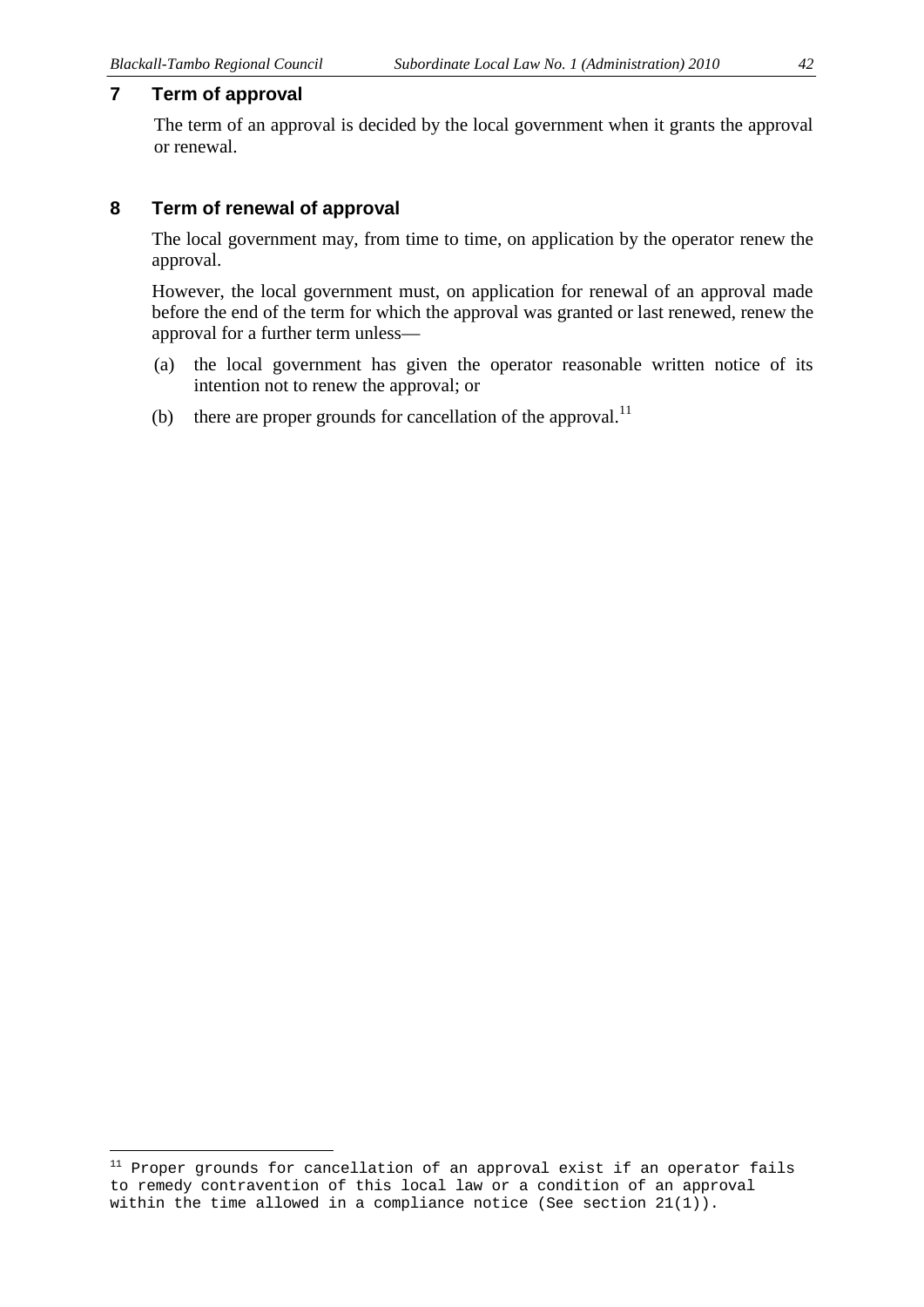# **7 Term of approval**

The term of an approval is decided by the local government when it grants the approval or renewal.

#### **8 Term of renewal of approval**

The local government may, from time to time, on application by the operator renew the approval.

However, the local government must, on application for renewal of an approval made before the end of the term for which the approval was granted or last renewed, renew the approval for a further term unless—

- (a) the local government has given the operator reasonable written notice of its intention not to renew the approval; or
- (b) there are proper grounds for cancellation of the approval.<sup>11</sup>

 $11$  Proper grounds for cancellation of an approval exist if an operator fails to remedy contravention of this local law or a condition of an approval within the time allowed in a compliance notice (See section 21(1)).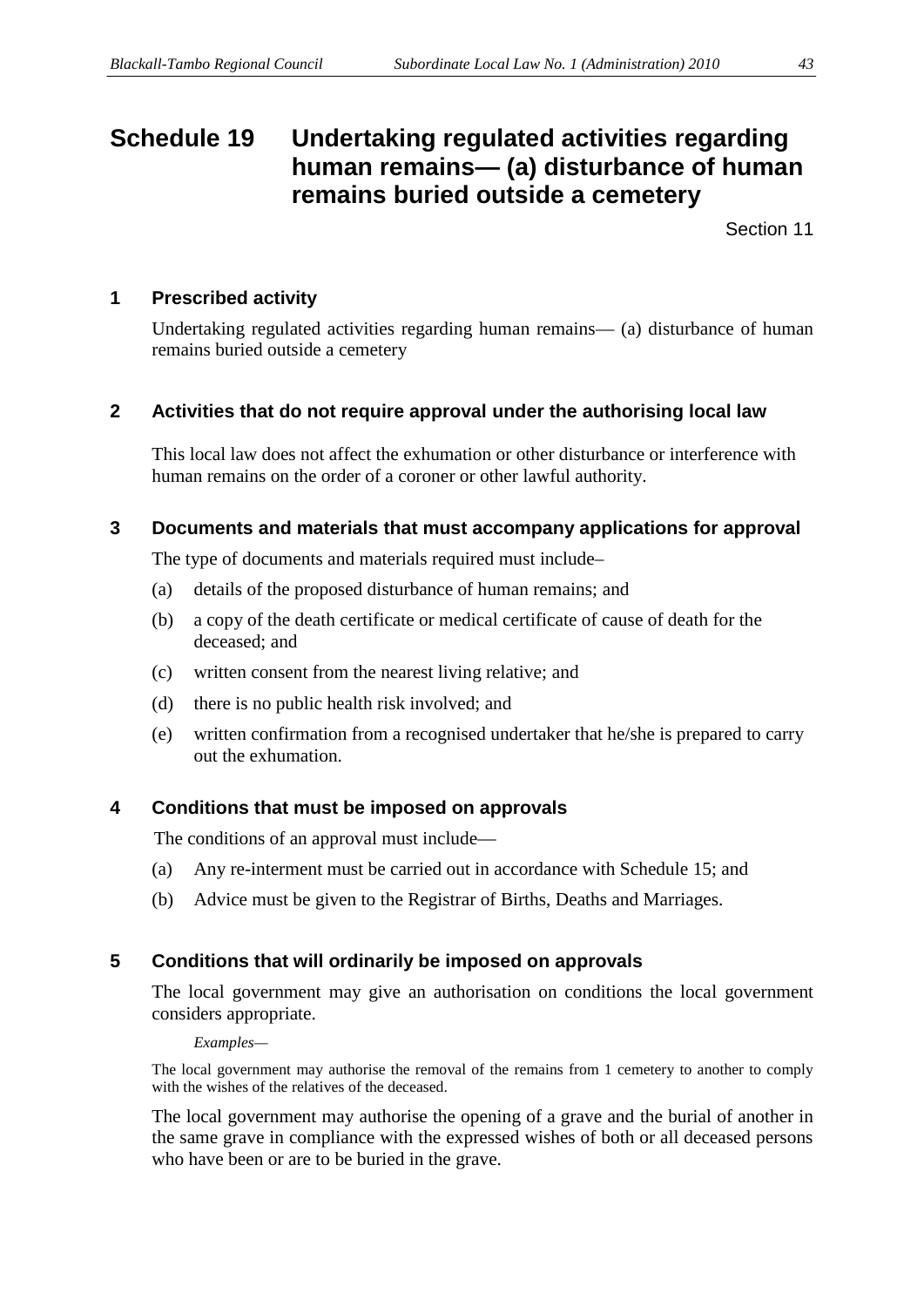# **Schedule 19 Undertaking regulated activities regarding human remains— (a) disturbance of human remains buried outside a cemetery**

Section 11

### **1 Prescribed activity**

Undertaking regulated activities regarding human remains— (a) disturbance of human remains buried outside a cemetery

### **2 Activities that do not require approval under the authorising local law**

This local law does not affect the exhumation or other disturbance or interference with human remains on the order of a coroner or other lawful authority.

#### **3 Documents and materials that must accompany applications for approval**

The type of documents and materials required must include–

- (a) details of the proposed disturbance of human remains; and
- (b) a copy of the death certificate or medical certificate of cause of death for the deceased; and
- (c) written consent from the nearest living relative; and
- (d) there is no public health risk involved; and
- (e) written confirmation from a recognised undertaker that he/she is prepared to carry out the exhumation.

#### **4 Conditions that must be imposed on approvals**

The conditions of an approval must include—

- (a) Any re-interment must be carried out in accordance with Schedule 15; and
- (b) Advice must be given to the Registrar of Births, Deaths and Marriages.

#### **5 Conditions that will ordinarily be imposed on approvals**

The local government may give an authorisation on conditions the local government considers appropriate.

#### *Examples—*

The local government may authorise the removal of the remains from 1 cemetery to another to comply with the wishes of the relatives of the deceased.

The local government may authorise the opening of a grave and the burial of another in the same grave in compliance with the expressed wishes of both or all deceased persons who have been or are to be buried in the grave.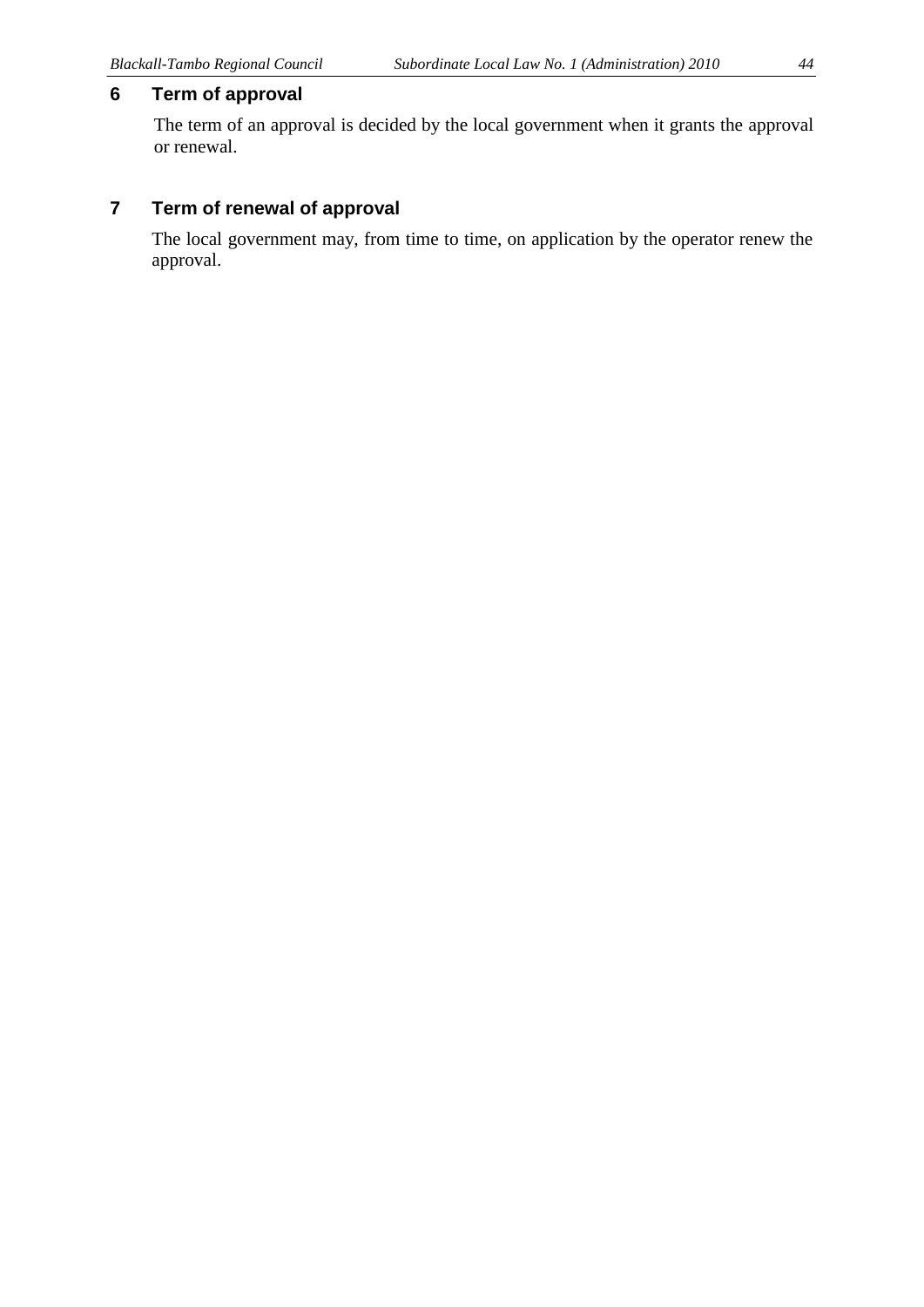# **6 Term of approval**

The term of an approval is decided by the local government when it grants the approval or renewal.

# **7 Term of renewal of approval**

The local government may, from time to time, on application by the operator renew the approval.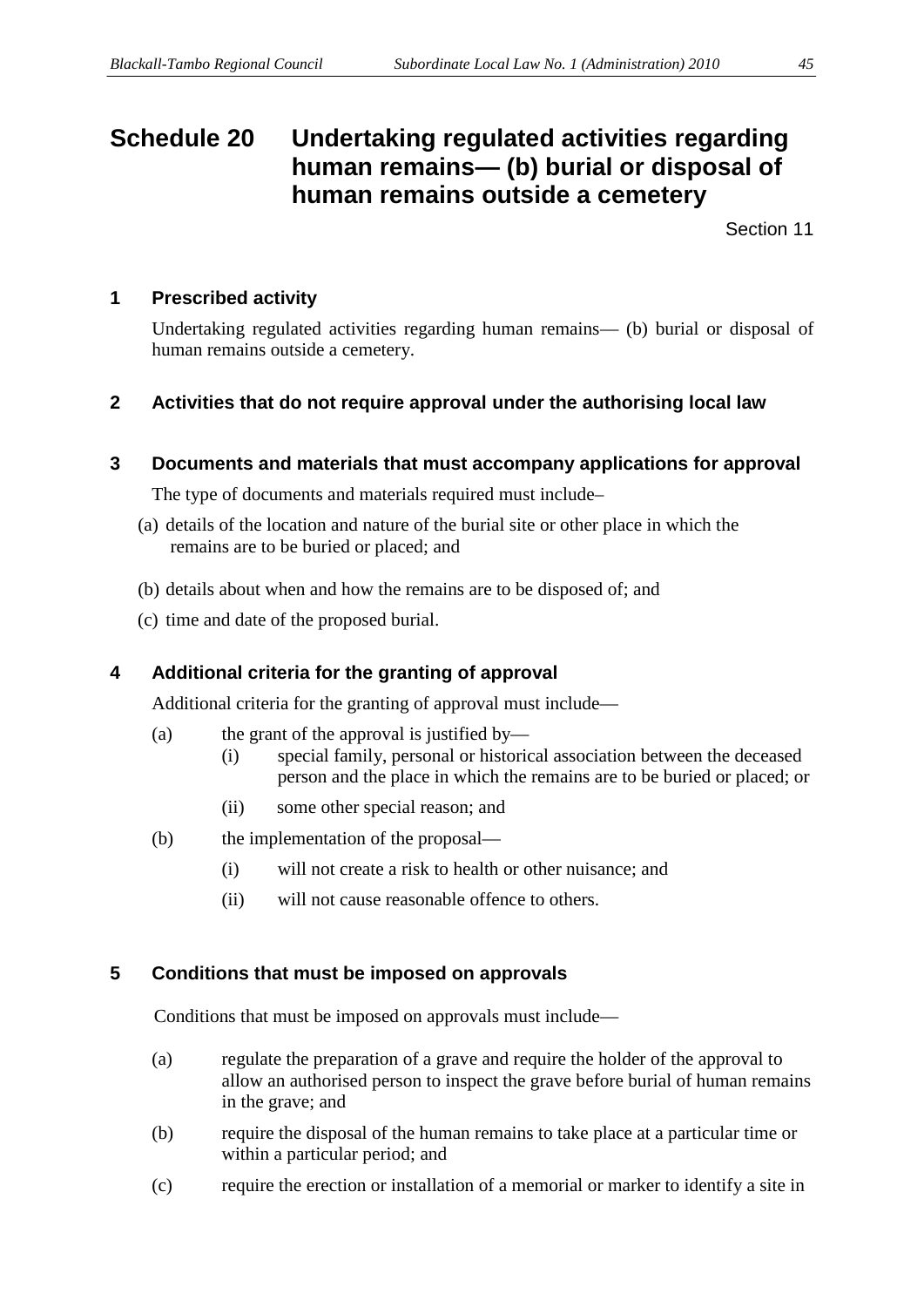# **Schedule 20 Undertaking regulated activities regarding human remains— (b) burial or disposal of human remains outside a cemetery**

Section 11

### **1 Prescribed activity**

Undertaking regulated activities regarding human remains— (b) burial or disposal of human remains outside a cemetery.

#### **2 Activities that do not require approval under the authorising local law**

#### **3 Documents and materials that must accompany applications for approval**

The type of documents and materials required must include–

- (a) details of the location and nature of the burial site or other place in which the remains are to be buried or placed; and
- (b) details about when and how the remains are to be disposed of; and
- (c) time and date of the proposed burial.

### **4 Additional criteria for the granting of approval**

Additional criteria for the granting of approval must include—

- (a) the grant of the approval is justified by—
	- (i) special family, personal or historical association between the deceased person and the place in which the remains are to be buried or placed; or
	- (ii) some other special reason; and
- (b) the implementation of the proposal—
	- (i) will not create a risk to health or other nuisance; and
	- (ii) will not cause reasonable offence to others.

### **5 Conditions that must be imposed on approvals**

Conditions that must be imposed on approvals must include—

- (a) regulate the preparation of a grave and require the holder of the approval to allow an authorised person to inspect the grave before burial of human remains in the grave; and
- (b) require the disposal of the human remains to take place at a particular time or within a particular period; and
- (c) require the erection or installation of a memorial or marker to identify a site in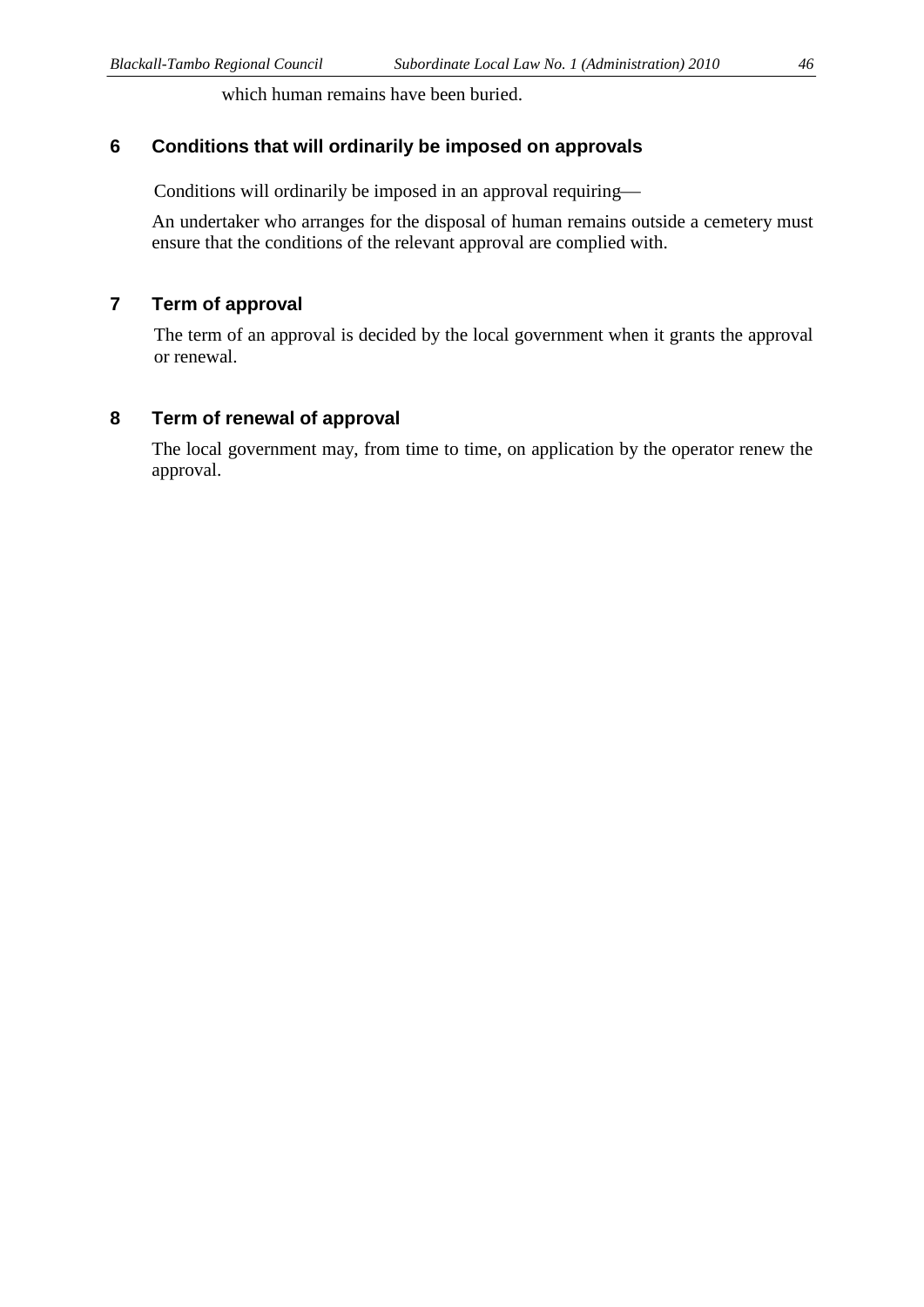which human remains have been buried.

#### **6 Conditions that will ordinarily be imposed on approvals**

Conditions will ordinarily be imposed in an approval requiring

An undertaker who arranges for the disposal of human remains outside a cemetery must ensure that the conditions of the relevant approval are complied with.

### **7 Term of approval**

The term of an approval is decided by the local government when it grants the approval or renewal.

#### **8 Term of renewal of approval**

The local government may, from time to time, on application by the operator renew the approval.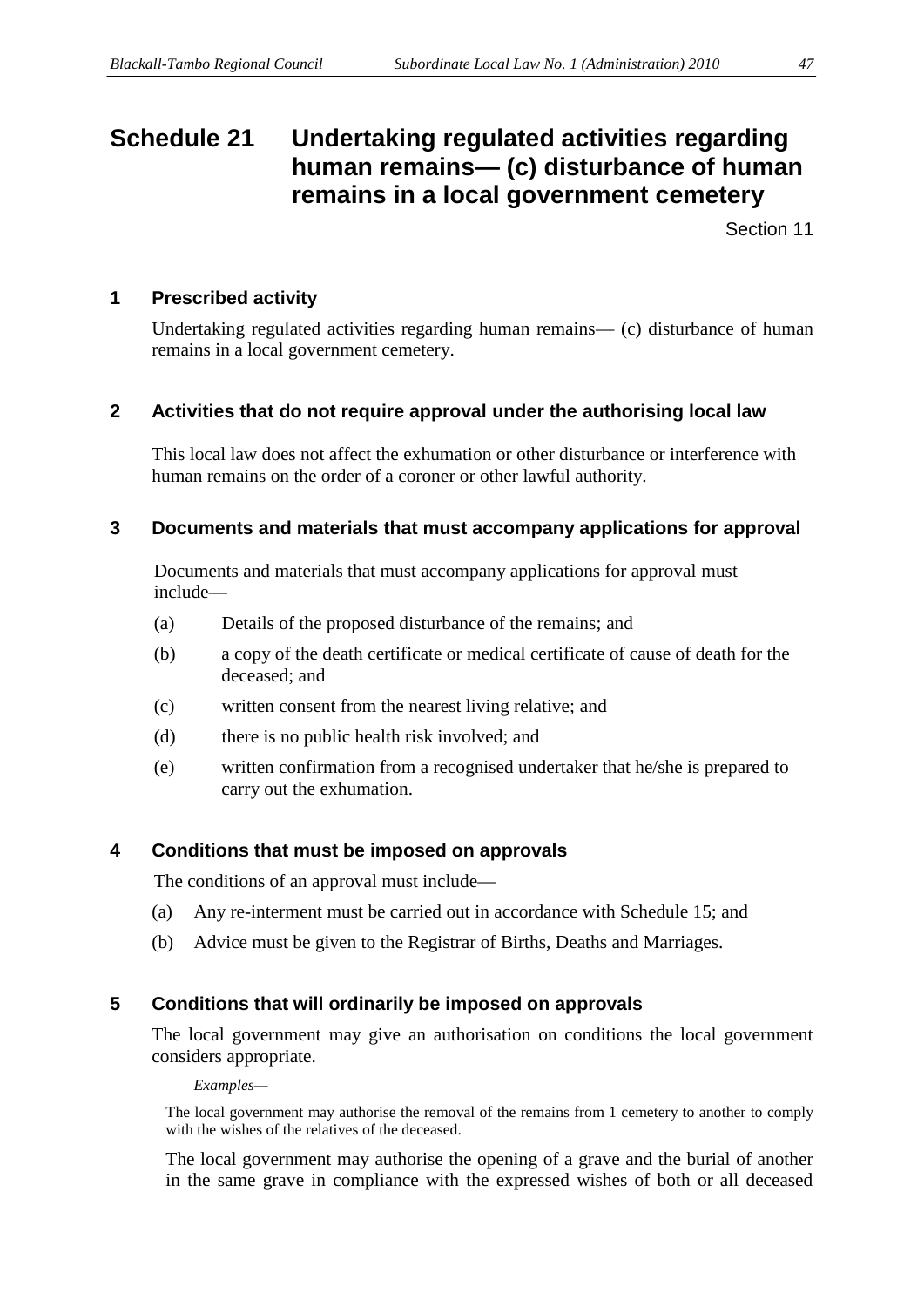# **Schedule 21 Undertaking regulated activities regarding human remains— (c) disturbance of human remains in a local government cemetery**

Section 11

#### **1 Prescribed activity**

Undertaking regulated activities regarding human remains— (c) disturbance of human remains in a local government cemetery.

#### **2 Activities that do not require approval under the authorising local law**

This local law does not affect the exhumation or other disturbance or interference with human remains on the order of a coroner or other lawful authority.

#### **3 Documents and materials that must accompany applications for approval**

Documents and materials that must accompany applications for approval must include—

- (a) Details of the proposed disturbance of the remains; and
- (b) a copy of the death certificate or medical certificate of cause of death for the deceased; and
- (c) written consent from the nearest living relative; and
- (d) there is no public health risk involved; and
- (e) written confirmation from a recognised undertaker that he/she is prepared to carry out the exhumation.

#### **4 Conditions that must be imposed on approvals**

The conditions of an approval must include—

- (a) Any re-interment must be carried out in accordance with Schedule 15; and
- (b) Advice must be given to the Registrar of Births, Deaths and Marriages.

#### **5 Conditions that will ordinarily be imposed on approvals**

The local government may give an authorisation on conditions the local government considers appropriate.

*Examples—*

The local government may authorise the removal of the remains from 1 cemetery to another to comply with the wishes of the relatives of the deceased.

The local government may authorise the opening of a grave and the burial of another in the same grave in compliance with the expressed wishes of both or all deceased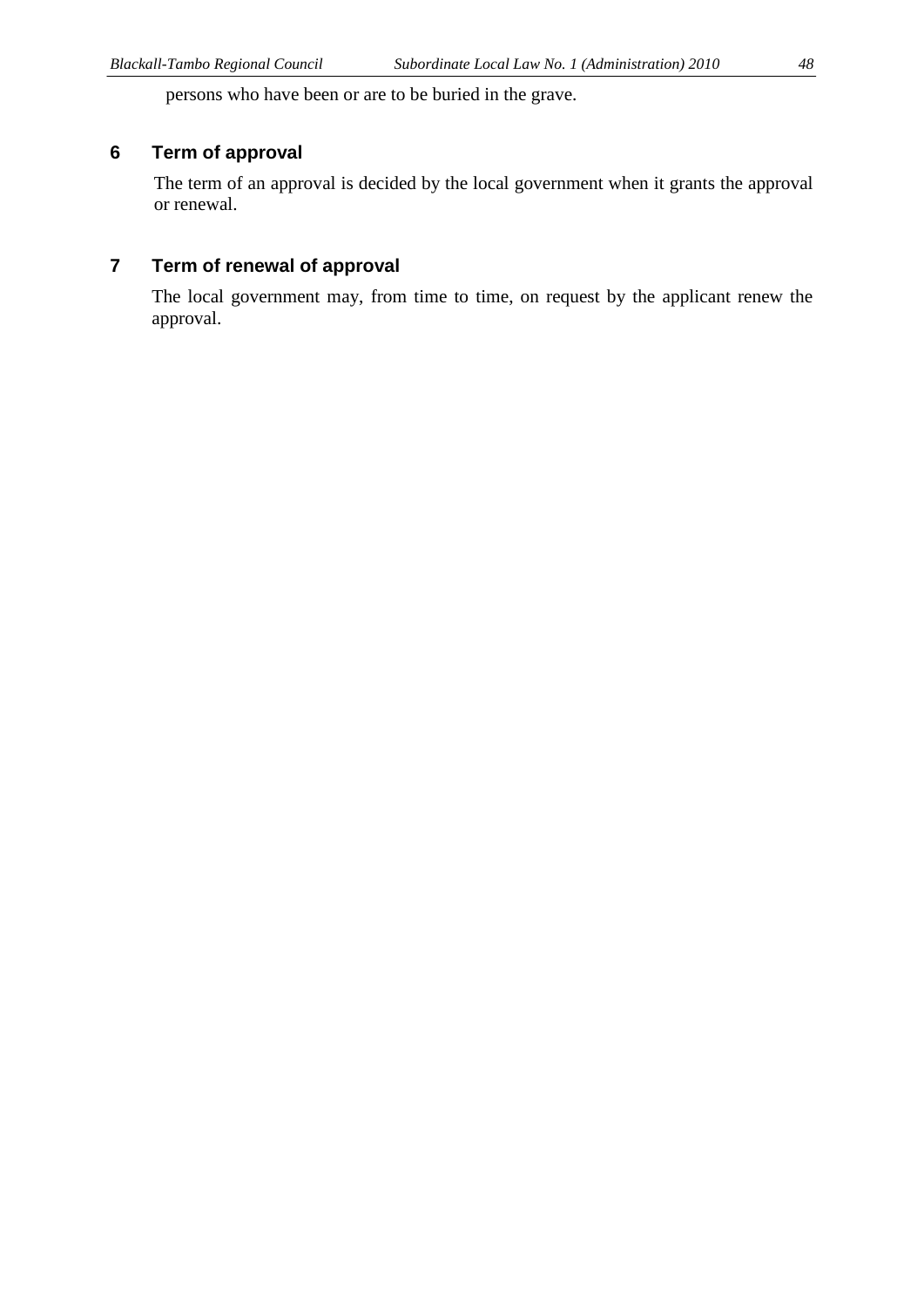persons who have been or are to be buried in the grave.

# **6 Term of approval**

The term of an approval is decided by the local government when it grants the approval or renewal.

# **7 Term of renewal of approval**

The local government may, from time to time, on request by the applicant renew the approval.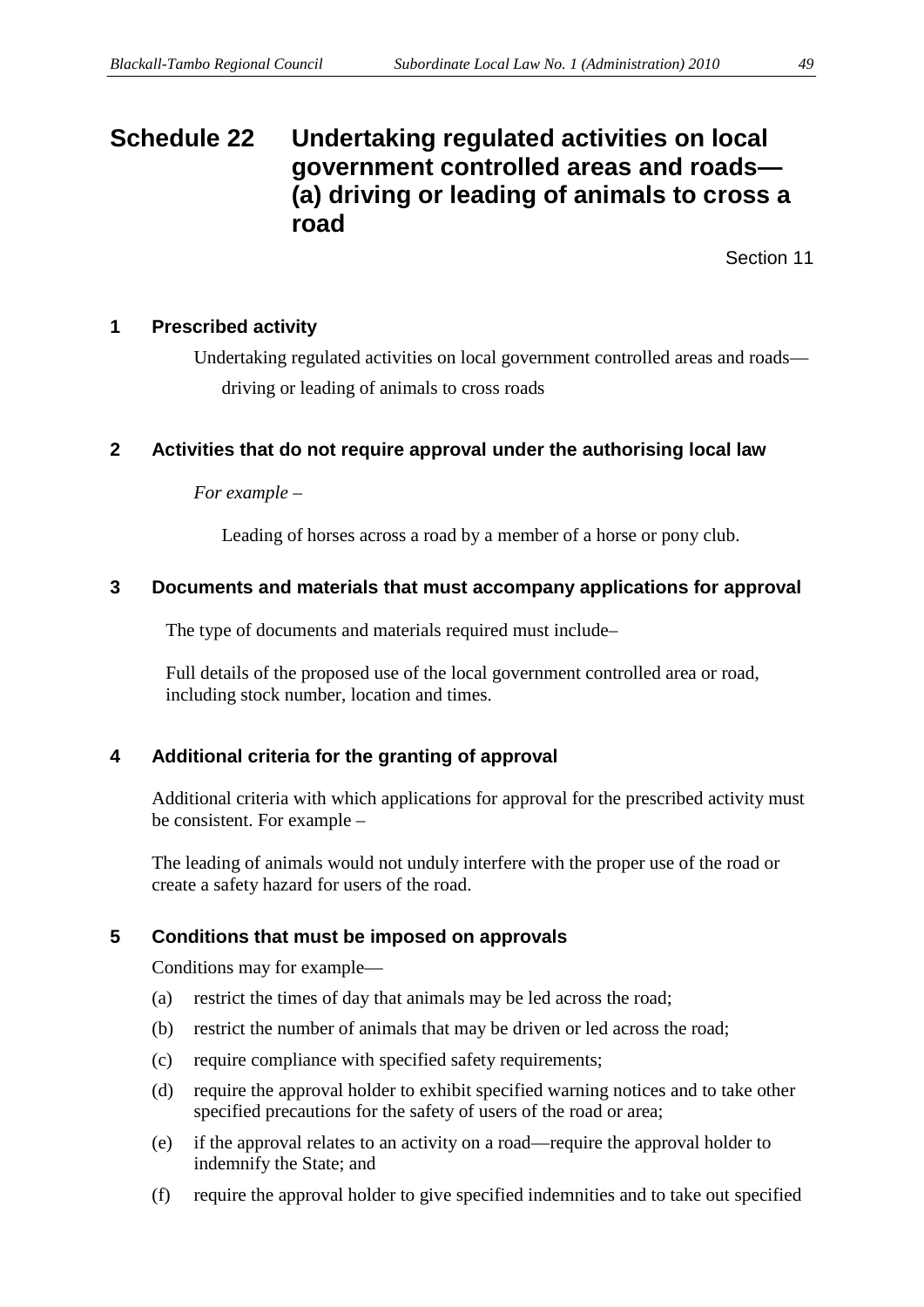# **Schedule 22 Undertaking regulated activities on local government controlled areas and roads— (a) driving or leading of animals to cross a road**

Section 11

### **1 Prescribed activity**

Undertaking regulated activities on local government controlled areas and roads driving or leading of animals to cross roads

### **2 Activities that do not require approval under the authorising local law**

### *For example –*

Leading of horses across a road by a member of a horse or pony club.

### **3 Documents and materials that must accompany applications for approval**

The type of documents and materials required must include–

Full details of the proposed use of the local government controlled area or road, including stock number, location and times.

# **4 Additional criteria for the granting of approval**

Additional criteria with which applications for approval for the prescribed activity must be consistent. For example –

The leading of animals would not unduly interfere with the proper use of the road or create a safety hazard for users of the road.

### **5 Conditions that must be imposed on approvals**

Conditions may for example—

- (a) restrict the times of day that animals may be led across the road;
- (b) restrict the number of animals that may be driven or led across the road;
- (c) require compliance with specified safety requirements;
- (d) require the approval holder to exhibit specified warning notices and to take other specified precautions for the safety of users of the road or area;
- (e) if the approval relates to an activity on a road—require the approval holder to indemnify the State; and
- (f) require the approval holder to give specified indemnities and to take out specified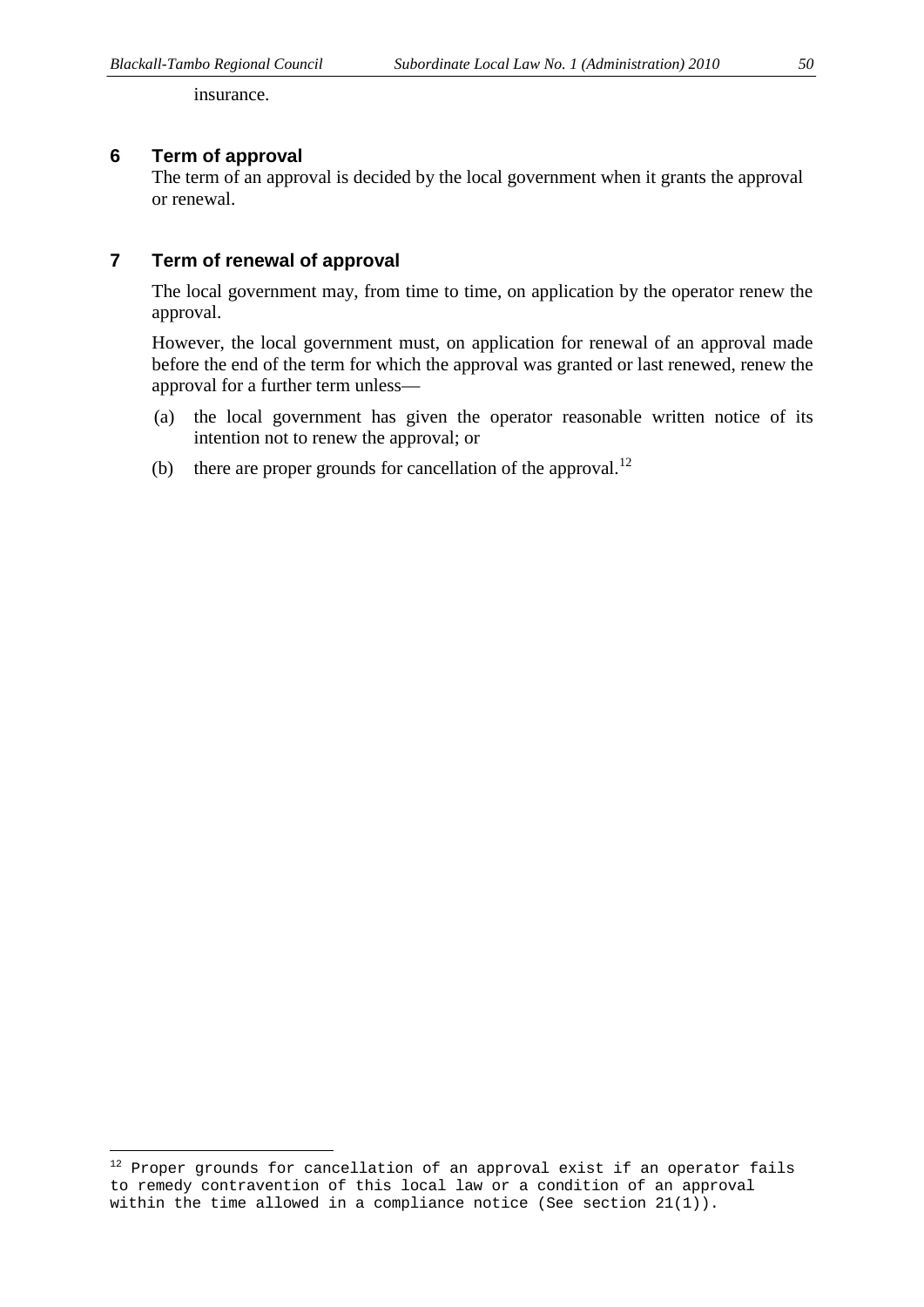insurance.

#### **6 Term of approval**

The term of an approval is decided by the local government when it grants the approval or renewal.

### **7 Term of renewal of approval**

The local government may, from time to time, on application by the operator renew the approval.

However, the local government must, on application for renewal of an approval made before the end of the term for which the approval was granted or last renewed, renew the approval for a further term unless—

- (a) the local government has given the operator reasonable written notice of its intention not to renew the approval; or
- (b) there are proper grounds for cancellation of the approval.<sup>12</sup>

<sup>&</sup>lt;sup>12</sup> Proper grounds for cancellation of an approval exist if an operator fails to remedy contravention of this local law or a condition of an approval within the time allowed in a compliance notice (See section 21(1)).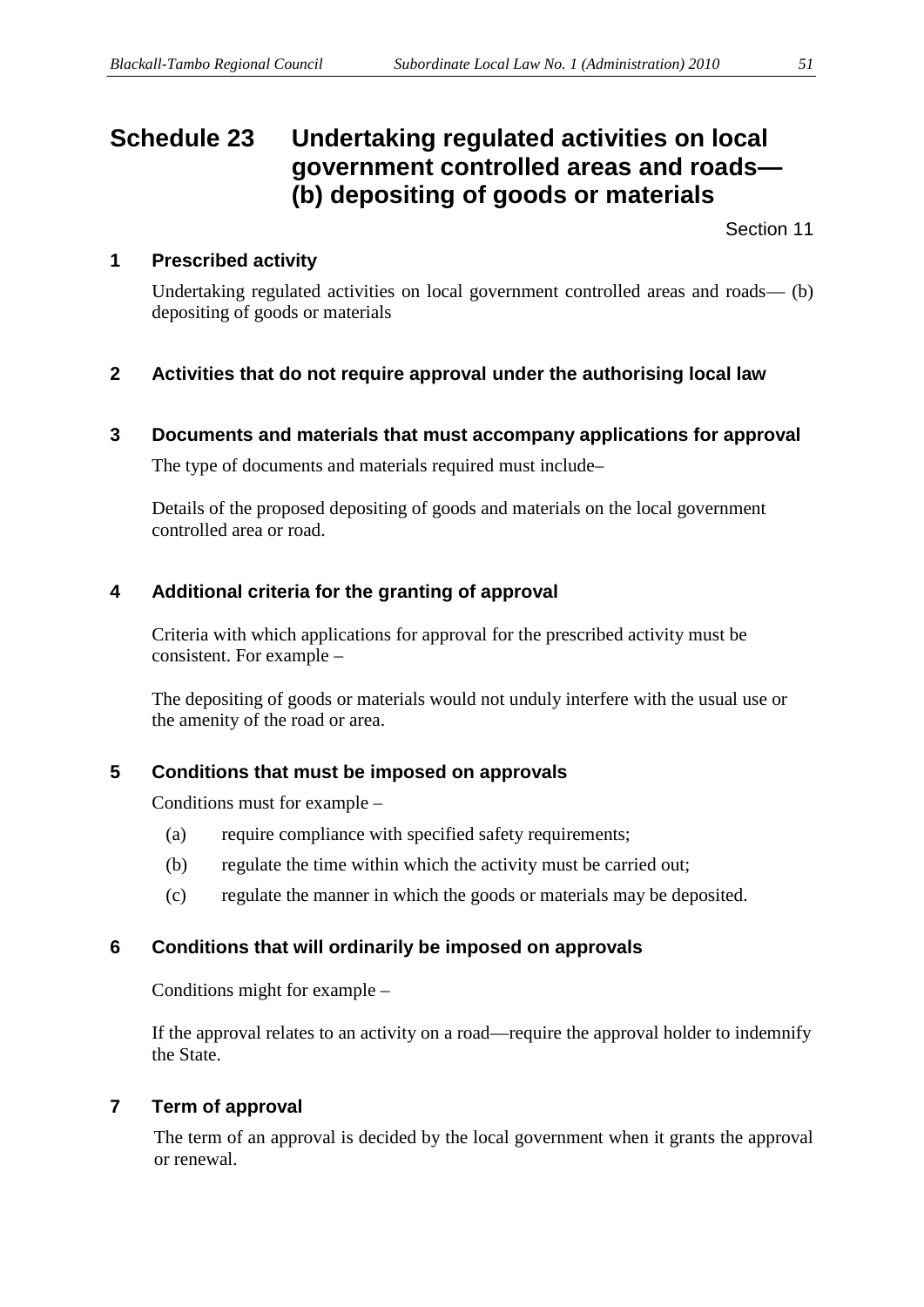# **Schedule 23 Undertaking regulated activities on local government controlled areas and roads— (b) depositing of goods or materials**

Section 11

### **1 Prescribed activity**

Undertaking regulated activities on local government controlled areas and roads— (b) depositing of goods or materials

### **2 Activities that do not require approval under the authorising local law**

**3 Documents and materials that must accompany applications for approval**

The type of documents and materials required must include–

Details of the proposed depositing of goods and materials on the local government controlled area or road.

# **4 Additional criteria for the granting of approval**

Criteria with which applications for approval for the prescribed activity must be consistent. For example –

The depositing of goods or materials would not unduly interfere with the usual use or the amenity of the road or area.

# **5 Conditions that must be imposed on approvals**

Conditions must for example –

- (a) require compliance with specified safety requirements;
- (b) regulate the time within which the activity must be carried out;
- (c) regulate the manner in which the goods or materials may be deposited.

### **6 Conditions that will ordinarily be imposed on approvals**

Conditions might for example –

If the approval relates to an activity on a road—require the approval holder to indemnify the State.

# **7 Term of approval**

The term of an approval is decided by the local government when it grants the approval or renewal.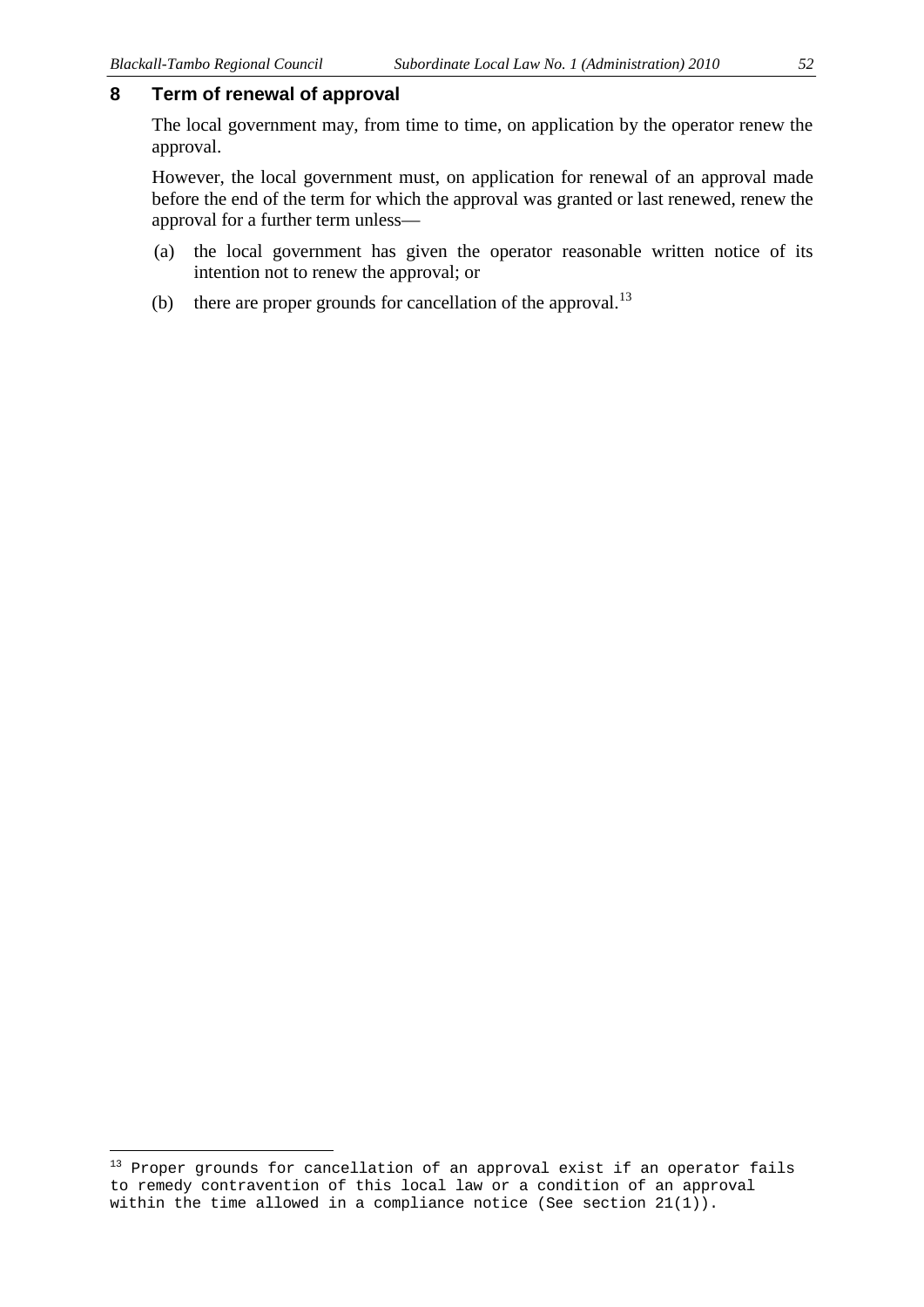#### **8 Term of renewal of approval**

The local government may, from time to time, on application by the operator renew the approval.

However, the local government must, on application for renewal of an approval made before the end of the term for which the approval was granted or last renewed, renew the approval for a further term unless—

- (a) the local government has given the operator reasonable written notice of its intention not to renew the approval; or
- (b) there are proper grounds for cancellation of the approval.<sup>13</sup>

<sup>&</sup>lt;sup>13</sup> Proper grounds for cancellation of an approval exist if an operator fails to remedy contravention of this local law or a condition of an approval within the time allowed in a compliance notice (See section 21(1)).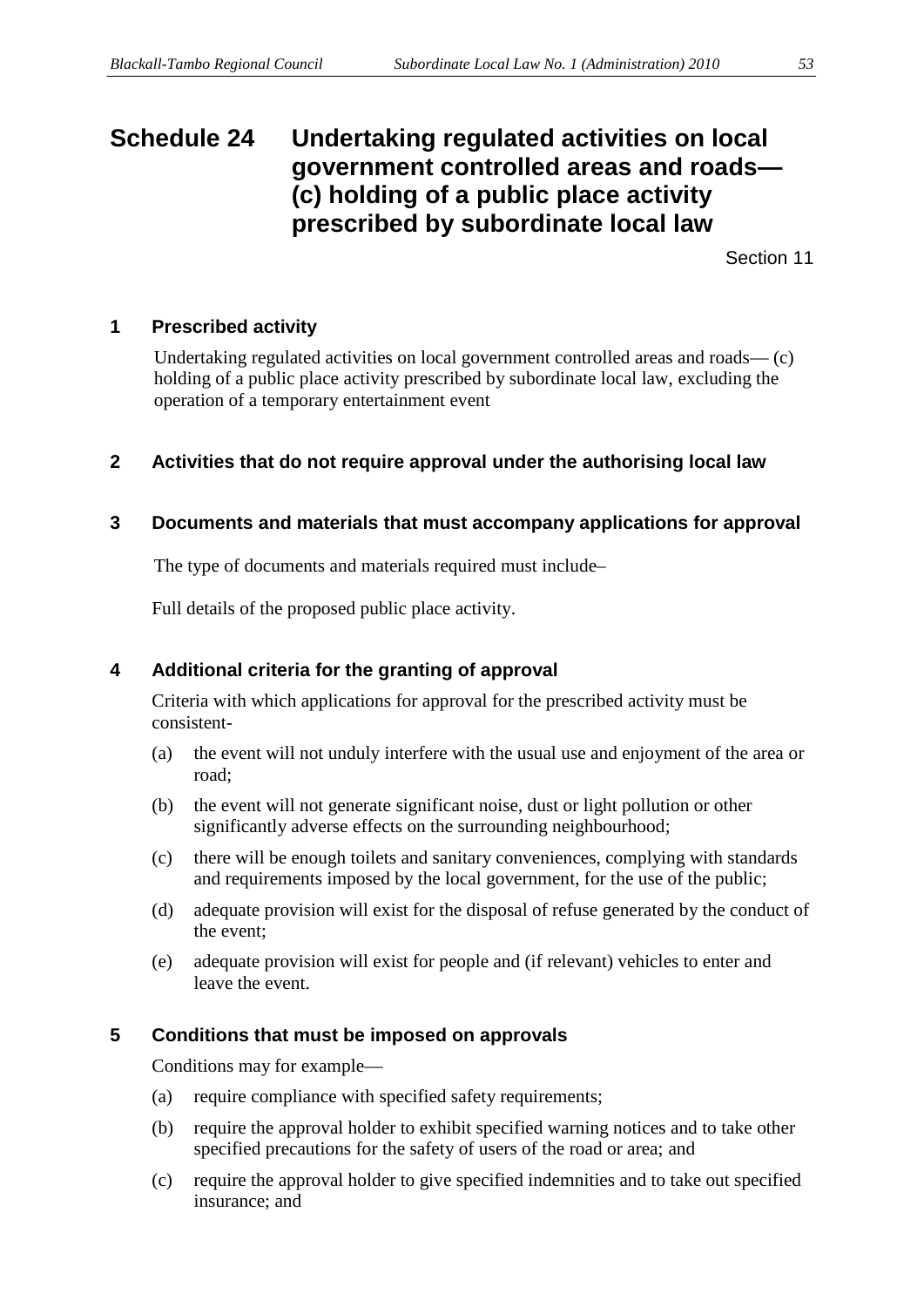# **Schedule 24 Undertaking regulated activities on local government controlled areas and roads— (c) holding of a public place activity prescribed by subordinate local law**

Section 11

# **1 Prescribed activity**

Undertaking regulated activities on local government controlled areas and roads— (c) holding of a public place activity prescribed by subordinate local law, excluding the operation of a temporary entertainment event

# **2 Activities that do not require approval under the authorising local law**

# **3 Documents and materials that must accompany applications for approval**

The type of documents and materials required must include–

Full details of the proposed public place activity.

# **4 Additional criteria for the granting of approval**

Criteria with which applications for approval for the prescribed activity must be consistent-

- (a) the event will not unduly interfere with the usual use and enjoyment of the area or road;
- (b) the event will not generate significant noise, dust or light pollution or other significantly adverse effects on the surrounding neighbourhood;
- (c) there will be enough toilets and sanitary conveniences, complying with standards and requirements imposed by the local government, for the use of the public;
- (d) adequate provision will exist for the disposal of refuse generated by the conduct of the event;
- (e) adequate provision will exist for people and (if relevant) vehicles to enter and leave the event.

### **5 Conditions that must be imposed on approvals**

Conditions may for example—

- (a) require compliance with specified safety requirements;
- (b) require the approval holder to exhibit specified warning notices and to take other specified precautions for the safety of users of the road or area; and
- (c) require the approval holder to give specified indemnities and to take out specified insurance; and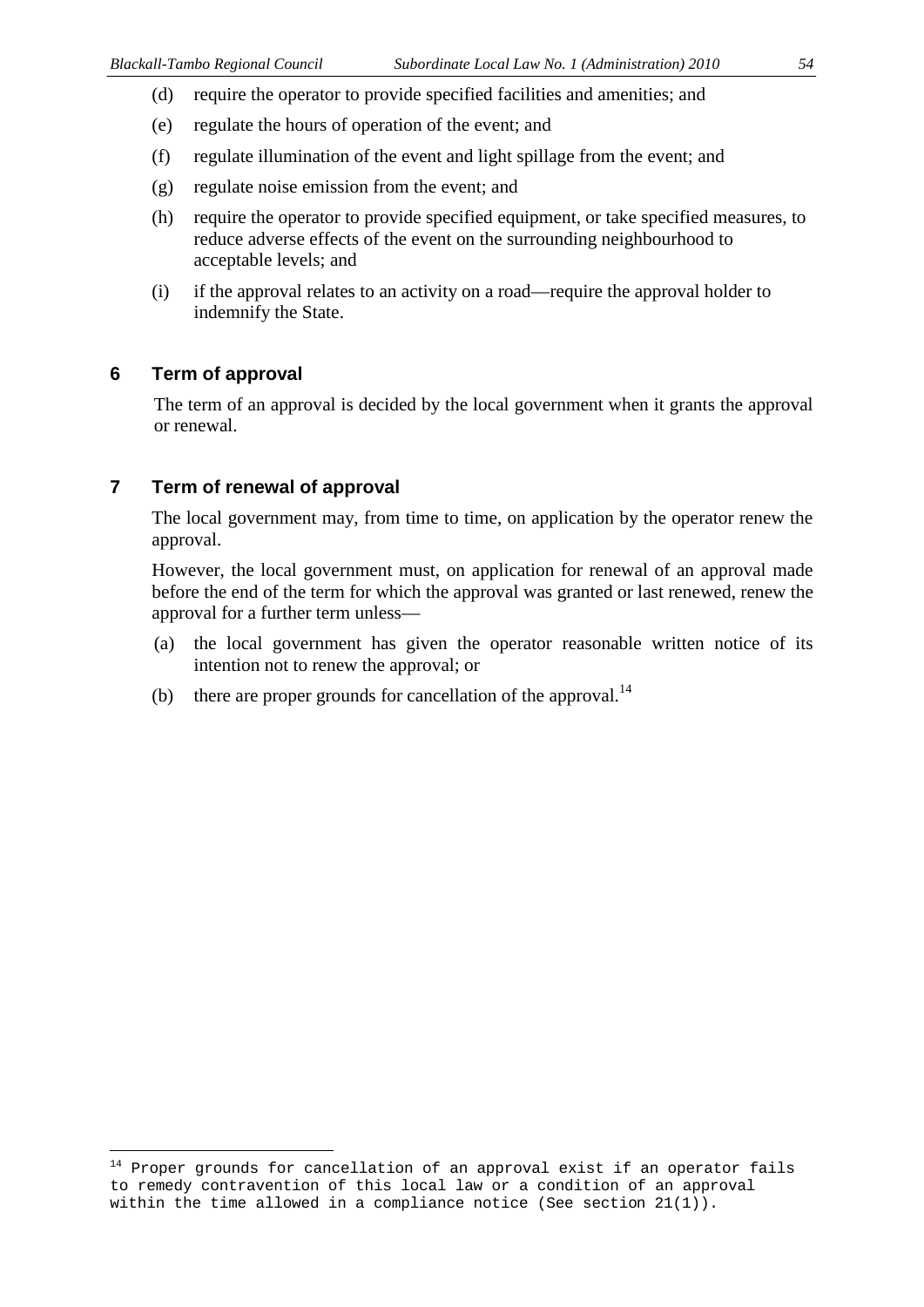- (d) require the operator to provide specified facilities and amenities; and
- (e) regulate the hours of operation of the event; and
- (f) regulate illumination of the event and light spillage from the event; and
- (g) regulate noise emission from the event; and
- (h) require the operator to provide specified equipment, or take specified measures, to reduce adverse effects of the event on the surrounding neighbourhood to acceptable levels; and
- (i) if the approval relates to an activity on a road—require the approval holder to indemnify the State.

### **6 Term of approval**

The term of an approval is decided by the local government when it grants the approval or renewal.

### **7 Term of renewal of approval**

The local government may, from time to time, on application by the operator renew the approval.

However, the local government must, on application for renewal of an approval made before the end of the term for which the approval was granted or last renewed, renew the approval for a further term unless—

- (a) the local government has given the operator reasonable written notice of its intention not to renew the approval; or
- (b) there are proper grounds for cancellation of the approval.<sup>14</sup>

<sup>&</sup>lt;sup>14</sup> Proper grounds for cancellation of an approval exist if an operator fails to remedy contravention of this local law or a condition of an approval within the time allowed in a compliance notice (See section  $21(1)$ ).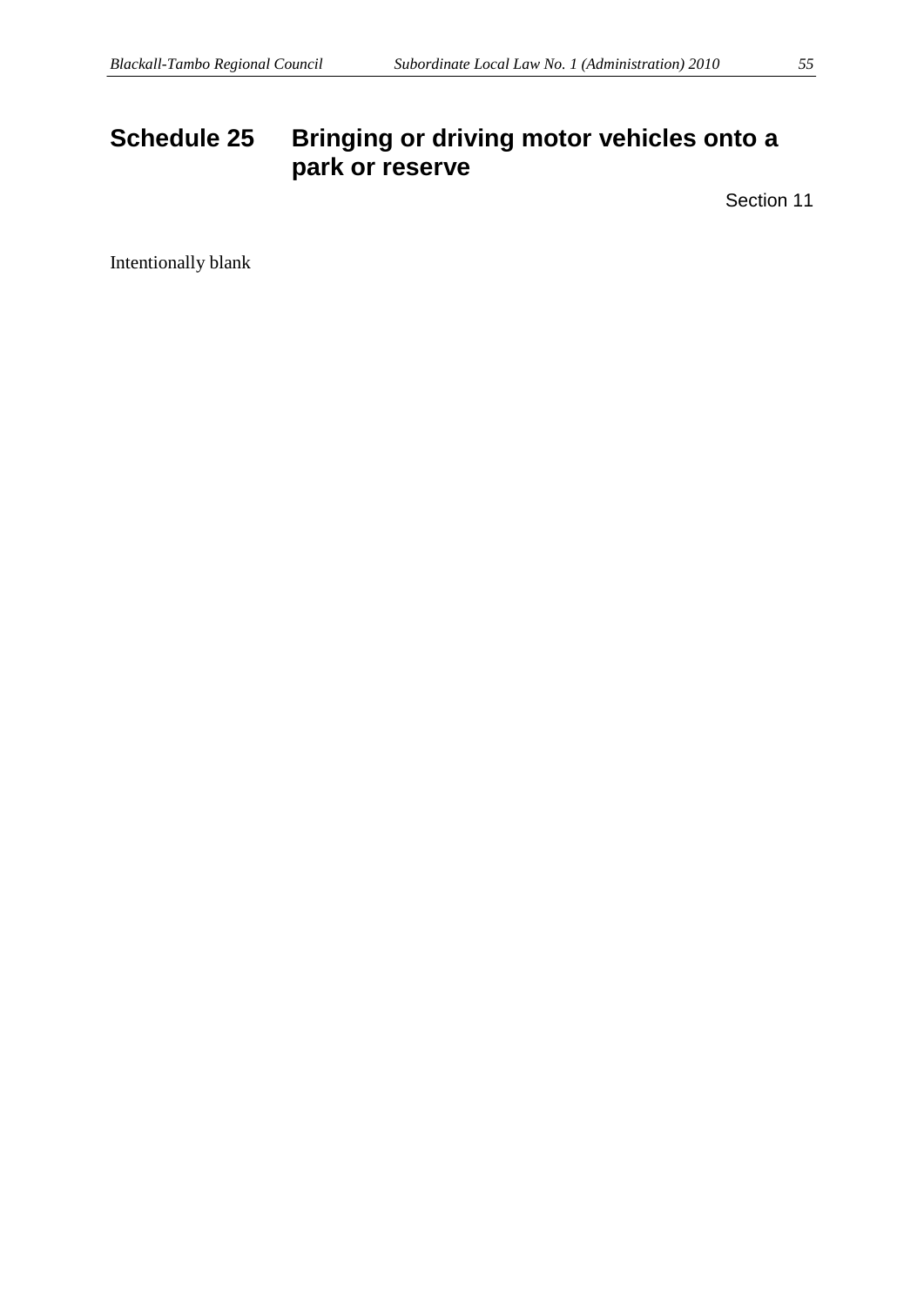# **Schedule 25 Bringing or driving motor vehicles onto a park or reserve**

Section 11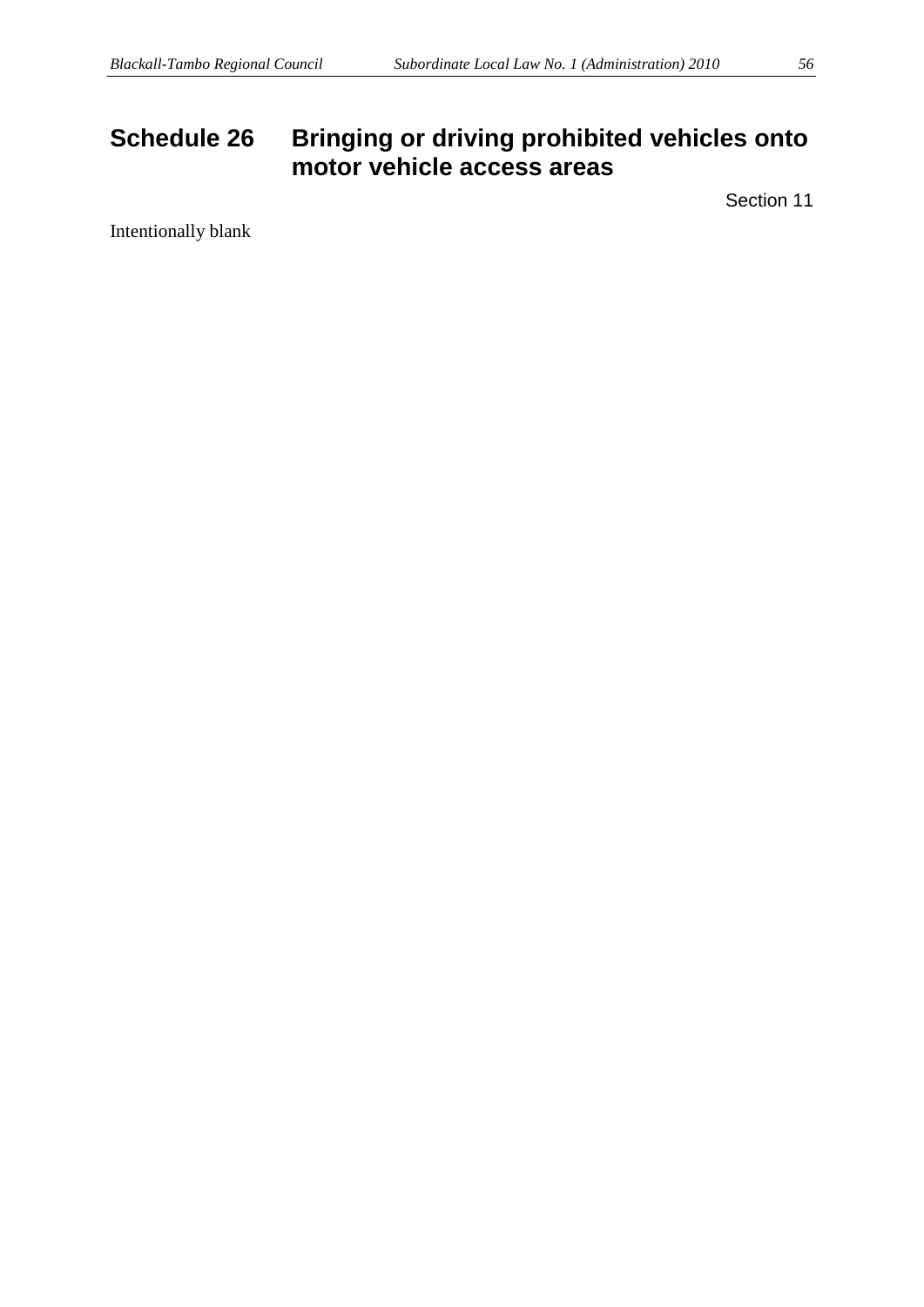# **Schedule 26 Bringing or driving prohibited vehicles onto motor vehicle access areas**

Section 11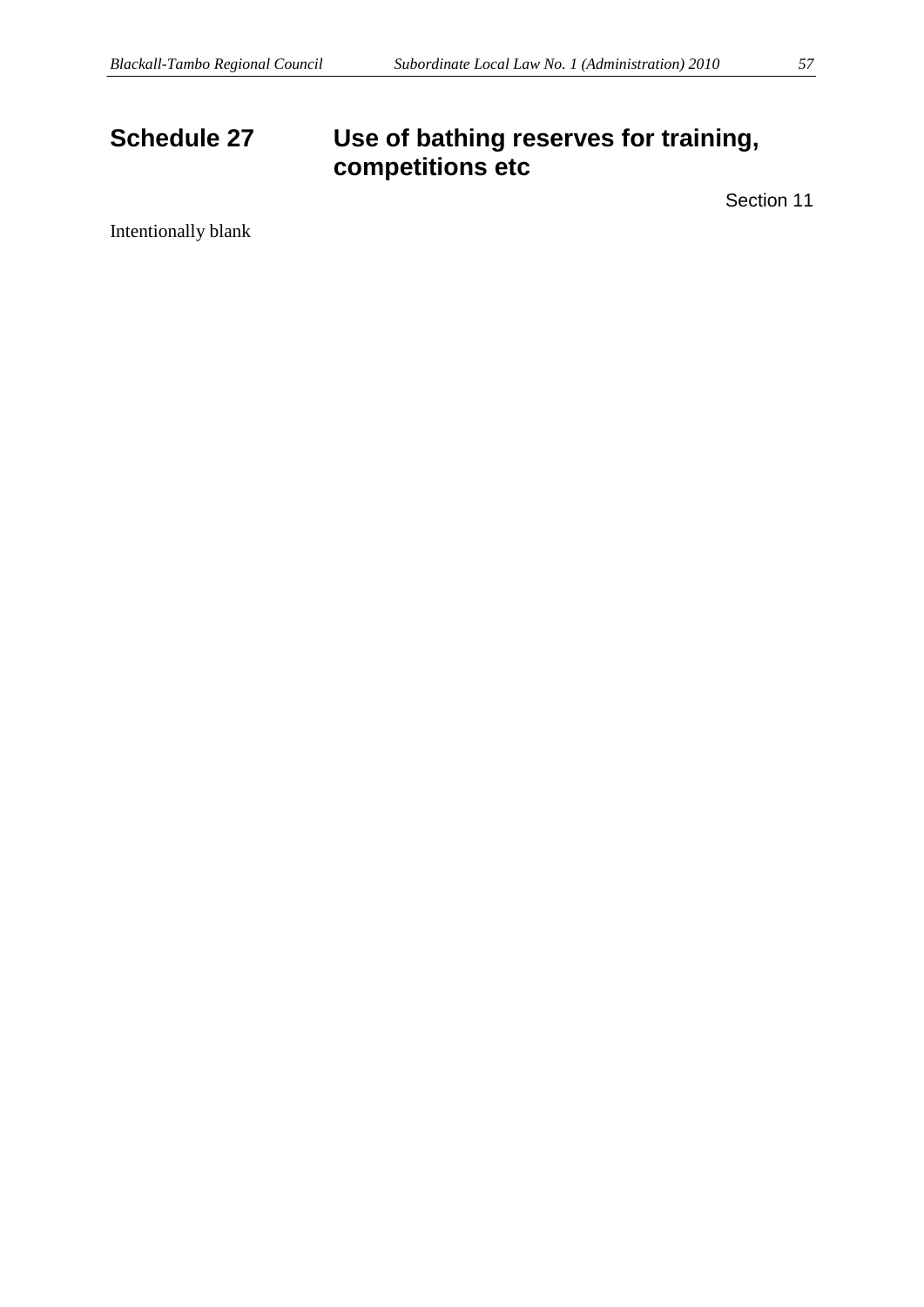# **Schedule 27 Use of bathing reserves for training, competitions etc**

Section 11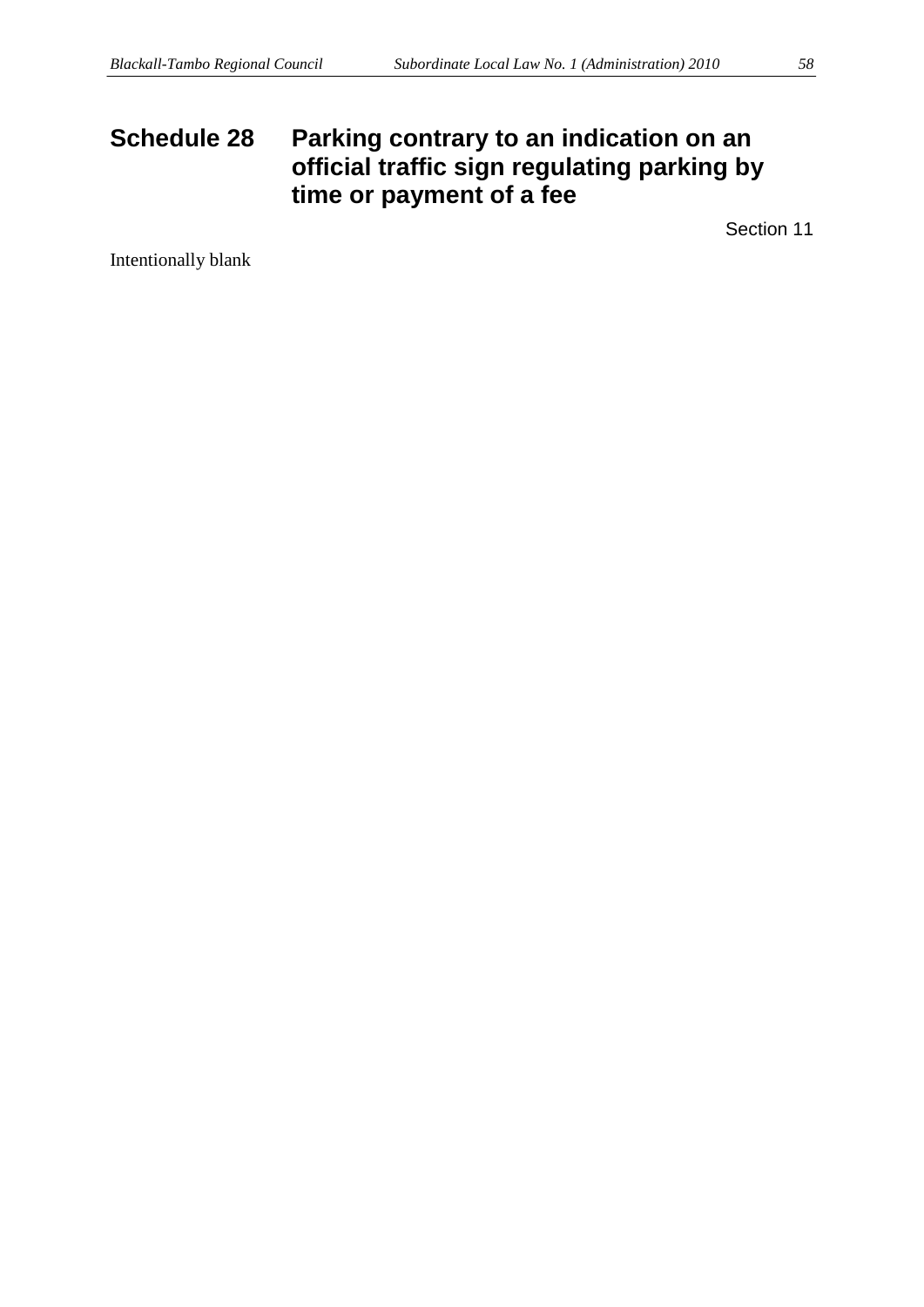Section 11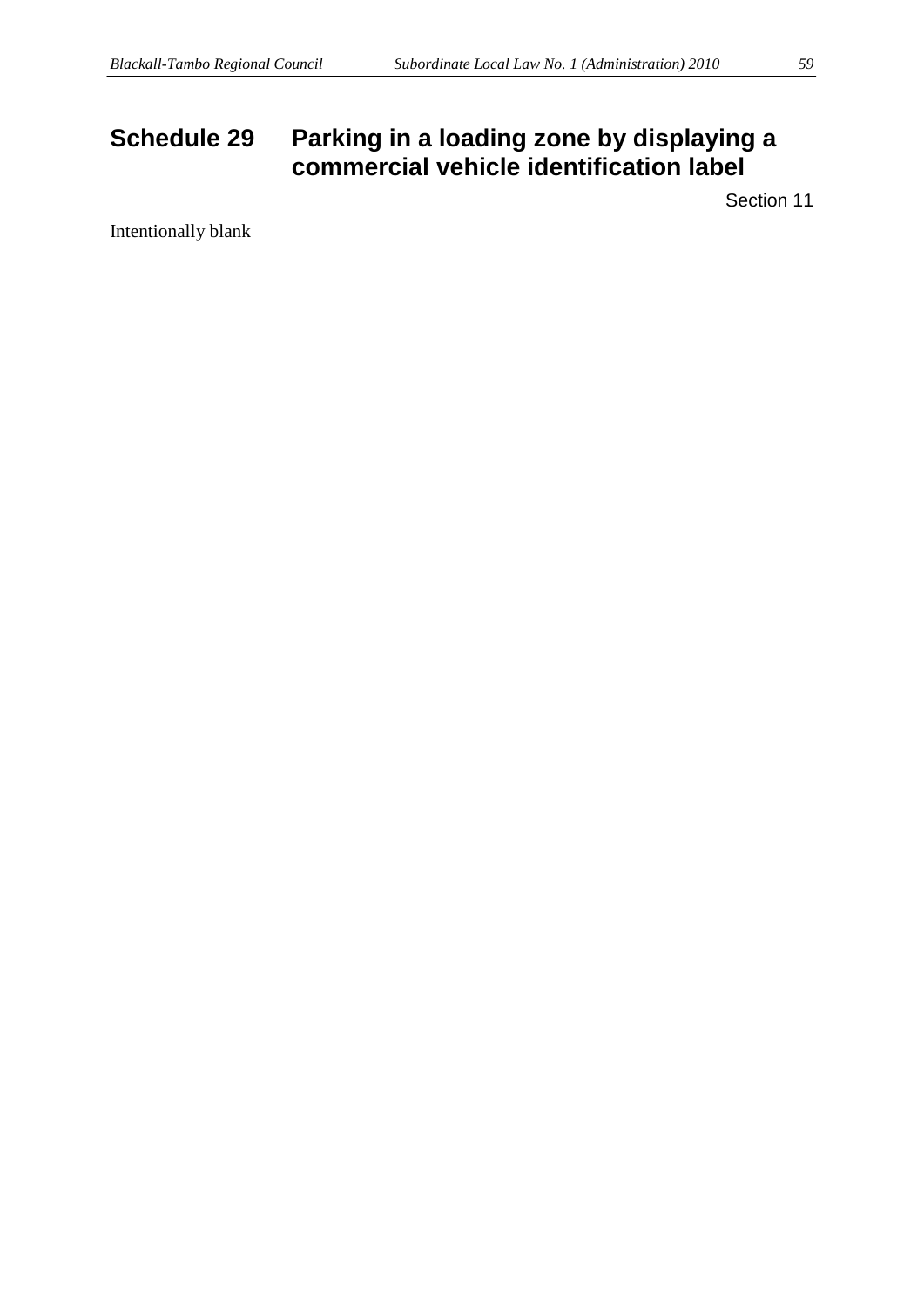# **Schedule 29 Parking in a loading zone by displaying a commercial vehicle identification label**

Section 11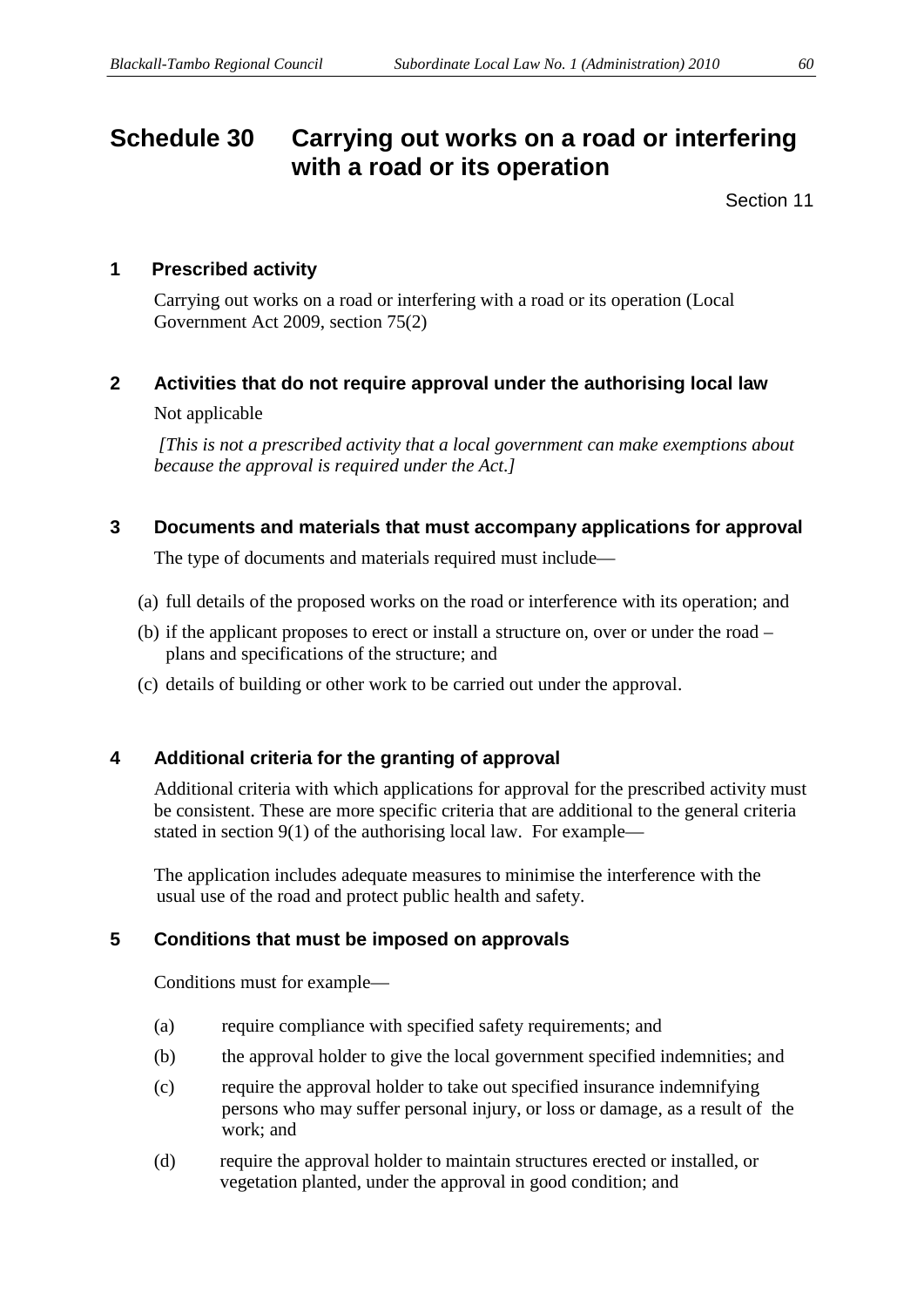# **Schedule 30 Carrying out works on a road or interfering with a road or its operation**

Section 11

### **1 Prescribed activity**

Carrying out works on a road or interfering with a road or its operation (Local Government Act 2009, section 75(2)

### **2 Activities that do not require approval under the authorising local law**

Not applicable

*[This is not a prescribed activity that a local government can make exemptions about because the approval is required under the Act.]*

### **3 Documents and materials that must accompany applications for approval**

The type of documents and materials required must include—

- (a) full details of the proposed works on the road or interference with its operation; and
- (b) if the applicant proposes to erect or install a structure on, over or under the road plans and specifications of the structure; and
- (c) details of building or other work to be carried out under the approval.

# **4 Additional criteria for the granting of approval**

Additional criteria with which applications for approval for the prescribed activity must be consistent. These are more specific criteria that are additional to the general criteria stated in section 9(1) of the authorising local law. For example—

The application includes adequate measures to minimise the interference with the usual use of the road and protect public health and safety.

### **5 Conditions that must be imposed on approvals**

Conditions must for example—

- (a) require compliance with specified safety requirements; and
- (b) the approval holder to give the local government specified indemnities; and
- (c) require the approval holder to take out specified insurance indemnifying persons who may suffer personal injury, or loss or damage, as a result of the work; and
- (d) require the approval holder to maintain structures erected or installed, or vegetation planted, under the approval in good condition; and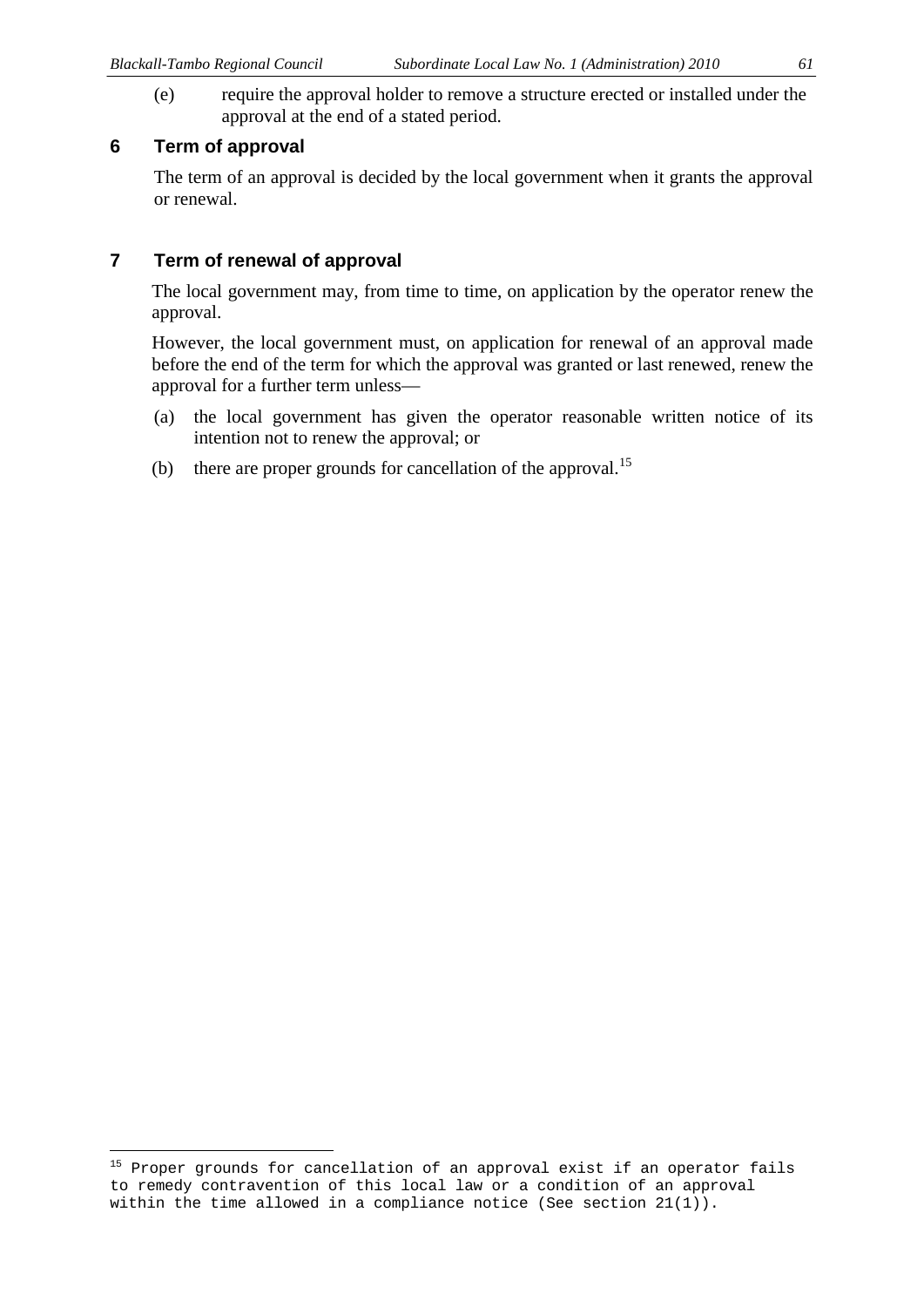(e) require the approval holder to remove a structure erected or installed under the approval at the end of a stated period.

# **6 Term of approval**

The term of an approval is decided by the local government when it grants the approval or renewal.

### **7 Term of renewal of approval**

The local government may, from time to time, on application by the operator renew the approval.

However, the local government must, on application for renewal of an approval made before the end of the term for which the approval was granted or last renewed, renew the approval for a further term unless—

- (a) the local government has given the operator reasonable written notice of its intention not to renew the approval; or
- (b) there are proper grounds for cancellation of the approval.<sup>15</sup>

<sup>&</sup>lt;sup>15</sup> Proper grounds for cancellation of an approval exist if an operator fails to remedy contravention of this local law or a condition of an approval within the time allowed in a compliance notice (See section 21(1)).